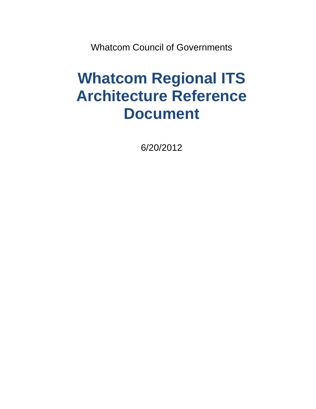Whatcom Council of Governments

# **Whatcom Regional ITS Architecture Reference Document**

6/20/2012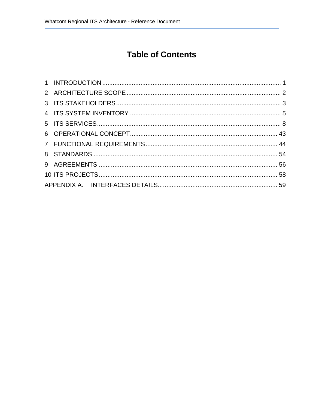# **Table of Contents**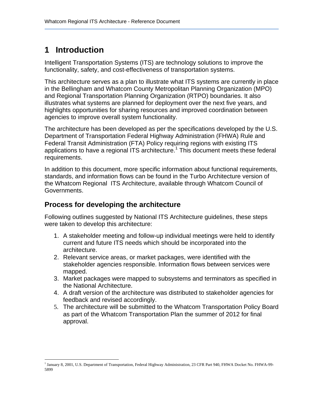## **1 Introduction**

Intelligent Transportation Systems (ITS) are technology solutions to improve the functionality, safety, and cost-effectiveness of transportation systems.

This architecture serves as a plan to illustrate what ITS systems are currently in place in the Bellingham and Whatcom County Metropolitan Planning Organization (MPO) and Regional Transportation Planning Organization (RTPO) boundaries. It also illustrates what systems are planned for deployment over the next five years, and highlights opportunities for sharing resources and improved coordination between agencies to improve overall system functionality.

The architecture has been developed as per the specifications developed by the U.S. Department of Transportation Federal Highway Administration (FHWA) Rule and Federal Transit Administration (FTA) Policy requiring regions with existing ITS applications to have a regional ITS architecture.<sup>1</sup> This document meets these federal requirements.

In addition to this document, more specific information about functional requirements, standards, and information flows can be found in the Turbo Architecture version of the Whatcom Regional ITS Architecture, available through Whatcom Council of Governments.

### **Process for developing the architecture**

Following outlines suggested by National ITS Architecture guidelines, these steps were taken to develop this architecture:

- 1. A stakeholder meeting and follow-up individual meetings were held to identify current and future ITS needs which should be incorporated into the architecture.
- 2. Relevant service areas, or market packages, were identified with the stakeholder agencies responsible. Information flows between services were mapped.
- 3. Market packages were mapped to subsystems and terminators as specified in the National Architecture.
- 4. A draft version of the architecture was distributed to stakeholder agencies for feedback and revised accordingly.
- 5. The architecture will be submitted to the Whatcom Transportation Policy Board as part of the Whatcom Transportation Plan the summer of 2012 for final approval.

l 1 January 8, 2001, U.S. Department of Transportation, Federal Highway Administration, 23 CFR Part 940, FHWA Docket No. FHWA-99- 5899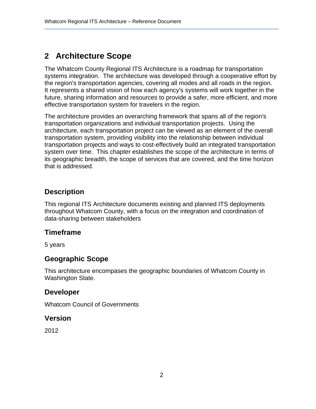## **2 Architecture Scope**

The Whatcom County Regional ITS Architecture is a roadmap for transportation systems integration. The architecture was developed through a cooperative effort by the region's transportation agencies, covering all modes and all roads in the region. It represents a shared vision of how each agency's systems will work together in the future, sharing information and resources to provide a safer, more efficient, and more effective transportation system for travelers in the region.

The architecture provides an overarching framework that spans all of the region's transportation organizations and individual transportation projects. Using the architecture, each transportation project can be viewed as an element of the overall transportation system, providing visibility into the relationship between individual transportation projects and ways to cost-effectively build an integrated transportation system over time. This chapter establishes the scope of the architecture in terms of its geographic breadth, the scope of services that are covered, and the time horizon that is addressed.

## **Description**

This regional ITS Architecture documents existing and planned ITS deployments throughout Whatcom County, with a focus on the integration and coordination of data-sharing between stakeholders

### **Timeframe**

5 years

### **Geographic Scope**

This architecture encompases the geographic boundaries of Whatcom County in Washington State.

#### **Developer**

Whatcom Council of Governments

#### **Version**

2012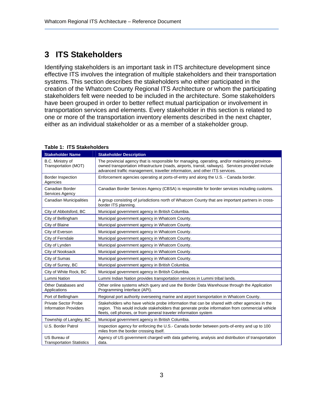## **3 ITS Stakeholders**

Identifying stakeholders is an important task in ITS architecture development since effective ITS involves the integration of multiple stakeholders and their transportation systems. This section describes the stakeholders who either participated in the creation of the Whatcom County Regional ITS Architecture or whom the participating stakeholders felt were needed to be included in the architecture. Some stakeholders have been grouped in order to better reflect mutual participation or involvement in transportation services and elements. Every stakeholder in this section is related to one or more of the transportation inventory elements described in the next chapter, either as an individual stakeholder or as a member of a stakeholder group.

| <b>Stakeholder Name</b>                                                                                                                                     | <b>Stakeholder Description</b>                                                                                                                                                                                                                                                        |  |  |
|-------------------------------------------------------------------------------------------------------------------------------------------------------------|---------------------------------------------------------------------------------------------------------------------------------------------------------------------------------------------------------------------------------------------------------------------------------------|--|--|
| B.C. Ministry of<br>Transportation (MOT)                                                                                                                    | The provincial agency that is responsible for managing, operating, and/or maintaining province-<br>owned transportation infrastructure (roads, airports, transit, railways). Services provided include<br>advanced traffic management, traveller information, and other ITS services. |  |  |
| Border Inspection<br>Agencies                                                                                                                               | Enforcement agencies operating at ports-of-entry and along the U.S. - Canada border.                                                                                                                                                                                                  |  |  |
| Canadian Border<br>Services Agency                                                                                                                          | Canadian Border Services Agency (CBSA) is responsible for border services including customs.                                                                                                                                                                                          |  |  |
| <b>Canadian Municipalities</b><br>A group consisting of jurisdictions north of Whatcom County that are important partners in cross-<br>border ITS planning. |                                                                                                                                                                                                                                                                                       |  |  |
| City of Abbotsford, BC                                                                                                                                      | Municipal government agency in British Columbia.                                                                                                                                                                                                                                      |  |  |
| City of Bellingham                                                                                                                                          | Municipal government agency in Whatcom County.                                                                                                                                                                                                                                        |  |  |
| City of Blaine                                                                                                                                              | Municipal government agency in Whatcom County.                                                                                                                                                                                                                                        |  |  |
| City of Everson                                                                                                                                             | Municipal government agency in Whatcom County.                                                                                                                                                                                                                                        |  |  |
| City of Ferndale                                                                                                                                            | Municipal government agency in Whatcom County.                                                                                                                                                                                                                                        |  |  |
| City of Lynden                                                                                                                                              | Municipal government agency in Whatcom County.                                                                                                                                                                                                                                        |  |  |
| City of Nooksack                                                                                                                                            | Municipal government agency in Whatcom County.                                                                                                                                                                                                                                        |  |  |
| City of Sumas                                                                                                                                               | Municipal government agency in Whatcom County.                                                                                                                                                                                                                                        |  |  |
| City of Surrey, BC                                                                                                                                          | Municipal government agency in British Columbia.                                                                                                                                                                                                                                      |  |  |
| City of White Rock, BC                                                                                                                                      | Municipal government agency in British Columbia.                                                                                                                                                                                                                                      |  |  |
| Lummi Nation                                                                                                                                                | Lummi Indian Nation provides transportation services in Lummi tribal lands.                                                                                                                                                                                                           |  |  |
| Other Databases and<br>Applications                                                                                                                         | Other online systems which query and use the Border Data Warehouse through the Application<br>Programming Interface (API).                                                                                                                                                            |  |  |
| Port of Bellingham                                                                                                                                          | Regional port authority overseeing marine and airport transportation in Whatcom County.                                                                                                                                                                                               |  |  |
| <b>Private Sector Probe</b><br><b>Information Providers</b>                                                                                                 | Stakeholders who have vehicle probe information that can be shared with other agencies in the<br>region. This would include stakeholders that generate probe information from commercial vehicle<br>fleets, cell phones, or from general traveler information system                  |  |  |
| Township of Langley, BC                                                                                                                                     | Municipal government agency in British Columbia.                                                                                                                                                                                                                                      |  |  |
| U.S. Border Patrol                                                                                                                                          | Inspection agency for enforcing the U.S.- Canada border between ports-of-entry and up to 100<br>miles from the border crossing itself.                                                                                                                                                |  |  |
| US Bureau of<br><b>Transportation Statistics</b>                                                                                                            | Agency of US government charged with data gathering, analysis and distribution of transportation<br>data.                                                                                                                                                                             |  |  |

#### **Table 1: ITS Stakeholders**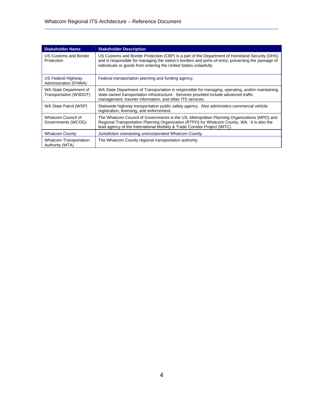| <b>Stakeholder Name</b>                          | <b>Stakeholder Description</b>                                                                                                                                                                                                                                           |
|--------------------------------------------------|--------------------------------------------------------------------------------------------------------------------------------------------------------------------------------------------------------------------------------------------------------------------------|
| US Customs and Border<br>Protection              | US Customs and Border Protection (CBP) is a part of the Department of Homeland Security (DHS)<br>and is responsible for managing the nation's borders and ports-of-entry, preventing the passage of<br>individuals or goods from entering the United States unlawfully.  |
| US Federal Highway<br>Administration (FHWA)      | Federal transportation planning and funding agency.                                                                                                                                                                                                                      |
| WA State Department of<br>Transportation (WSDOT) | WA State Department of Transportation is responsible for managing, operating, and/or maintaining<br>state-owned transportation infrastructure. Services provided include advanced traffic<br>management, traveler information, and other ITS services.                   |
| WA State Patrol (WSP)                            | Statewide highway transportation public safety agency. Also administers commercial vehicle<br>registration, licensing, and enforcement.                                                                                                                                  |
| Whatcom Council of<br>Governments (WCOG)         | The Whatcom Council of Governments is the US, Metropolitan Planning Organizations (MPO) and<br>Regional Transportation Planning Organization (RTPO) for Whatcom County, WA. It is also the<br>lead agency of the International Mobility & Trade Corridor Project (IMTC). |
| <b>Whatcom County</b>                            | Jurisdiction overseeing unincorporated Whatcom County.                                                                                                                                                                                                                   |
| Whatcom Transportation<br>Authority (WTA)        | The Whatcom County regional transportation authority.                                                                                                                                                                                                                    |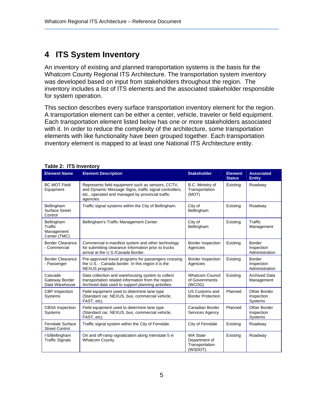## **4 ITS System Inventory**

An inventory of existing and planned transportation systems is the basis for the Whatcom County Regional ITS Architecture. The transportation system inventory was developed based on input from stakeholders throughout the region. The inventory includes a list of ITS elements and the associated stakeholder responsible for system operation.

This section describes every surface transportation inventory element for the region. A transportation element can be either a center, vehicle, traveler or field equipment. Each transportation element listed below has one or more stakeholders associated with it. In order to reduce the complexity of the architecture, some transportation elements with like functionality have been grouped together. Each transportation inventory element is mapped to at least one National ITS Architecture entity.

| <b>Element Name</b>                                 | <b>Element Description</b>                                                                                                                                                                                                  | <b>Stakeholder</b>                                            | <b>Element</b><br><b>Status</b> | <b>Associated</b><br><b>Entity</b>            |
|-----------------------------------------------------|-----------------------------------------------------------------------------------------------------------------------------------------------------------------------------------------------------------------------------|---------------------------------------------------------------|---------------------------------|-----------------------------------------------|
| <b>BC MOT Field</b><br>Equipment                    | Represents field equipment such as sensors, CCTV,<br>B.C. Ministry of<br>and Dynamic Message Signs, traffic signal controllers,<br>Transportation<br>etc., operated and managed by provincial traffic<br>(MOT)<br>agencies. |                                                               | Existing                        | Roadway                                       |
| Bellingham<br><b>Surface Street</b><br>Control      | Traffic signal systems within the City of Bellingham.                                                                                                                                                                       | City of<br>Bellingham                                         | Existing                        | Roadway                                       |
| Bellingham<br>Traffic<br>Management<br>Center (TMC) | Bellingham's Traffic Management Center.                                                                                                                                                                                     | City of<br>Bellingham                                         | Existing                        | Traffic<br>Management                         |
| <b>Border Clearance</b><br>- Commercial             | Commercial e-manifest system and other technology<br>for submitting clearance information prior to trucks<br>arrival at the U.S./Canada Border.                                                                             | Border Inspection<br>Agencies                                 | Existing                        | Border<br>Inspection<br>Administration        |
| <b>Border Clearance</b><br>- Passenger              | Pre-approved travel programs for passengers crossing<br>the U.S. - Canada border. In this region it is the<br>NEXUS program.                                                                                                | Border Inspection<br>Agencies                                 | Existing                        | <b>Border</b><br>Inspection<br>Administration |
| Cascade<br>Gateway Border<br>Data Warehouse         | Data collection and warehousing system to collect<br>transportation related information from the region.<br>Archived data used to support planning activities.                                                              | <b>Whatcom Council</b><br>of Governments<br>(WCOG)            | Existing                        | <b>Archived Data</b><br>Management            |
| <b>CBP</b> Inspection<br><b>Systems</b>             | Field equipment used to determine lane type<br>(Standard car, NEXUS, bus, commercial vehicle,<br>FAST, etc).                                                                                                                | US Customs and<br><b>Border Protection</b>                    | Planned                         | Other Border<br>Inspection<br><b>Systems</b>  |
| <b>CBSA</b> Inspection<br>Systems                   | Field equipment used to determine lane type<br>(Standard car, NEXUS, bus, commercial vehicle,<br>FAST, etc).                                                                                                                | Canadian Border<br><b>Services Agency</b>                     | Planned                         | Other Border<br>Inspection<br>Systems         |
| <b>Ferndale Surface</b><br><b>Street Control</b>    | Traffic signal system within the City of Ferndale.                                                                                                                                                                          | City of Ferndale                                              | Existing                        | Roadway                                       |
| I-5/Bellingham<br><b>Traffic Signals</b>            | On and off-ramp signalization along Interstate 5 in<br>Whatcom County.                                                                                                                                                      | <b>WA State</b><br>Department of<br>Transportation<br>(WSDOT) | Existing                        | Roadway                                       |

#### **Table 2: ITS Inventory**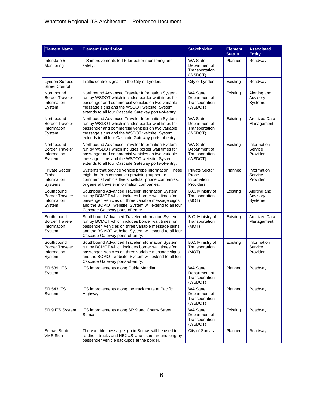| <b>Element Name</b>                                           | <b>Element Description</b>                                                                                                                                                                                                                                      | <b>Stakeholder</b>                                            | <b>Element</b><br><b>Status</b> | <b>Associated</b><br><b>Entity</b>  |
|---------------------------------------------------------------|-----------------------------------------------------------------------------------------------------------------------------------------------------------------------------------------------------------------------------------------------------------------|---------------------------------------------------------------|---------------------------------|-------------------------------------|
| Interstate 5<br>Monitoring                                    | ITS improvements to I-5 for better monitoring and<br>safety.                                                                                                                                                                                                    | <b>WA State</b><br>Department of<br>Transportation<br>(WSDOT) | Planned                         | Roadway                             |
| Lynden Surface<br><b>Street Control</b>                       | Traffic control signals in the City of Lynden.<br>City of Lynden                                                                                                                                                                                                |                                                               | Existing                        | Roadway                             |
| Northbound<br><b>Border Traveler</b><br>Information<br>System | Northbound Advanced Traveler Information System<br>run by WSDOT which includes border wait times for<br>passenger and commercial vehicles on two variable<br>message signs and the WSDOT website. System<br>extends to all four Cascade Gateway ports-of-entry. | <b>WA State</b><br>Department of<br>Transportation<br>(WSDOT) | Existing                        | Alerting and<br>Advisory<br>Systems |
| Northbound<br><b>Border Traveler</b><br>Information<br>System | Northbound Advanced Traveler Information System<br>run by WSDOT which includes border wait times for<br>passenger and commercial vehicles on two variable<br>message signs and the WSDOT website. System<br>extends to all four Cascade Gateway ports-of-entry. | <b>WA State</b><br>Department of<br>Transportation<br>(WSDOT) | Existing                        | <b>Archived Data</b><br>Management  |
| Northbound<br><b>Border Traveler</b><br>Information<br>System | Northbound Advanced Traveler Information System<br>run by WSDOT which includes border wait times for<br>passenger and commercial vehicles on two variable<br>message signs and the WSDOT website. System<br>extends to all four Cascade Gateway ports-of-entry. | <b>WA State</b><br>Department of<br>Transportation<br>(WSDOT) | Existing                        | Information<br>Service<br>Provider  |
| <b>Private Sector</b><br>Probe<br>Information<br>Systems      | Systems that provide vehicle probe information. These<br>might be from companies providing support to<br>commercial vehicle fleets, cellular phone companies,<br>or general traveler information companies.                                                     | <b>Private Sector</b><br>Probe<br>Information<br>Providers    | Planned                         | Information<br>Service<br>Provider  |
| Southbound<br><b>Border Traveler</b><br>Information<br>System | Southbound Advanced Traveler Information System<br>run by BCMOT which includes border wait times for<br>passenger vehicles on three variable message signs<br>and the BCMOT website. System will extend to all four<br>Cascade Gateway ports-of-entry.          | B.C. Ministry of<br>Transportation<br>(MOT)                   | Existing                        | Alerting and<br>Advisory<br>Systems |
| Southbound<br><b>Border Traveler</b><br>Information<br>System | Southbound Advanced Traveler Information System<br>run by BCMOT which includes border wait times for<br>passenger vehicles on three variable message signs<br>and the BCMOT website. System will extend to all four<br>Cascade Gateway ports-of-entry.          | B.C. Ministry of<br>Transportation<br>(MOT)                   | Existing                        | <b>Archived Data</b><br>Management  |
| Southbound<br><b>Border Traveler</b><br>Information<br>System | Southbound Advanced Traveler Information System<br>run by BCMOT which includes border wait times for<br>passenger vehicles on three variable message signs<br>and the BCMOT website. System will extend to all four<br>Cascade Gateway ports-of-entry.          | B.C. Ministry of<br>Transportation<br>(MOT)                   | Existing                        | Information<br>Service<br>Provider  |
| <b>SR 539 ITS</b><br>System                                   | ITS improvements along Guide Meridian.                                                                                                                                                                                                                          | <b>WA State</b><br>Department of<br>Transportation<br>(WSDOT) | Planned                         | Roadway                             |
| <b>SR 543 ITS</b><br>System                                   | ITS improvements along the truck route at Pacific<br>Highway.                                                                                                                                                                                                   | <b>WA State</b><br>Department of<br>Transportation<br>(WSDOT) | Planned                         | Roadway                             |
| SR 9 ITS System                                               | ITS improvements along SR 9 and Cherry Street in<br>Sumas.                                                                                                                                                                                                      | <b>WA State</b><br>Department of<br>Transportation<br>(WSDOT) | Existing                        | Roadway                             |
| Sumas Border<br>VMS Sign                                      | The variable message sign in Sumas will be used to<br>re-direct trucks and NEXUS lane users around lengthy<br>passenger vehicle backupos at the border.                                                                                                         | City of Sumas                                                 | Planned                         | Roadway                             |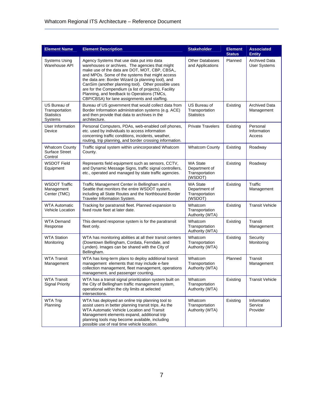| <b>Element Name</b>                                            | <b>Element Description</b>                                                                                                                                                                                                                                                                                                                                                                                                                                              | <b>Stakeholder</b>                                            | <b>Element</b><br><b>Status</b> | <b>Associated</b><br><b>Entity</b>   |
|----------------------------------------------------------------|-------------------------------------------------------------------------------------------------------------------------------------------------------------------------------------------------------------------------------------------------------------------------------------------------------------------------------------------------------------------------------------------------------------------------------------------------------------------------|---------------------------------------------------------------|---------------------------------|--------------------------------------|
| Systems Using<br>Warehouse API                                 | Agency Systems that use data put into data<br>warehouses or archives. The agencies that might<br>make use of the data are DOT, MOT, CBP, CBSA,,<br>and MPOs. Some of the systems that might access<br>the data are: Border Wizard (a planning tool), and<br>CanSim (another planning tool). Other possible uses<br>are for the Compendium (a list of projects), Facility<br>Planning, and feedback to Operations (TMCs,<br>CBP/CBSA) for lane assignments and staffing. | <b>Other Databases</b><br>and Applications                    | Planned                         | <b>Archived Data</b><br>User Systems |
| US Bureau of<br>Transportation<br><b>Statistics</b><br>Systems | Bureau of US government that would collect data from<br>Border Information administration systems (e.g. ACE)<br>and then provide that data to archives in the<br>architecture.                                                                                                                                                                                                                                                                                          | US Bureau of<br>Transportation<br><b>Statistics</b>           | Existing                        | <b>Archived Data</b><br>Management   |
| User Information<br>Device                                     | Personal Computers, PDAs, web-enabled cell phones,<br>etc. used by individuals to access information<br>concerning traffic conditions, incidents, weather,<br>routing, trip planning, and border crossing information.                                                                                                                                                                                                                                                  | <b>Private Travelers</b>                                      | Existing                        | Personal<br>Information<br>Access    |
| <b>Whatcom County</b><br>Surface Street<br>Control             | Traffic signal system within unincorporated Whatcom<br>County.                                                                                                                                                                                                                                                                                                                                                                                                          | <b>Whatcom County</b>                                         | Existing                        | Roadway                              |
| <b>WSDOT Field</b><br>Equipment                                | Represents field equipment such as sensors, CCTV,<br>and Dynamic Message Signs, traffic signal controllers,<br>etc., operated and managed by state traffic agencies.                                                                                                                                                                                                                                                                                                    | <b>WA State</b><br>Department of<br>Transportation<br>(WSDOT) | Existing                        | Roadway                              |
| <b>WSDOT Traffic</b><br>Management<br>Center (TMC)             | Traffic Management Center in Bellingham and in<br>Seattle that monitors the entire WSDOT system,<br>including all State Routes and the Northbound Border<br>Traveler Information System.                                                                                                                                                                                                                                                                                | <b>WA State</b><br>Department of<br>Transportation<br>(WSDOT) | Existing                        | Traffic<br>Management                |
| <b>WTA Automatic</b><br>Vehicle Location                       | Tracking for paratransit fleet. Planned expansion to<br>fixed route fleet at later date.                                                                                                                                                                                                                                                                                                                                                                                | Whatcom<br>Transportation<br>Authority (WTA)                  | Existing                        | <b>Transit Vehicle</b>               |
| <b>WTA Demand</b><br>Response                                  | This demand response system is for the paratransit<br>fleet only.                                                                                                                                                                                                                                                                                                                                                                                                       | Whatcom<br>Transportation<br>Authority (WTA)                  | Existing                        | Transit<br>Management                |
| <b>WTA Station</b><br>Monitoring                               | WTA has monitoring abilities at all their transit centers<br>(Downtown Bellingham, Cordata, Ferndale, and<br>Lynden). Images can be shared with the City of<br>Bellingham.                                                                                                                                                                                                                                                                                              | Whatcom<br>Transportation<br>Authority (WTA)                  | Existing                        | Security<br>Monitoring               |
| <b>WTA Transit</b><br>Management                               | WTA has long-term plans to deploy additional transit<br>management elements that may include e-fare<br>collection management, fleet management, operations<br>management, and passenger counting.                                                                                                                                                                                                                                                                       | Whatcom<br>Transportation<br>Authority (WTA)                  | Planned                         | Transit<br>Management                |
| <b>WTA Transit</b><br><b>Signal Priority</b>                   | WTA has a transit signal prioritization system built on<br>the City of Bellingham traffic management system,<br>operational within the city limits at selected<br>intersections.                                                                                                                                                                                                                                                                                        | Whatcom<br>Transportation<br>Authority (WTA)                  | Existing                        | <b>Transit Vehicle</b>               |
| WTA Trip<br>Planning                                           | WTA has deployed an online trip planning tool to<br>assist users in better planning transit trips. As the<br>WTA Automatic Vehicle Location and Transit<br>Management elements expand, additional trip<br>planning tools may become available, including<br>possible use of real time vehicle location.                                                                                                                                                                 | Whatcom<br>Transportation<br>Authority (WTA)                  | Existing                        | Information<br>Service<br>Provider   |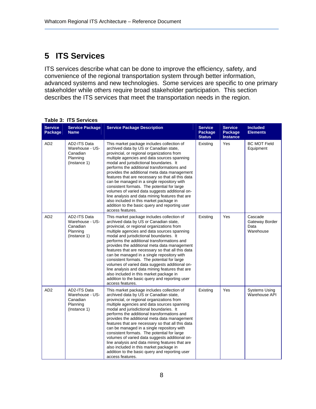## **5 ITS Services**

ITS services describe what can be done to improve the efficiency, safety, and convenience of the regional transportation system through better information, advanced systems and new technologies. Some services are specific to one primary stakeholder while others require broad stakeholder participation. This section describes the ITS services that meet the transportation needs in the region.

|                           | <b>Table 3: ITS Services</b>                                            |                                                                                                                                                                                                                                                                                                                                                                                                                                                                                                                                                                                                                                                                                                     |                                            |                                              |                                                |  |  |
|---------------------------|-------------------------------------------------------------------------|-----------------------------------------------------------------------------------------------------------------------------------------------------------------------------------------------------------------------------------------------------------------------------------------------------------------------------------------------------------------------------------------------------------------------------------------------------------------------------------------------------------------------------------------------------------------------------------------------------------------------------------------------------------------------------------------------------|--------------------------------------------|----------------------------------------------|------------------------------------------------|--|--|
| <b>Service</b><br>Package | <b>Service Package</b><br><b>Name</b>                                   | <b>Service Package Description</b>                                                                                                                                                                                                                                                                                                                                                                                                                                                                                                                                                                                                                                                                  | <b>Service</b><br>Package<br><b>Status</b> | <b>Service</b><br>Package<br><b>Instance</b> | <b>Included</b><br><b>Elements</b>             |  |  |
| AD <sub>2</sub>           | AD2-ITS Data<br>Warehouse - US-<br>Canadian<br>Planning<br>(Instance 1) | This market package includes collection of<br>archived data by US or Canadian state,<br>provincial, or regional organizations from<br>multiple agencies and data sources spanning<br>modal and jurisdictional boundaries. It<br>performs the additional transformations and<br>provides the additional meta data management<br>features that are necessary so that all this data<br>can be managed in a single repository with<br>consistent formats. The potential for large<br>volumes of varied data suggests additional on-<br>line analysis and data mining features that are<br>also included in this market package in<br>addition to the basic query and reporting user<br>access features. | Existing                                   | Yes                                          | <b>BC MOT Field</b><br>Equipment               |  |  |
| AD <sub>2</sub>           | AD2-ITS Data<br>Warehouse - US-<br>Canadian<br>Planning<br>(Instance 1) | This market package includes collection of<br>archived data by US or Canadian state,<br>provincial, or regional organizations from<br>multiple agencies and data sources spanning<br>modal and jurisdictional boundaries. It<br>performs the additional transformations and<br>provides the additional meta data management<br>features that are necessary so that all this data<br>can be managed in a single repository with<br>consistent formats. The potential for large<br>volumes of varied data suggests additional on-<br>line analysis and data mining features that are<br>also included in this market package in<br>addition to the basic query and reporting user<br>access features. | Existing                                   | Yes                                          | Cascade<br>Gateway Border<br>Data<br>Warehouse |  |  |
| AD <sub>2</sub>           | AD2-ITS Data<br>Warehouse - US-<br>Canadian<br>Planning<br>(Instance 1) | This market package includes collection of<br>archived data by US or Canadian state,<br>provincial, or regional organizations from<br>multiple agencies and data sources spanning<br>modal and jurisdictional boundaries. It<br>performs the additional transformations and<br>provides the additional meta data management<br>features that are necessary so that all this data<br>can be managed in a single repository with<br>consistent formats. The potential for large<br>volumes of varied data suggests additional on-<br>line analysis and data mining features that are<br>also included in this market package in<br>addition to the basic query and reporting user<br>access features. | Existing                                   | Yes                                          | <b>Systems Using</b><br>Warehouse API          |  |  |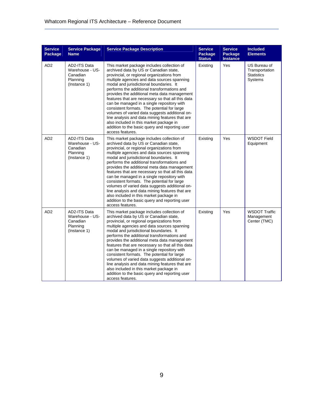| <b>Service</b><br><b>Package</b> | <b>Service Package</b><br><b>Name</b>                                   | <b>Service Package Description</b>                                                                                                                                                                                                                                                                                                                                                                                                                                                                                                                                                                                                                                                                  | <b>Service</b><br>Package<br><b>Status</b> | <b>Service</b><br>Package<br><b>Instance</b> | <b>Included</b><br><b>Elements</b>                                    |
|----------------------------------|-------------------------------------------------------------------------|-----------------------------------------------------------------------------------------------------------------------------------------------------------------------------------------------------------------------------------------------------------------------------------------------------------------------------------------------------------------------------------------------------------------------------------------------------------------------------------------------------------------------------------------------------------------------------------------------------------------------------------------------------------------------------------------------------|--------------------------------------------|----------------------------------------------|-----------------------------------------------------------------------|
| AD <sub>2</sub>                  | AD2-ITS Data<br>Warehouse - US-<br>Canadian<br>Planning<br>(Instance 1) | This market package includes collection of<br>archived data by US or Canadian state,<br>provincial, or regional organizations from<br>multiple agencies and data sources spanning<br>modal and jurisdictional boundaries. It<br>performs the additional transformations and<br>provides the additional meta data management<br>features that are necessary so that all this data<br>can be managed in a single repository with<br>consistent formats. The potential for large<br>volumes of varied data suggests additional on-<br>line analysis and data mining features that are<br>also included in this market package in<br>addition to the basic query and reporting user<br>access features. | Existing                                   | Yes                                          | US Bureau of<br>Transportation<br><b>Statistics</b><br><b>Systems</b> |
| AD <sub>2</sub>                  | AD2-ITS Data<br>Warehouse - US-<br>Canadian<br>Planning<br>(Instance 1) | This market package includes collection of<br>archived data by US or Canadian state,<br>provincial, or regional organizations from<br>multiple agencies and data sources spanning<br>modal and jurisdictional boundaries. It<br>performs the additional transformations and<br>provides the additional meta data management<br>features that are necessary so that all this data<br>can be managed in a single repository with<br>consistent formats. The potential for large<br>volumes of varied data suggests additional on-<br>line analysis and data mining features that are<br>also included in this market package in<br>addition to the basic query and reporting user<br>access features. | Existing                                   | Yes                                          | <b>WSDOT Field</b><br>Equipment                                       |
| AD <sub>2</sub>                  | AD2-ITS Data<br>Warehouse - US-<br>Canadian<br>Planning<br>(Instance 1) | This market package includes collection of<br>archived data by US or Canadian state,<br>provincial, or regional organizations from<br>multiple agencies and data sources spanning<br>modal and jurisdictional boundaries. It<br>performs the additional transformations and<br>provides the additional meta data management<br>features that are necessary so that all this data<br>can be managed in a single repository with<br>consistent formats. The potential for large<br>volumes of varied data suggests additional on-<br>line analysis and data mining features that are<br>also included in this market package in<br>addition to the basic query and reporting user<br>access features. | Existing                                   | Yes                                          | <b>WSDOT Traffic</b><br>Management<br>Center (TMC)                    |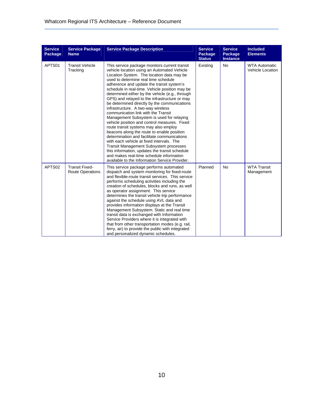| <b>Service</b><br><b>Package</b> | <b>Service Package</b><br><b>Name</b>            | <b>Service Package Description</b>                                                                                                                                                                                                                                                                                                                                                                                                                                                                                                                                                                                                                                                                                                                                                                                                                                                                                                                                                                 | <b>Service</b><br>Package<br><b>Status</b> | <b>Service</b><br>Package<br><b>Instance</b> | <b>Included</b><br><b>Elements</b>       |
|----------------------------------|--------------------------------------------------|----------------------------------------------------------------------------------------------------------------------------------------------------------------------------------------------------------------------------------------------------------------------------------------------------------------------------------------------------------------------------------------------------------------------------------------------------------------------------------------------------------------------------------------------------------------------------------------------------------------------------------------------------------------------------------------------------------------------------------------------------------------------------------------------------------------------------------------------------------------------------------------------------------------------------------------------------------------------------------------------------|--------------------------------------------|----------------------------------------------|------------------------------------------|
| APTS01                           | <b>Transit Vehicle</b><br>Tracking               | This service package monitors current transit<br>vehicle location using an Automated Vehicle<br>Location System. The location data may be<br>used to determine real time schedule<br>adherence and update the transit system's<br>schedule in real-time. Vehicle position may be<br>determined either by the vehicle (e.g., through<br>GPS) and relayed to the infrastructure or may<br>be determined directly by the communications<br>infrastructure. A two-way wireless<br>communication link with the Transit<br>Management Subsystem is used for relaying<br>vehicle position and control measures. Fixed<br>route transit systems may also employ<br>beacons along the route to enable position<br>determination and facilitate communications<br>with each vehicle at fixed intervals. The<br><b>Transit Management Subsystem processes</b><br>this information, updates the transit schedule<br>and makes real-time schedule information<br>available to the Information Service Provider. | Existing                                   | <b>No</b>                                    | <b>WTA Automatic</b><br>Vehicle Location |
| APTS02                           | <b>Transit Fixed-</b><br><b>Route Operations</b> | This service package performs automated<br>dispatch and system monitoring for fixed-route<br>and flexible-route transit services. This service<br>performs scheduling activities including the<br>creation of schedules, blocks and runs, as well<br>as operator assignment. This service<br>determines the transit vehicle trip performance<br>against the schedule using AVL data and<br>provides information displays at the Transit<br>Management Subsystem. Static and real time<br>transit data is exchanged with Information<br>Service Providers where it is integrated with<br>that from other transportation modes (e.g. rail,<br>ferry, air) to provide the public with integrated<br>and personalized dynamic schedules.                                                                                                                                                                                                                                                               | Planned                                    | <b>No</b>                                    | <b>WTA Transit</b><br>Management         |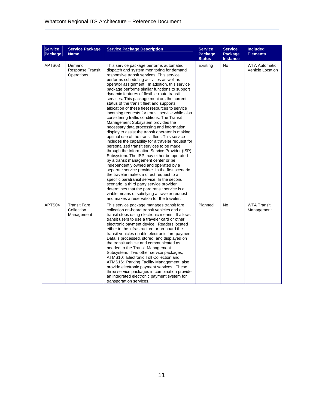| <b>Service</b><br>Package | <b>Service Package</b><br><b>Name</b>           | <b>Service Package Description</b>                                                                                                                                                                                                                                                                                                                                                                                                                                                                                                                                                                                                                                                                                                                                                                                                                                                                                                                                                                                                                                                                                                                                                                                                                                                                                                                                                                  | <b>Service</b><br>Package<br><b>Status</b> | <b>Service</b><br>Package<br><b>Instance</b> | <b>Included</b><br><b>Elements</b>              |
|---------------------------|-------------------------------------------------|-----------------------------------------------------------------------------------------------------------------------------------------------------------------------------------------------------------------------------------------------------------------------------------------------------------------------------------------------------------------------------------------------------------------------------------------------------------------------------------------------------------------------------------------------------------------------------------------------------------------------------------------------------------------------------------------------------------------------------------------------------------------------------------------------------------------------------------------------------------------------------------------------------------------------------------------------------------------------------------------------------------------------------------------------------------------------------------------------------------------------------------------------------------------------------------------------------------------------------------------------------------------------------------------------------------------------------------------------------------------------------------------------------|--------------------------------------------|----------------------------------------------|-------------------------------------------------|
| APTS03                    | Demand<br>Response Transit<br>Operations        | This service package performs automated<br>dispatch and system monitoring for demand<br>responsive transit services. This service<br>performs scheduling activities as well as<br>operator assignment. In addition, this service<br>package performs similar functions to support<br>dynamic features of flexible-route transit<br>services. This package monitors the current<br>status of the transit fleet and supports<br>allocation of these fleet resources to service<br>incoming requests for transit service while also<br>considering traffic conditions. The Transit<br>Management Subsystem provides the<br>necessary data processing and information<br>display to assist the transit operator in making<br>optimal use of the transit fleet. This service<br>includes the capability for a traveler request for<br>personalized transit services to be made<br>through the Information Service Provider (ISP)<br>Subsystem. The ISP may either be operated<br>by a transit management center or be<br>independently owned and operated by a<br>separate service provider. In the first scenario,<br>the traveler makes a direct request to a<br>specific paratransit service. In the second<br>scenario, a third party service provider<br>determines that the paratransit service is a<br>viable means of satisfying a traveler request<br>and makes a reservation for the traveler. | Existing                                   | <b>No</b>                                    | <b>WTA Automatic</b><br><b>Vehicle Location</b> |
| APTS <sub>04</sub>        | <b>Transit Fare</b><br>Collection<br>Management | This service package manages transit fare<br>collection on-board transit vehicles and at<br>transit stops using electronic means. It allows<br>transit users to use a traveler card or other<br>electronic payment device. Readers located<br>either in the infrastructure or on-board the<br>transit vehicles enable electronic fare payment.<br>Data is processed, stored, and displayed on<br>the transit vehicle and communicated as<br>needed to the Transit Management<br>Subsystem. Two other service packages,<br>ATMS10: Electronic Toll Collection and<br>ATMS16: Parking Facility Management, also<br>provide electronic payment services. These<br>three service packages in combination provide<br>an integrated electronic payment system for<br>transportation services.                                                                                                                                                                                                                                                                                                                                                                                                                                                                                                                                                                                                             | Planned                                    | No                                           | <b>WTA Transit</b><br>Management                |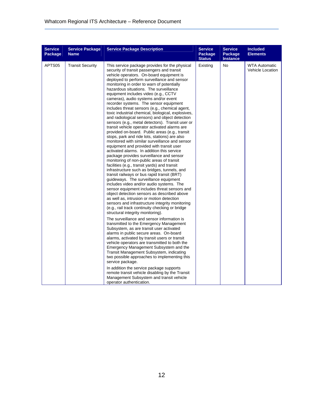| <b>Service</b><br>Package | <b>Service Package</b><br><b>Name</b> | <b>Service Package Description</b>                                                                                                                                                                                                                                                                                                                                                                                                                                                                                                                                                                                                                                                                                                                                                                                                                                                                                                                                                                                                                                                                                                                                                                                                                                                                                                                                                                                                                                                                                                                                                                                                                                                                                                                                                                                                                                      | <b>Service</b><br>Package<br><b>Status</b> | <b>Service</b><br><b>Package</b><br><b>Instance</b> | <b>Included</b><br><b>Elements</b>              |
|---------------------------|---------------------------------------|-------------------------------------------------------------------------------------------------------------------------------------------------------------------------------------------------------------------------------------------------------------------------------------------------------------------------------------------------------------------------------------------------------------------------------------------------------------------------------------------------------------------------------------------------------------------------------------------------------------------------------------------------------------------------------------------------------------------------------------------------------------------------------------------------------------------------------------------------------------------------------------------------------------------------------------------------------------------------------------------------------------------------------------------------------------------------------------------------------------------------------------------------------------------------------------------------------------------------------------------------------------------------------------------------------------------------------------------------------------------------------------------------------------------------------------------------------------------------------------------------------------------------------------------------------------------------------------------------------------------------------------------------------------------------------------------------------------------------------------------------------------------------------------------------------------------------------------------------------------------------|--------------------------------------------|-----------------------------------------------------|-------------------------------------------------|
| APTS05                    | <b>Transit Security</b>               | This service package provides for the physical<br>security of transit passengers and transit<br>vehicle operators. On-board equipment is<br>deployed to perform surveillance and sensor<br>monitoring in order to warn of potentially<br>hazardous situations. The surveillance<br>equipment includes video (e.g., CCTV<br>cameras), audio systems and/or event<br>recorder systems. The sensor equipment<br>includes threat sensors (e.g., chemical agent,<br>toxic industrial chemical, biological, explosives,<br>and radiological sensors) and object detection<br>sensors (e.g., metal detectors). Transit user or<br>transit vehicle operator activated alarms are<br>provided on-board. Public areas (e.g., transit<br>stops, park and ride lots, stations) are also<br>monitored with similar surveillance and sensor<br>equipment and provided with transit user<br>activated alarms. In addition this service<br>package provides surveillance and sensor<br>monitoring of non-public areas of transit<br>facilities (e.g., transit yards) and transit<br>infrastructure such as bridges, tunnels, and<br>transit railways or bus rapid transit (BRT)<br>guideways. The surveillance equipment<br>includes video and/or audio systems. The<br>sensor equipment includes threat sensors and<br>object detection sensors as described above<br>as well as, intrusion or motion detection<br>sensors and infrastructure integrity monitoring<br>(e.g., rail track continuity checking or bridge<br>structural integrity monitoring).<br>The surveillance and sensor information is<br>transmitted to the Emergency Management<br>Subsystem, as are transit user activated<br>alarms in public secure areas. On-board<br>alarms, activated by transit users or transit<br>vehicle operators are transmitted to both the<br>Emergency Management Subsystem and the | Existing                                   | No                                                  | <b>WTA Automatic</b><br><b>Vehicle Location</b> |
|                           |                                       | Transit Management Subsystem, indicating<br>two possible approaches to implementing this<br>service package.<br>In addition the service package supports<br>remote transit vehicle disabling by the Transit<br>Management Subsystem and transit vehicle                                                                                                                                                                                                                                                                                                                                                                                                                                                                                                                                                                                                                                                                                                                                                                                                                                                                                                                                                                                                                                                                                                                                                                                                                                                                                                                                                                                                                                                                                                                                                                                                                 |                                            |                                                     |                                                 |
|                           |                                       | operator authentication.                                                                                                                                                                                                                                                                                                                                                                                                                                                                                                                                                                                                                                                                                                                                                                                                                                                                                                                                                                                                                                                                                                                                                                                                                                                                                                                                                                                                                                                                                                                                                                                                                                                                                                                                                                                                                                                |                                            |                                                     |                                                 |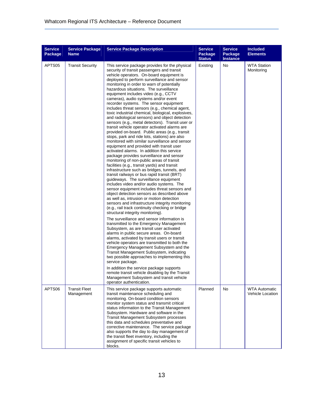| <b>Service</b><br>Package | <b>Service Package</b><br><b>Name</b> | <b>Service Package Description</b>                                                                                                                                                                                                                                                                                                                                                                                                                                                                                                                                                                                                                                                                                                                                                                                                                                                                                                                                                                                                                                                                                                                                                                                                                                                                                                                                                                                                                                                                                                                                                                                                                                                                                                                                                                                                                                                                                  | <b>Service</b><br>Package<br><b>Status</b> | <b>Service</b><br>Package<br><b>Instance</b> | <b>Included</b><br><b>Elements</b>       |
|---------------------------|---------------------------------------|---------------------------------------------------------------------------------------------------------------------------------------------------------------------------------------------------------------------------------------------------------------------------------------------------------------------------------------------------------------------------------------------------------------------------------------------------------------------------------------------------------------------------------------------------------------------------------------------------------------------------------------------------------------------------------------------------------------------------------------------------------------------------------------------------------------------------------------------------------------------------------------------------------------------------------------------------------------------------------------------------------------------------------------------------------------------------------------------------------------------------------------------------------------------------------------------------------------------------------------------------------------------------------------------------------------------------------------------------------------------------------------------------------------------------------------------------------------------------------------------------------------------------------------------------------------------------------------------------------------------------------------------------------------------------------------------------------------------------------------------------------------------------------------------------------------------------------------------------------------------------------------------------------------------|--------------------------------------------|----------------------------------------------|------------------------------------------|
| APTS05                    | <b>Transit Security</b>               | This service package provides for the physical<br>security of transit passengers and transit<br>vehicle operators. On-board equipment is<br>deployed to perform surveillance and sensor<br>monitoring in order to warn of potentially<br>hazardous situations. The surveillance<br>equipment includes video (e.g., CCTV<br>cameras), audio systems and/or event<br>recorder systems. The sensor equipment<br>includes threat sensors (e.g., chemical agent,<br>toxic industrial chemical, biological, explosives,<br>and radiological sensors) and object detection<br>sensors (e.g., metal detectors). Transit user or<br>transit vehicle operator activated alarms are<br>provided on-board. Public areas (e.g., transit<br>stops, park and ride lots, stations) are also<br>monitored with similar surveillance and sensor<br>equipment and provided with transit user<br>activated alarms. In addition this service<br>package provides surveillance and sensor<br>monitoring of non-public areas of transit<br>facilities (e.g., transit yards) and transit<br>infrastructure such as bridges, tunnels, and<br>transit railways or bus rapid transit (BRT)<br>guideways. The surveillance equipment<br>includes video and/or audio systems. The<br>sensor equipment includes threat sensors and<br>object detection sensors as described above<br>as well as, intrusion or motion detection<br>sensors and infrastructure integrity monitoring<br>(e.g., rail track continuity checking or bridge<br>structural integrity monitoring).<br>The surveillance and sensor information is<br>transmitted to the Emergency Management<br>Subsystem, as are transit user activated<br>alarms in public secure areas. On-board<br>alarms, activated by transit users or transit<br>vehicle operators are transmitted to both the<br>Emergency Management Subsystem and the<br>Transit Management Subsystem, indicating | Existing                                   | No                                           | <b>WTA Station</b><br>Monitoring         |
|                           |                                       | two possible approaches to implementing this<br>service package.<br>In addition the service package supports<br>remote transit vehicle disabling by the Transit<br>Management Subsystem and transit vehicle                                                                                                                                                                                                                                                                                                                                                                                                                                                                                                                                                                                                                                                                                                                                                                                                                                                                                                                                                                                                                                                                                                                                                                                                                                                                                                                                                                                                                                                                                                                                                                                                                                                                                                         |                                            |                                              |                                          |
| APTS06                    | <b>Transit Fleet</b><br>Management    | operator authentication.<br>This service package supports automatic<br>transit maintenance scheduling and<br>monitoring. On-board condition sensors<br>monitor system status and transmit critical<br>status information to the Transit Management<br>Subsystem. Hardware and software in the<br><b>Transit Management Subsystem processes</b><br>this data and schedules preventative and<br>corrective maintenance. The service package<br>also supports the day to day management of<br>the transit fleet inventory, including the<br>assignment of specific transit vehicles to<br>blocks.                                                                                                                                                                                                                                                                                                                                                                                                                                                                                                                                                                                                                                                                                                                                                                                                                                                                                                                                                                                                                                                                                                                                                                                                                                                                                                                      | Planned                                    | No                                           | <b>WTA Automatic</b><br>Vehicle Location |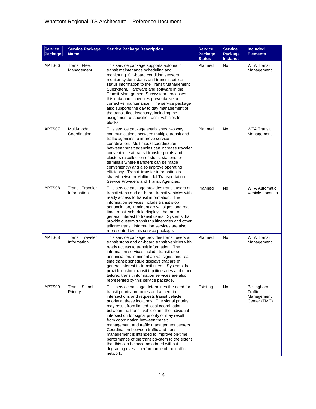| <b>Service</b><br>Package | <b>Service Package</b><br><b>Name</b>  | <b>Service Package Description</b>                                                                                                                                                                                                                                                                                                                                                                                                                                                                                                                                                                                                                                                | <b>Service</b><br>Package<br><b>Status</b> | <b>Service</b><br>Package<br>Instance | <b>Included</b><br><b>Elements</b>                  |
|---------------------------|----------------------------------------|-----------------------------------------------------------------------------------------------------------------------------------------------------------------------------------------------------------------------------------------------------------------------------------------------------------------------------------------------------------------------------------------------------------------------------------------------------------------------------------------------------------------------------------------------------------------------------------------------------------------------------------------------------------------------------------|--------------------------------------------|---------------------------------------|-----------------------------------------------------|
| APTS06                    | <b>Transit Fleet</b><br>Management     | This service package supports automatic<br>transit maintenance scheduling and<br>monitoring. On-board condition sensors<br>monitor system status and transmit critical<br>status information to the Transit Management<br>Subsystem. Hardware and software in the<br><b>Transit Management Subsystem processes</b><br>this data and schedules preventative and<br>corrective maintenance. The service package<br>also supports the day to day management of<br>the transit fleet inventory, including the<br>assignment of specific transit vehicles to<br>blocks.                                                                                                                | Planned                                    | No                                    | <b>WTA Transit</b><br>Management                    |
| APTS07                    | Multi-modal<br>Coordination            | This service package establishes two way<br>communications between multiple transit and<br>traffic agencies to improve service<br>coordination. Multimodal coordination<br>between transit agencies can increase traveler<br>convenience at transit transfer points and<br>clusters (a collection of stops, stations, or<br>terminals where transfers can be made<br>conveniently) and also improve operating<br>efficiency. Transit transfer information is<br>shared between Multimodal Transportation<br>Service Providers and Transit Agencies.                                                                                                                               | Planned                                    | No                                    | <b>WTA Transit</b><br>Management                    |
| APTS08                    | <b>Transit Traveler</b><br>Information | This service package provides transit users at<br>transit stops and on-board transit vehicles with<br>ready access to transit information. The<br>information services include transit stop<br>annunciation, imminent arrival signs, and real-<br>time transit schedule displays that are of<br>general interest to transit users. Systems that<br>provide custom transit trip itineraries and other<br>tailored transit information services are also<br>represented by this service package.                                                                                                                                                                                    | Planned                                    | No                                    | <b>WTA Automatic</b><br><b>Vehicle Location</b>     |
| APTS08                    | <b>Transit Traveler</b><br>Information | This service package provides transit users at<br>transit stops and on-board transit vehicles with<br>ready access to transit information. The<br>information services include transit stop<br>annunciation, imminent arrival signs, and real-<br>time transit schedule displays that are of<br>general interest to transit users. Systems that<br>provide custom transit trip itineraries and other<br>tailored transit information services are also<br>represented by this service package.                                                                                                                                                                                    | Planned                                    | No                                    | <b>WTA Transit</b><br>Management                    |
| APTS09                    | <b>Transit Signal</b><br>Priority      | This service package determines the need for<br>transit priority on routes and at certain<br>intersections and requests transit vehicle<br>priority at these locations. The signal priority<br>may result from limited local coordination<br>between the transit vehicle and the individual<br>intersection for signal priority or may result<br>from coordination between transit<br>management and traffic management centers.<br>Coordination between traffic and transit<br>management is intended to improve on-time<br>performance of the transit system to the extent<br>that this can be accommodated without<br>degrading overall performance of the traffic<br>network. | Existing                                   | No                                    | Bellingham<br>Traffic<br>Management<br>Center (TMC) |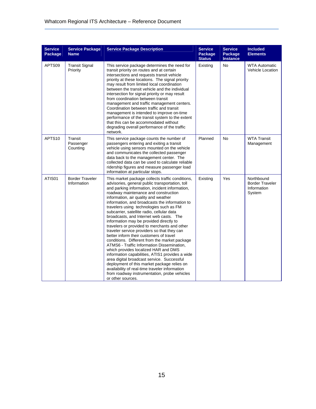| <b>Service</b><br>Package | <b>Service Package</b><br><b>Name</b> | <b>Service Package Description</b>                                                                                                                                                                                                                                                                                                                                                                                                                                                                                                                                                                                                                                                                                                                                                                                                                                                                                                                                                                                             | <b>Service</b><br>Package<br><b>Status</b> | <b>Service</b><br>Package<br><b>Instance</b> | <b>Included</b><br><b>Elements</b>                            |
|---------------------------|---------------------------------------|--------------------------------------------------------------------------------------------------------------------------------------------------------------------------------------------------------------------------------------------------------------------------------------------------------------------------------------------------------------------------------------------------------------------------------------------------------------------------------------------------------------------------------------------------------------------------------------------------------------------------------------------------------------------------------------------------------------------------------------------------------------------------------------------------------------------------------------------------------------------------------------------------------------------------------------------------------------------------------------------------------------------------------|--------------------------------------------|----------------------------------------------|---------------------------------------------------------------|
| APTS09                    | <b>Transit Signal</b><br>Priority     | This service package determines the need for<br>transit priority on routes and at certain<br>intersections and requests transit vehicle<br>priority at these locations. The signal priority<br>may result from limited local coordination<br>between the transit vehicle and the individual<br>intersection for signal priority or may result<br>from coordination between transit<br>management and traffic management centers.<br>Coordination between traffic and transit<br>management is intended to improve on-time<br>performance of the transit system to the extent<br>that this can be accommodated without<br>degrading overall performance of the traffic<br>network.                                                                                                                                                                                                                                                                                                                                              | Existing                                   | No                                           | <b>WTA Automatic</b><br>Vehicle Location                      |
| APTS <sub>10</sub>        | Transit<br>Passenger<br>Counting      | This service package counts the number of<br>passengers entering and exiting a transit<br>vehicle using sensors mounted on the vehicle<br>and communicates the collected passenger<br>data back to the management center. The<br>collected data can be used to calculate reliable<br>ridership figures and measure passenger load<br>information at particular stops.                                                                                                                                                                                                                                                                                                                                                                                                                                                                                                                                                                                                                                                          | Planned                                    | <b>No</b>                                    | <b>WTA Transit</b><br>Management                              |
| ATIS01                    | <b>Border Traveler</b><br>Information | This market package collects traffic conditions,<br>advisories, general public transportation, toll<br>and parking information, incident information,<br>roadway maintenance and construction<br>information, air quality and weather<br>information, and broadcasts the information to<br>travelers using technologies such as FM<br>subcarrier, satellite radio, cellular data<br>broadcasts, and Internet web casts. The<br>information may be provided directly to<br>travelers or provided to merchants and other<br>traveler service providers so that they can<br>better inform their customers of travel<br>conditions. Different from the market package<br>ATMS6 - Traffic Information Dissemination,<br>which provides localized HAR and DMS<br>information capabilities, ATIS1 provides a wide<br>area digital broadcast service. Successful<br>deployment of this market package relies on<br>availability of real-time traveler information<br>from roadway instrumentation, probe vehicles<br>or other sources. | Existing                                   | Yes                                          | Northbound<br><b>Border Traveler</b><br>Information<br>System |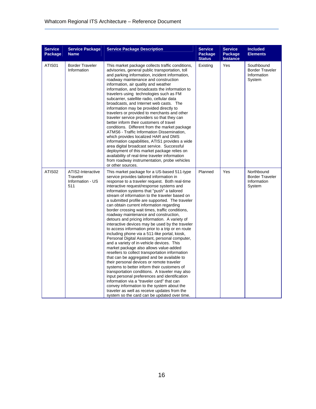| <b>Service</b><br>Package | <b>Service Package</b><br><b>Name</b>                    | <b>Service Package Description</b>                                                                                                                                                                                                                                                                                                                                                                                                                                                                                                                                                                                                                                                                                                                                                                                                                                                                                                                                                                                                                                                                                                                                                                                                                                                                                              | <b>Service</b><br>Package<br><b>Status</b> | <b>Service</b><br><b>Package</b><br><b>Instance</b> | <b>Included</b><br><b>Elements</b>                            |
|---------------------------|----------------------------------------------------------|---------------------------------------------------------------------------------------------------------------------------------------------------------------------------------------------------------------------------------------------------------------------------------------------------------------------------------------------------------------------------------------------------------------------------------------------------------------------------------------------------------------------------------------------------------------------------------------------------------------------------------------------------------------------------------------------------------------------------------------------------------------------------------------------------------------------------------------------------------------------------------------------------------------------------------------------------------------------------------------------------------------------------------------------------------------------------------------------------------------------------------------------------------------------------------------------------------------------------------------------------------------------------------------------------------------------------------|--------------------------------------------|-----------------------------------------------------|---------------------------------------------------------------|
| ATIS01                    | <b>Border Traveler</b><br>Information                    | This market package collects traffic conditions,<br>advisories, general public transportation, toll<br>and parking information, incident information,<br>roadway maintenance and construction<br>information, air quality and weather<br>information, and broadcasts the information to<br>travelers using technologies such as FM<br>subcarrier, satellite radio, cellular data<br>broadcasts, and Internet web casts. The<br>information may be provided directly to<br>travelers or provided to merchants and other<br>traveler service providers so that they can<br>better inform their customers of travel<br>conditions. Different from the market package<br>ATMS6 - Traffic Information Dissemination,<br>which provides localized HAR and DMS<br>information capabilities, ATIS1 provides a wide<br>area digital broadcast service. Successful<br>deployment of this market package relies on<br>availability of real-time traveler information<br>from roadway instrumentation, probe vehicles<br>or other sources.                                                                                                                                                                                                                                                                                                  | Existing                                   | Yes                                                 | Southbound<br><b>Border Traveler</b><br>Information<br>System |
| ATIS02                    | ATIS2-Interactive<br>Traveler<br>Information - US<br>511 | This market package for a US-based 511-type<br>service provides tailored information in<br>response to a traveler request. Both real-time<br>interactive request/response systems and<br>information systems that "push" a tailored<br>stream of information to the traveler based on<br>a submitted profile are supported. The traveler<br>can obtain current information regarding<br>border crossing wait times, traffic conditions,<br>roadway maintenance and construction,<br>detours and pricing information. A variety of<br>interactive devices may be used by the traveler<br>to access information prior to a trip or en route<br>including phone via a 511-like portal, kiosk,<br>Personal Digital Assistant, personal computer,<br>and a variety of in-vehicle devices. This<br>market package also allows value-added<br>resellers to collect transportation information<br>that can be aggregated and be available to<br>their personal devices or remote traveler<br>systems to better inform their customers of<br>transportation conditions. A traveler may also<br>input personal preferences and identification<br>information via a "traveler card" that can<br>convey information to the system about the<br>traveler as well as receive updates from the<br>system so the card can be updated over time. | Planned                                    | Yes                                                 | Northbound<br><b>Border Traveler</b><br>Information<br>System |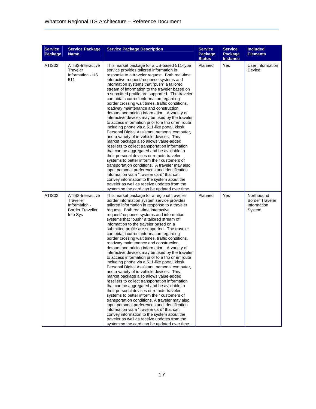| <b>Service</b><br>Package | <b>Service Package</b><br><b>Name</b>                                                  | <b>Service Package Description</b>                                                                                                                                                                                                                                                                                                                                                                                                                                                                                                                                                                                                                                                                                                                                                                                                                                                                                                                                                                                                                                                                                                                                                                                                                                                                                                                            | <b>Service</b><br>Package<br><b>Status</b> | <b>Service</b><br>Package<br><b>Instance</b> | <b>Included</b><br><b>Elements</b>                            |
|---------------------------|----------------------------------------------------------------------------------------|---------------------------------------------------------------------------------------------------------------------------------------------------------------------------------------------------------------------------------------------------------------------------------------------------------------------------------------------------------------------------------------------------------------------------------------------------------------------------------------------------------------------------------------------------------------------------------------------------------------------------------------------------------------------------------------------------------------------------------------------------------------------------------------------------------------------------------------------------------------------------------------------------------------------------------------------------------------------------------------------------------------------------------------------------------------------------------------------------------------------------------------------------------------------------------------------------------------------------------------------------------------------------------------------------------------------------------------------------------------|--------------------------------------------|----------------------------------------------|---------------------------------------------------------------|
| ATIS <sub>02</sub>        | ATIS2-Interactive<br>Traveler<br>Information - US<br>511                               | This market package for a US-based 511-type<br>service provides tailored information in<br>response to a traveler request. Both real-time<br>interactive request/response systems and<br>information systems that "push" a tailored<br>stream of information to the traveler based on<br>a submitted profile are supported. The traveler<br>can obtain current information regarding<br>border crossing wait times, traffic conditions,<br>roadway maintenance and construction,<br>detours and pricing information. A variety of<br>interactive devices may be used by the traveler<br>to access information prior to a trip or en route<br>including phone via a 511-like portal, kiosk,<br>Personal Digital Assistant, personal computer,<br>and a variety of in-vehicle devices. This<br>market package also allows value-added<br>resellers to collect transportation information<br>that can be aggregated and be available to<br>their personal devices or remote traveler<br>systems to better inform their customers of<br>transportation conditions. A traveler may also<br>input personal preferences and identification<br>information via a "traveler card" that can<br>convey information to the system about the<br>traveler as well as receive updates from the<br>system so the card can be updated over time.                               | Planned                                    | Yes                                          | User Information<br>Device                                    |
| ATIS02                    | ATIS2-Interactive<br>Traveller<br>Information -<br><b>Border Traveller</b><br>Info Sys | This market package for a regional traveller<br>border information system service provides<br>tailored information in response to a traveler<br>request. Both real-time interactive<br>request/response systems and information<br>systems that "push" a tailored stream of<br>information to the traveler based on a<br>submitted profile are supported. The traveler<br>can obtain current information regarding<br>border crossing wait times, traffic conditions,<br>roadway maintenance and construction,<br>detours and pricing information. A variety of<br>interactive devices may be used by the traveler<br>to access information prior to a trip or en route<br>including phone via a 511-like portal, kiosk,<br>Personal Digital Assistant, personal computer,<br>and a variety of in-vehicle devices. This<br>market package also allows value-added<br>resellers to collect transportation information<br>that can be aggregated and be available to<br>their personal devices or remote traveler<br>systems to better inform their customers of<br>transportation conditions. A traveler may also<br>input personal preferences and identification<br>information via a "traveler card" that can<br>convey information to the system about the<br>traveler as well as receive updates from the<br>system so the card can be updated over time. | Planned                                    | Yes                                          | Northbound<br><b>Border Traveler</b><br>Information<br>System |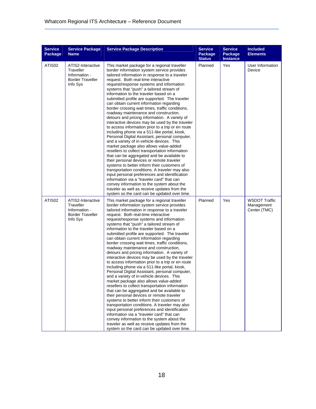| <b>Service</b><br>Package | <b>Service Package</b><br><b>Name</b>                                                  | <b>Service Package Description</b>                                                                                                                                                                                                                                                                                                                                                                                                                                                                                                                                                                                                                                                                                                                                                                                                                                                                                                                                                                                                                                                                                                                                                                                                                                                                                                                            | <b>Service</b><br>Package<br><b>Status</b> | <b>Service</b><br>Package<br><b>Instance</b> | <b>Included</b><br><b>Elements</b>                 |
|---------------------------|----------------------------------------------------------------------------------------|---------------------------------------------------------------------------------------------------------------------------------------------------------------------------------------------------------------------------------------------------------------------------------------------------------------------------------------------------------------------------------------------------------------------------------------------------------------------------------------------------------------------------------------------------------------------------------------------------------------------------------------------------------------------------------------------------------------------------------------------------------------------------------------------------------------------------------------------------------------------------------------------------------------------------------------------------------------------------------------------------------------------------------------------------------------------------------------------------------------------------------------------------------------------------------------------------------------------------------------------------------------------------------------------------------------------------------------------------------------|--------------------------------------------|----------------------------------------------|----------------------------------------------------|
| ATIS <sub>02</sub>        | ATIS2-Interactive<br>Traveller<br>Information -<br><b>Border Traveller</b><br>Info Sys | This market package for a regional traveller<br>border information system service provides<br>tailored information in response to a traveler<br>request. Both real-time interactive<br>request/response systems and information<br>systems that "push" a tailored stream of<br>information to the traveler based on a<br>submitted profile are supported. The traveler<br>can obtain current information regarding<br>border crossing wait times, traffic conditions,<br>roadway maintenance and construction,<br>detours and pricing information. A variety of<br>interactive devices may be used by the traveler<br>to access information prior to a trip or en route<br>including phone via a 511-like portal, kiosk,<br>Personal Digital Assistant, personal computer,<br>and a variety of in-vehicle devices. This<br>market package also allows value-added<br>resellers to collect transportation information<br>that can be aggregated and be available to<br>their personal devices or remote traveler<br>systems to better inform their customers of<br>transportation conditions. A traveler may also<br>input personal preferences and identification<br>information via a "traveler card" that can<br>convey information to the system about the<br>traveler as well as receive updates from the<br>system so the card can be updated over time. | Planned                                    | Yes                                          | User Information<br>Device                         |
| ATIS02                    | ATIS2-Interactive<br>Traveller<br>Information -<br><b>Border Traveller</b><br>Info Sys | This market package for a regional traveller<br>border information system service provides<br>tailored information in response to a traveler<br>request. Both real-time interactive<br>request/response systems and information<br>systems that "push" a tailored stream of<br>information to the traveler based on a<br>submitted profile are supported. The traveler<br>can obtain current information regarding<br>border crossing wait times, traffic conditions,<br>roadway maintenance and construction.<br>detours and pricing information. A variety of<br>interactive devices may be used by the traveler<br>to access information prior to a trip or en route<br>including phone via a 511-like portal, kiosk,<br>Personal Digital Assistant, personal computer,<br>and a variety of in-vehicle devices. This<br>market package also allows value-added<br>resellers to collect transportation information<br>that can be aggregated and be available to<br>their personal devices or remote traveler<br>systems to better inform their customers of<br>transportation conditions. A traveler may also<br>input personal preferences and identification<br>information via a "traveler card" that can<br>convey information to the system about the<br>traveler as well as receive updates from the<br>system so the card can be updated over time. | Planned                                    | Yes                                          | <b>WSDOT Traffic</b><br>Management<br>Center (TMC) |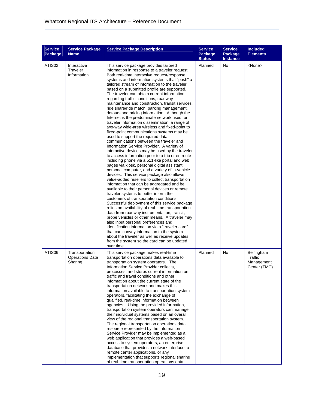| <b>Service</b><br>Package | <b>Service Package</b><br><b>Name</b>               | <b>Service Package Description</b>                                                                                                                                                                                                                                                                                                                                                                                                                                                                                                                                                                                                                                                                                                                                                                                                                                                                                                                                                                                                                                                                                                                                                                                                                                                                                                                                                                                                                                                                                                                                                                                                                                                                                                                                                                                                                                           | <b>Service</b><br>Package<br><b>Status</b> | <b>Service</b><br>Package<br><b>Instance</b> | <b>Included</b><br><b>Elements</b>                  |
|---------------------------|-----------------------------------------------------|------------------------------------------------------------------------------------------------------------------------------------------------------------------------------------------------------------------------------------------------------------------------------------------------------------------------------------------------------------------------------------------------------------------------------------------------------------------------------------------------------------------------------------------------------------------------------------------------------------------------------------------------------------------------------------------------------------------------------------------------------------------------------------------------------------------------------------------------------------------------------------------------------------------------------------------------------------------------------------------------------------------------------------------------------------------------------------------------------------------------------------------------------------------------------------------------------------------------------------------------------------------------------------------------------------------------------------------------------------------------------------------------------------------------------------------------------------------------------------------------------------------------------------------------------------------------------------------------------------------------------------------------------------------------------------------------------------------------------------------------------------------------------------------------------------------------------------------------------------------------------|--------------------------------------------|----------------------------------------------|-----------------------------------------------------|
| ATIS <sub>02</sub>        | Interactive<br>Traveler<br>Information              | This service package provides tailored<br>information in response to a traveler request.<br>Both real-time interactive request/response<br>systems and information systems that "push" a<br>tailored stream of information to the traveler<br>based on a submitted profile are supported.<br>The traveler can obtain current information<br>regarding traffic conditions, roadway<br>maintenance and construction, transit services,<br>ride share/ride match, parking management,<br>detours and pricing information. Although the<br>Internet is the predominate network used for<br>traveler information dissemination, a range of<br>two-way wide-area wireless and fixed-point to<br>fixed-point communications systems may be<br>used to support the required data<br>communications between the traveler and<br>Information Service Provider. A variety of<br>interactive devices may be used by the traveler<br>to access information prior to a trip or en route<br>including phone via a 511-like portal and web<br>pages via kiosk, personal digital assistant,<br>personal computer, and a variety of in-vehicle<br>devices. This service package also allows<br>value-added resellers to collect transportation<br>information that can be aggregated and be<br>available to their personal devices or remote<br>traveler systems to better inform their<br>customers of transportation conditions.<br>Successful deployment of this service package<br>relies on availability of real-time transportation<br>data from roadway instrumentation, transit,<br>probe vehicles or other means. A traveler may<br>also input personal preferences and<br>identification information via a "traveler card"<br>that can convey information to the system<br>about the traveler as well as receive updates<br>from the system so the card can be updated<br>over time. | Planned                                    | No                                           | <none></none>                                       |
| ATIS06                    | Transportation<br><b>Operations Data</b><br>Sharing | This service package makes real-time<br>transportation operations data available to<br>transportation system operators. The<br>Information Service Provider collects,<br>processes, and stores current information on<br>traffic and travel conditions and other<br>information about the current state of the<br>transportation network and makes this<br>information available to transportation system<br>operators, facilitating the exchange of<br>qualified, real-time information between<br>agencies. Using the provided information,<br>transportation system operators can manage<br>their individual systems based on an overall<br>view of the regional transportation system.<br>The regional transportation operations data<br>resource represented by the Information<br>Service Provider may be implemented as a<br>web application that provides a web-based<br>access to system operators, an enterprise<br>database that provides a network interface to<br>remote center applications, or any<br>implementation that supports regional sharing<br>of real-time transportation operations data.                                                                                                                                                                                                                                                                                                                                                                                                                                                                                                                                                                                                                                                                                                                                                           | Planned                                    | <b>No</b>                                    | Bellingham<br>Traffic<br>Management<br>Center (TMC) |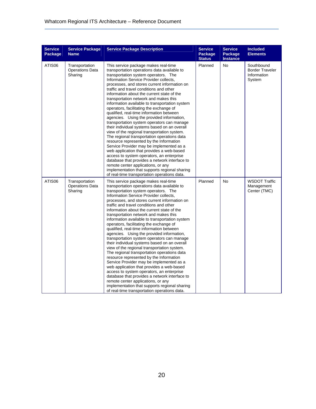| <b>Service</b><br>Package | <b>Service Package</b><br><b>Name</b>               | <b>Service Package Description</b>                                                                                                                                                                                                                                                                                                                                                                                                                                                                                                                                                                                                                                                                                                                                                                                                                                                                                                                                                                                                                                                                                 | <b>Service</b><br>Package<br><b>Status</b> | <b>Service</b><br>Package<br><b>Instance</b> | <b>Included</b><br><b>Elements</b>                            |
|---------------------------|-----------------------------------------------------|--------------------------------------------------------------------------------------------------------------------------------------------------------------------------------------------------------------------------------------------------------------------------------------------------------------------------------------------------------------------------------------------------------------------------------------------------------------------------------------------------------------------------------------------------------------------------------------------------------------------------------------------------------------------------------------------------------------------------------------------------------------------------------------------------------------------------------------------------------------------------------------------------------------------------------------------------------------------------------------------------------------------------------------------------------------------------------------------------------------------|--------------------------------------------|----------------------------------------------|---------------------------------------------------------------|
| ATIS06                    | Transportation<br><b>Operations Data</b><br>Sharing | This service package makes real-time<br>transportation operations data available to<br>transportation system operators. The<br>Information Service Provider collects,<br>processes, and stores current information on<br>traffic and travel conditions and other<br>information about the current state of the<br>transportation network and makes this<br>information available to transportation system<br>operators, facilitating the exchange of<br>qualified, real-time information between<br>agencies. Using the provided information,<br>transportation system operators can manage<br>their individual systems based on an overall<br>view of the regional transportation system.<br>The regional transportation operations data<br>resource represented by the Information<br>Service Provider may be implemented as a<br>web application that provides a web-based<br>access to system operators, an enterprise<br>database that provides a network interface to<br>remote center applications, or any<br>implementation that supports regional sharing<br>of real-time transportation operations data. | Planned                                    | No                                           | Southbound<br><b>Border Traveler</b><br>Information<br>System |
| ATIS06                    | Transportation<br><b>Operations Data</b><br>Sharing | This service package makes real-time<br>transportation operations data available to<br>transportation system operators. The<br>Information Service Provider collects,<br>processes, and stores current information on<br>traffic and travel conditions and other<br>information about the current state of the<br>transportation network and makes this<br>information available to transportation system<br>operators, facilitating the exchange of<br>qualified, real-time information between<br>agencies. Using the provided information,<br>transportation system operators can manage<br>their individual systems based on an overall<br>view of the regional transportation system.<br>The regional transportation operations data<br>resource represented by the Information<br>Service Provider may be implemented as a<br>web application that provides a web-based<br>access to system operators, an enterprise<br>database that provides a network interface to<br>remote center applications, or any<br>implementation that supports regional sharing<br>of real-time transportation operations data. | Planned                                    | No                                           | <b>WSDOT Traffic</b><br>Management<br>Center (TMC)            |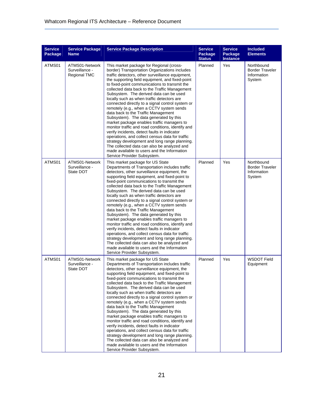| <b>Service</b><br>Package | <b>Service Package</b><br><b>Name</b>                   | <b>Service Package Description</b>                                                                                                                                                                                                                                                                                                                                                                                                                                                                                                                                                                                                                                                                                                                                                                                                                                                                                                                               | <b>Service</b><br>Package<br><b>Status</b> | <b>Service</b><br>Package<br><b>Instance</b> | <b>Included</b><br><b>Elements</b>                            |
|---------------------------|---------------------------------------------------------|------------------------------------------------------------------------------------------------------------------------------------------------------------------------------------------------------------------------------------------------------------------------------------------------------------------------------------------------------------------------------------------------------------------------------------------------------------------------------------------------------------------------------------------------------------------------------------------------------------------------------------------------------------------------------------------------------------------------------------------------------------------------------------------------------------------------------------------------------------------------------------------------------------------------------------------------------------------|--------------------------------------------|----------------------------------------------|---------------------------------------------------------------|
| ATMS01                    | ATMS01-Network<br>Surveillance -<br><b>Regional TMC</b> | This market package for Regional (cross-<br>border) Transportation Organizations includes<br>traffic detectors, other surveillance equipment,<br>the supporting field equipment, and fixed-point<br>to fixed-point communications to transmit the<br>collected data back to the Traffic Management<br>Subsystem. The derived data can be used<br>locally such as when traffic detectors are<br>connected directly to a signal control system or<br>remotely (e.g., when a CCTV system sends<br>data back to the Traffic Management<br>Subsystem). The data generated by this<br>market package enables traffic managers to<br>monitor traffic and road conditions, identify and<br>verify incidents, detect faults in indicator<br>operations, and collect census data for traffic<br>strategy development and long range planning.<br>The collected data can also be analyzed and<br>made available to users and the Information<br>Service Provider Subsystem. | Planned                                    | Yes                                          | Northbound<br><b>Border Traveler</b><br>Information<br>System |
| ATMS01                    | ATMS01-Network<br>Surveillance -<br>State DOT           | This market package for US State<br>Departments of Transportation includes traffic<br>detectors, other surveillance equipment, the<br>supporting field equipment, and fixed-point to<br>fixed-point communications to transmit the<br>collected data back to the Traffic Management<br>Subsystem. The derived data can be used<br>locally such as when traffic detectors are<br>connected directly to a signal control system or<br>remotely (e.g., when a CCTV system sends<br>data back to the Traffic Management<br>Subsystem). The data generated by this<br>market package enables traffic managers to<br>monitor traffic and road conditions, identify and<br>verify incidents, detect faults in indicator<br>operations, and collect census data for traffic<br>strategy development and long range planning.<br>The collected data can also be analyzed and<br>made available to users and the Information<br>Service Provider Subsystem.                | Planned                                    | Yes                                          | Northbound<br><b>Border Traveler</b><br>Information<br>System |
| ATMS01                    | ATMS01-Network<br>Surveillance -<br>State DOT           | This market package for US State<br>Departments of Transportation includes traffic<br>detectors, other surveillance equipment, the<br>supporting field equipment, and fixed-point to<br>fixed-point communications to transmit the<br>collected data back to the Traffic Management<br>Subsystem. The derived data can be used<br>locally such as when traffic detectors are<br>connected directly to a signal control system or<br>remotely (e.g., when a CCTV system sends<br>data back to the Traffic Management<br>Subsystem). The data generated by this<br>market package enables traffic managers to<br>monitor traffic and road conditions, identify and<br>verify incidents, detect faults in indicator<br>operations, and collect census data for traffic<br>strategy development and long range planning.<br>The collected data can also be analyzed and<br>made available to users and the Information<br>Service Provider Subsystem.                | Planned                                    | Yes                                          | <b>WSDOT Field</b><br>Equipment                               |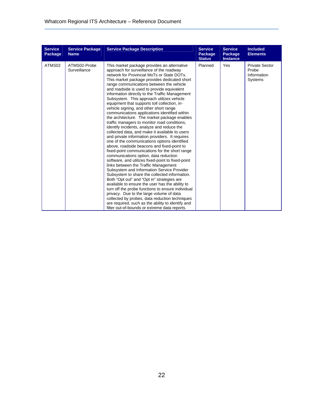| <b>Service</b><br>Package | <b>Service Package</b><br><b>Name</b> | <b>Service Package Description</b>                                                                                                                                                                                                                                                                                                                                                                                                                                                                                                                                                                                                                                                                                                                                                                                                                                                                                                                                                                                                                                                                                                                                                                                                                                                                                                                                                                                                                                                                                         | <b>Service</b><br>Package<br><b>Status</b> | <b>Service</b><br>Package<br><b>Instance</b> | <b>Included</b><br><b>Elements</b>                       |
|---------------------------|---------------------------------------|----------------------------------------------------------------------------------------------------------------------------------------------------------------------------------------------------------------------------------------------------------------------------------------------------------------------------------------------------------------------------------------------------------------------------------------------------------------------------------------------------------------------------------------------------------------------------------------------------------------------------------------------------------------------------------------------------------------------------------------------------------------------------------------------------------------------------------------------------------------------------------------------------------------------------------------------------------------------------------------------------------------------------------------------------------------------------------------------------------------------------------------------------------------------------------------------------------------------------------------------------------------------------------------------------------------------------------------------------------------------------------------------------------------------------------------------------------------------------------------------------------------------------|--------------------------------------------|----------------------------------------------|----------------------------------------------------------|
| ATMS02                    | ATMS02-Probe<br>Surveillance          | This market package provides an alternative<br>approach for surveillance of the roadway<br>network for Provincial MoTs or State DOTs.<br>This market package provides dedicated short<br>range communications between the vehicle<br>and roadside is used to provide equivalent<br>information directly to the Traffic Management<br>Subsystem. This approach utilizes vehicle<br>equipment that supports toll collection, in-<br>vehicle signing, and other short range<br>communications applications identified within<br>the architecture. The market package enables<br>traffic managers to monitor road conditions,<br>identify incidents, analyze and reduce the<br>collected data, and make it available to users<br>and private information providers. It requires<br>one of the communications options identified<br>above, roadside beacons and fixed-point to<br>fixed-point communications for the short range<br>communications option, data reduction<br>software, and utilizes fixed-point to fixed-point<br>links between the Traffic Management<br>Subsystem and Information Service Provider<br>Subsystem to share the collected information.<br>Both "Opt out" and "Opt in" strategies are<br>available to ensure the user has the ability to<br>turn off the probe functions to ensure individual<br>privacy. Due to the large volume of data<br>collected by probes, data reduction techniques<br>are required, such as the ability to identify and<br>filter out-of-bounds or extreme data reports. | Planned                                    | Yes                                          | <b>Private Sector</b><br>Probe<br>Information<br>Systems |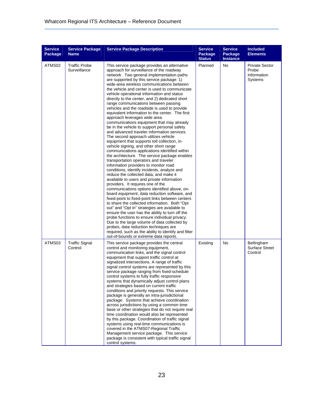| <b>Service</b><br>Package | <b>Service Package</b><br><b>Name</b> | <b>Service Package Description</b>                                                                                                                                                                                                                                                                                                                                                                                                                                                                                                                                                                                                                                                                                                                                                                                                                                                                                                                                                                                                                                                                                                                                                                                                                                                                                                                                                                                                                                                                                                                                                                                                                                                                                                                               | <b>Service</b><br>Package<br><b>Status</b> | <b>Service</b><br>Package<br><b>Instance</b> | <b>Included</b><br><b>Elements</b>                       |
|---------------------------|---------------------------------------|------------------------------------------------------------------------------------------------------------------------------------------------------------------------------------------------------------------------------------------------------------------------------------------------------------------------------------------------------------------------------------------------------------------------------------------------------------------------------------------------------------------------------------------------------------------------------------------------------------------------------------------------------------------------------------------------------------------------------------------------------------------------------------------------------------------------------------------------------------------------------------------------------------------------------------------------------------------------------------------------------------------------------------------------------------------------------------------------------------------------------------------------------------------------------------------------------------------------------------------------------------------------------------------------------------------------------------------------------------------------------------------------------------------------------------------------------------------------------------------------------------------------------------------------------------------------------------------------------------------------------------------------------------------------------------------------------------------------------------------------------------------|--------------------------------------------|----------------------------------------------|----------------------------------------------------------|
| ATMS02                    | <b>Traffic Probe</b><br>Surveillance  | This service package provides an alternative<br>approach for surveillance of the roadway<br>network. Two general implementation paths<br>are supported by this service package: 1)<br>wide-area wireless communications between<br>the vehicle and center is used to communicate<br>vehicle operational information and status<br>directly to the center, and 2) dedicated short<br>range communications between passing<br>vehicles and the roadside is used to provide<br>equivalent information to the center. The first<br>approach leverages wide area<br>communications equipment that may already<br>be in the vehicle to support personal safety<br>and advanced traveler information services.<br>The second approach utilizes vehicle<br>equipment that supports toll collection, in-<br>vehicle signing, and other short range<br>communications applications identified within<br>the architecture. The service package enables<br>transportation operators and traveler<br>information providers to monitor road<br>conditions, identify incidents, analyze and<br>reduce the collected data, and make it<br>available to users and private information<br>providers. It requires one of the<br>communications options identified above, on-<br>board equipment, data reduction software, and<br>fixed-point to fixed-point links between centers<br>to share the collected information. Both "Opt"<br>out" and "Opt in" strategies are available to<br>ensure the user has the ability to turn off the<br>probe functions to ensure individual privacy.<br>Due to the large volume of data collected by<br>probes, data reduction techniques are<br>required, such as the ability to identify and filter<br>out-of-bounds or extreme data reports. | Planned                                    | No                                           | <b>Private Sector</b><br>Probe<br>Information<br>Systems |
| ATMS03                    | <b>Traffic Signal</b><br>Control      | This service package provides the central<br>control and monitoring equipment,<br>communication links, and the signal control<br>equipment that support traffic control at<br>signalized intersections. A range of traffic<br>signal control systems are represented by this<br>service package ranging from fixed-schedule<br>control systems to fully traffic responsive<br>systems that dynamically adjust control plans<br>and strategies based on current traffic<br>conditions and priority requests. This service<br>package is generally an intra-jurisdictional<br>package. Systems that achieve coordination<br>across jurisdictions by using a common time<br>base or other strategies that do not require real<br>time coordination would also be represented<br>by this package. Coordination of traffic signal<br>systems using real-time communications is<br>covered in the ATMS07-Regional Traffic<br>Management service package. This service<br>package is consistent with typical traffic signal<br>control systems.                                                                                                                                                                                                                                                                                                                                                                                                                                                                                                                                                                                                                                                                                                                         | Existing                                   | No                                           | Bellingham<br><b>Surface Street</b><br>Control           |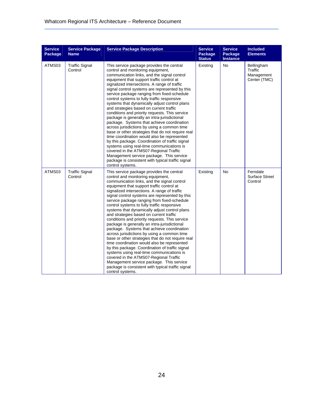| <b>Service</b><br>Package | <b>Service Package</b><br><b>Name</b> | <b>Service Package Description</b>                                                                                                                                                                                                                                                                                                                                                                                                                                                                                                                                                                                                                                                                                                                                                                                                                                                                                                                                                                                                       | <b>Service</b><br>Package<br><b>Status</b> | <b>Service</b><br>Package<br><b>Instance</b> | <b>Included</b><br><b>Elements</b>                  |
|---------------------------|---------------------------------------|------------------------------------------------------------------------------------------------------------------------------------------------------------------------------------------------------------------------------------------------------------------------------------------------------------------------------------------------------------------------------------------------------------------------------------------------------------------------------------------------------------------------------------------------------------------------------------------------------------------------------------------------------------------------------------------------------------------------------------------------------------------------------------------------------------------------------------------------------------------------------------------------------------------------------------------------------------------------------------------------------------------------------------------|--------------------------------------------|----------------------------------------------|-----------------------------------------------------|
| ATMS03                    | <b>Traffic Signal</b><br>Control      | This service package provides the central<br>control and monitoring equipment,<br>communication links, and the signal control<br>equipment that support traffic control at<br>signalized intersections. A range of traffic<br>signal control systems are represented by this<br>service package ranging from fixed-schedule<br>control systems to fully traffic responsive<br>systems that dynamically adjust control plans<br>and strategies based on current traffic<br>conditions and priority requests. This service<br>package is generally an intra-jurisdictional<br>package. Systems that achieve coordination<br>across jurisdictions by using a common time<br>base or other strategies that do not require real<br>time coordination would also be represented<br>by this package. Coordination of traffic signal<br>systems using real-time communications is<br>covered in the ATMS07-Regional Traffic<br>Management service package. This service<br>package is consistent with typical traffic signal<br>control systems. | Existing                                   | No                                           | Bellingham<br>Traffic<br>Management<br>Center (TMC) |
| ATMS03                    | <b>Traffic Signal</b><br>Control      | This service package provides the central<br>control and monitoring equipment,<br>communication links, and the signal control<br>equipment that support traffic control at<br>signalized intersections. A range of traffic<br>signal control systems are represented by this<br>service package ranging from fixed-schedule<br>control systems to fully traffic responsive<br>systems that dynamically adjust control plans<br>and strategies based on current traffic<br>conditions and priority requests. This service<br>package is generally an intra-jurisdictional<br>package. Systems that achieve coordination<br>across jurisdictions by using a common time<br>base or other strategies that do not require real<br>time coordination would also be represented<br>by this package. Coordination of traffic signal<br>systems using real-time communications is<br>covered in the ATMS07-Regional Traffic<br>Management service package. This service<br>package is consistent with typical traffic signal<br>control systems. | Existing                                   | No                                           | Ferndale<br><b>Surface Street</b><br>Control        |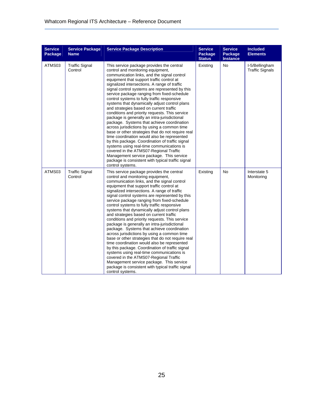| <b>Service</b><br>Package | <b>Service Package</b><br><b>Name</b> | <b>Service Package Description</b>                                                                                                                                                                                                                                                                                                                                                                                                                                                                                                                                                                                                                                                                                                                                                                                                                                                                                                                                                                                                       | <b>Service</b><br>Package<br><b>Status</b> | <b>Service</b><br>Package<br>Instance | <b>Included</b><br><b>Elements</b>       |
|---------------------------|---------------------------------------|------------------------------------------------------------------------------------------------------------------------------------------------------------------------------------------------------------------------------------------------------------------------------------------------------------------------------------------------------------------------------------------------------------------------------------------------------------------------------------------------------------------------------------------------------------------------------------------------------------------------------------------------------------------------------------------------------------------------------------------------------------------------------------------------------------------------------------------------------------------------------------------------------------------------------------------------------------------------------------------------------------------------------------------|--------------------------------------------|---------------------------------------|------------------------------------------|
| ATMS03                    | <b>Traffic Signal</b><br>Control      | This service package provides the central<br>control and monitoring equipment,<br>communication links, and the signal control<br>equipment that support traffic control at<br>signalized intersections. A range of traffic<br>signal control systems are represented by this<br>service package ranging from fixed-schedule<br>control systems to fully traffic responsive<br>systems that dynamically adjust control plans<br>and strategies based on current traffic<br>conditions and priority requests. This service<br>package is generally an intra-jurisdictional<br>package. Systems that achieve coordination<br>across jurisdictions by using a common time<br>base or other strategies that do not require real<br>time coordination would also be represented<br>by this package. Coordination of traffic signal<br>systems using real-time communications is<br>covered in the ATMS07-Regional Traffic<br>Management service package. This service<br>package is consistent with typical traffic signal<br>control systems. | Existing                                   | No                                    | I-5/Bellingham<br><b>Traffic Signals</b> |
| ATMS03                    | <b>Traffic Signal</b><br>Control      | This service package provides the central<br>control and monitoring equipment,<br>communication links, and the signal control<br>equipment that support traffic control at<br>signalized intersections. A range of traffic<br>signal control systems are represented by this<br>service package ranging from fixed-schedule<br>control systems to fully traffic responsive<br>systems that dynamically adjust control plans<br>and strategies based on current traffic<br>conditions and priority requests. This service<br>package is generally an intra-jurisdictional<br>package. Systems that achieve coordination<br>across jurisdictions by using a common time<br>base or other strategies that do not require real<br>time coordination would also be represented<br>by this package. Coordination of traffic signal<br>systems using real-time communications is<br>covered in the ATMS07-Regional Traffic<br>Management service package. This service<br>package is consistent with typical traffic signal<br>control systems. | Existing                                   | No                                    | Interstate 5<br>Monitoring               |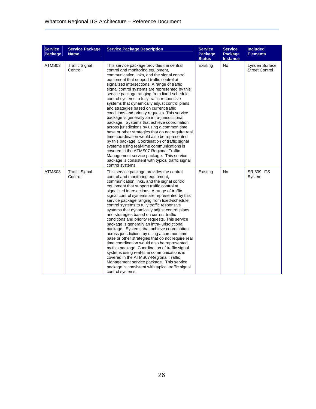| <b>Service</b><br>Package | <b>Service Package</b><br><b>Name</b> | <b>Service Package Description</b>                                                                                                                                                                                                                                                                                                                                                                                                                                                                                                                                                                                                                                                                                                                                                                                                                                                                                                                                                                                                       | <b>Service</b><br>Package<br><b>Status</b> | <b>Service</b><br>Package<br><b>Instance</b> | <b>Included</b><br><b>Elements</b>      |
|---------------------------|---------------------------------------|------------------------------------------------------------------------------------------------------------------------------------------------------------------------------------------------------------------------------------------------------------------------------------------------------------------------------------------------------------------------------------------------------------------------------------------------------------------------------------------------------------------------------------------------------------------------------------------------------------------------------------------------------------------------------------------------------------------------------------------------------------------------------------------------------------------------------------------------------------------------------------------------------------------------------------------------------------------------------------------------------------------------------------------|--------------------------------------------|----------------------------------------------|-----------------------------------------|
| ATMS03                    | <b>Traffic Signal</b><br>Control      | This service package provides the central<br>control and monitoring equipment,<br>communication links, and the signal control<br>equipment that support traffic control at<br>signalized intersections. A range of traffic<br>signal control systems are represented by this<br>service package ranging from fixed-schedule<br>control systems to fully traffic responsive<br>systems that dynamically adjust control plans<br>and strategies based on current traffic<br>conditions and priority requests. This service<br>package is generally an intra-jurisdictional<br>package. Systems that achieve coordination<br>across jurisdictions by using a common time<br>base or other strategies that do not require real<br>time coordination would also be represented<br>by this package. Coordination of traffic signal<br>systems using real-time communications is<br>covered in the ATMS07-Regional Traffic<br>Management service package. This service<br>package is consistent with typical traffic signal<br>control systems. | Existing                                   | No                                           | Lynden Surface<br><b>Street Control</b> |
| ATMS03                    | <b>Traffic Signal</b><br>Control      | This service package provides the central<br>control and monitoring equipment,<br>communication links, and the signal control<br>equipment that support traffic control at<br>signalized intersections. A range of traffic<br>signal control systems are represented by this<br>service package ranging from fixed-schedule<br>control systems to fully traffic responsive<br>systems that dynamically adjust control plans<br>and strategies based on current traffic<br>conditions and priority requests. This service<br>package is generally an intra-jurisdictional<br>package. Systems that achieve coordination<br>across jurisdictions by using a common time<br>base or other strategies that do not require real<br>time coordination would also be represented<br>by this package. Coordination of traffic signal<br>systems using real-time communications is<br>covered in the ATMS07-Regional Traffic<br>Management service package. This service<br>package is consistent with typical traffic signal<br>control systems. | Existing                                   | No                                           | <b>SR 539 ITS</b><br>System             |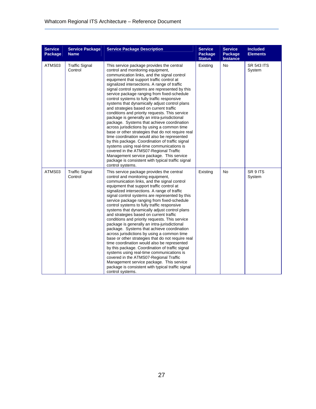| <b>Service</b><br>Package | <b>Service Package</b><br><b>Name</b> | <b>Service Package Description</b>                                                                                                                                                                                                                                                                                                                                                                                                                                                                                                                                                                                                                                                                                                                                                                                                                                                                                                                                                                                                       | <b>Service</b><br>Package<br><b>Status</b> | <b>Service</b><br>Package<br>Instance | <b>Included</b><br><b>Elements</b> |
|---------------------------|---------------------------------------|------------------------------------------------------------------------------------------------------------------------------------------------------------------------------------------------------------------------------------------------------------------------------------------------------------------------------------------------------------------------------------------------------------------------------------------------------------------------------------------------------------------------------------------------------------------------------------------------------------------------------------------------------------------------------------------------------------------------------------------------------------------------------------------------------------------------------------------------------------------------------------------------------------------------------------------------------------------------------------------------------------------------------------------|--------------------------------------------|---------------------------------------|------------------------------------|
| ATMS03                    | <b>Traffic Signal</b><br>Control      | This service package provides the central<br>control and monitoring equipment,<br>communication links, and the signal control<br>equipment that support traffic control at<br>signalized intersections. A range of traffic<br>signal control systems are represented by this<br>service package ranging from fixed-schedule<br>control systems to fully traffic responsive<br>systems that dynamically adjust control plans<br>and strategies based on current traffic<br>conditions and priority requests. This service<br>package is generally an intra-jurisdictional<br>package. Systems that achieve coordination<br>across jurisdictions by using a common time<br>base or other strategies that do not require real<br>time coordination would also be represented<br>by this package. Coordination of traffic signal<br>systems using real-time communications is<br>covered in the ATMS07-Regional Traffic<br>Management service package. This service<br>package is consistent with typical traffic signal<br>control systems. | Existing                                   | No                                    | <b>SR 543 ITS</b><br>System        |
| ATMS03                    | <b>Traffic Signal</b><br>Control      | This service package provides the central<br>control and monitoring equipment,<br>communication links, and the signal control<br>equipment that support traffic control at<br>signalized intersections. A range of traffic<br>signal control systems are represented by this<br>service package ranging from fixed-schedule<br>control systems to fully traffic responsive<br>systems that dynamically adjust control plans<br>and strategies based on current traffic<br>conditions and priority requests. This service<br>package is generally an intra-jurisdictional<br>package. Systems that achieve coordination<br>across jurisdictions by using a common time<br>base or other strategies that do not require real<br>time coordination would also be represented<br>by this package. Coordination of traffic signal<br>systems using real-time communications is<br>covered in the ATMS07-Regional Traffic<br>Management service package. This service<br>package is consistent with typical traffic signal<br>control systems. | Existing                                   | No                                    | SR 9 ITS<br>System                 |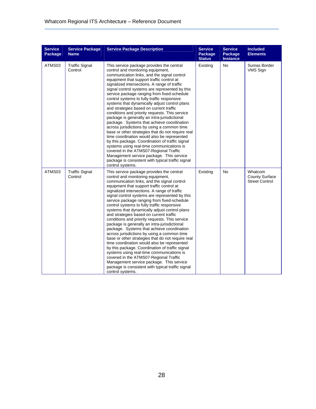| <b>Service</b><br>Package | <b>Service Package</b><br><b>Name</b> | <b>Service Package Description</b>                                                                                                                                                                                                                                                                                                                                                                                                                                                                                                                                                                                                                                                                                                                                                                                                                                                                                                                                                                                                       | <b>Service</b><br>Package<br><b>Status</b> | <b>Service</b><br>Package<br><b>Instance</b> | <b>Included</b><br><b>Elements</b>                        |
|---------------------------|---------------------------------------|------------------------------------------------------------------------------------------------------------------------------------------------------------------------------------------------------------------------------------------------------------------------------------------------------------------------------------------------------------------------------------------------------------------------------------------------------------------------------------------------------------------------------------------------------------------------------------------------------------------------------------------------------------------------------------------------------------------------------------------------------------------------------------------------------------------------------------------------------------------------------------------------------------------------------------------------------------------------------------------------------------------------------------------|--------------------------------------------|----------------------------------------------|-----------------------------------------------------------|
| ATMS03                    | <b>Traffic Signal</b><br>Control      | This service package provides the central<br>control and monitoring equipment,<br>communication links, and the signal control<br>equipment that support traffic control at<br>signalized intersections. A range of traffic<br>signal control systems are represented by this<br>service package ranging from fixed-schedule<br>control systems to fully traffic responsive<br>systems that dynamically adjust control plans<br>and strategies based on current traffic<br>conditions and priority requests. This service<br>package is generally an intra-jurisdictional<br>package. Systems that achieve coordination<br>across jurisdictions by using a common time<br>base or other strategies that do not require real<br>time coordination would also be represented<br>by this package. Coordination of traffic signal<br>systems using real-time communications is<br>covered in the ATMS07-Regional Traffic<br>Management service package. This service<br>package is consistent with typical traffic signal<br>control systems. | Existing                                   | No                                           | Sumas Border<br><b>VMS Sign</b>                           |
| ATMS03                    | <b>Traffic Signal</b><br>Control      | This service package provides the central<br>control and monitoring equipment,<br>communication links, and the signal control<br>equipment that support traffic control at<br>signalized intersections. A range of traffic<br>signal control systems are represented by this<br>service package ranging from fixed-schedule<br>control systems to fully traffic responsive<br>systems that dynamically adjust control plans<br>and strategies based on current traffic<br>conditions and priority requests. This service<br>package is generally an intra-jurisdictional<br>package. Systems that achieve coordination<br>across jurisdictions by using a common time<br>base or other strategies that do not require real<br>time coordination would also be represented<br>by this package. Coordination of traffic signal<br>systems using real-time communications is<br>covered in the ATMS07-Regional Traffic<br>Management service package. This service<br>package is consistent with typical traffic signal<br>control systems. | Existing                                   | No                                           | Whatcom<br><b>County Surface</b><br><b>Street Control</b> |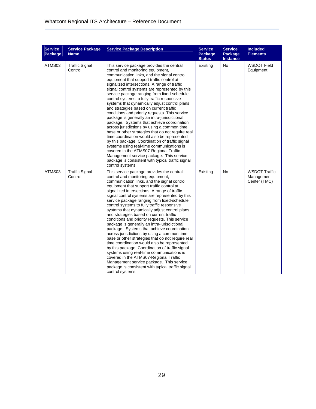| <b>Service</b><br>Package | <b>Service Package</b><br><b>Name</b> | <b>Service Package Description</b>                                                                                                                                                                                                                                                                                                                                                                                                                                                                                                                                                                                                                                                                                                                                                                                                                                                                                                                                                                                                       | <b>Service</b><br>Package<br><b>Status</b> | <b>Service</b><br>Package<br><b>Instance</b> | <b>Included</b><br><b>Elements</b>                 |
|---------------------------|---------------------------------------|------------------------------------------------------------------------------------------------------------------------------------------------------------------------------------------------------------------------------------------------------------------------------------------------------------------------------------------------------------------------------------------------------------------------------------------------------------------------------------------------------------------------------------------------------------------------------------------------------------------------------------------------------------------------------------------------------------------------------------------------------------------------------------------------------------------------------------------------------------------------------------------------------------------------------------------------------------------------------------------------------------------------------------------|--------------------------------------------|----------------------------------------------|----------------------------------------------------|
| ATMS03                    | <b>Traffic Signal</b><br>Control      | This service package provides the central<br>control and monitoring equipment,<br>communication links, and the signal control<br>equipment that support traffic control at<br>signalized intersections. A range of traffic<br>signal control systems are represented by this<br>service package ranging from fixed-schedule<br>control systems to fully traffic responsive<br>systems that dynamically adjust control plans<br>and strategies based on current traffic<br>conditions and priority requests. This service<br>package is generally an intra-jurisdictional<br>package. Systems that achieve coordination<br>across jurisdictions by using a common time<br>base or other strategies that do not require real<br>time coordination would also be represented<br>by this package. Coordination of traffic signal<br>systems using real-time communications is<br>covered in the ATMS07-Regional Traffic<br>Management service package. This service<br>package is consistent with typical traffic signal<br>control systems. | Existing                                   | No                                           | <b>WSDOT Field</b><br>Equipment                    |
| ATMS03                    | <b>Traffic Signal</b><br>Control      | This service package provides the central<br>control and monitoring equipment,<br>communication links, and the signal control<br>equipment that support traffic control at<br>signalized intersections. A range of traffic<br>signal control systems are represented by this<br>service package ranging from fixed-schedule<br>control systems to fully traffic responsive<br>systems that dynamically adjust control plans<br>and strategies based on current traffic<br>conditions and priority requests. This service<br>package is generally an intra-jurisdictional<br>package. Systems that achieve coordination<br>across jurisdictions by using a common time<br>base or other strategies that do not require real<br>time coordination would also be represented<br>by this package. Coordination of traffic signal<br>systems using real-time communications is<br>covered in the ATMS07-Regional Traffic<br>Management service package. This service<br>package is consistent with typical traffic signal<br>control systems. | Existing                                   | No                                           | <b>WSDOT Traffic</b><br>Management<br>Center (TMC) |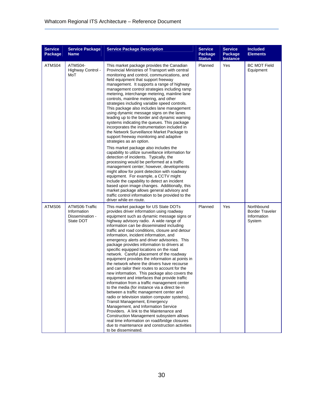| <b>Service</b><br>Package | <b>Service Package</b><br><b>Name</b>                         | <b>Service Package Description</b>                                                                                                                                                                                                                                                                                                                                                                                                                                                                                                                                                                                                                                                                                                                                                                                                                                                                                                                                                                                                                                                                                                                                                                                                                                                                                                                  | <b>Service</b><br>Package<br><b>Status</b> | <b>Service</b><br>Package<br><b>Instance</b> | <b>Included</b><br><b>Elements</b>                            |
|---------------------------|---------------------------------------------------------------|-----------------------------------------------------------------------------------------------------------------------------------------------------------------------------------------------------------------------------------------------------------------------------------------------------------------------------------------------------------------------------------------------------------------------------------------------------------------------------------------------------------------------------------------------------------------------------------------------------------------------------------------------------------------------------------------------------------------------------------------------------------------------------------------------------------------------------------------------------------------------------------------------------------------------------------------------------------------------------------------------------------------------------------------------------------------------------------------------------------------------------------------------------------------------------------------------------------------------------------------------------------------------------------------------------------------------------------------------------|--------------------------------------------|----------------------------------------------|---------------------------------------------------------------|
| ATMS04                    | ATMS04-<br>Highway Control -<br>MoT                           | This market package provides the Canadian<br>Provincial Ministries of Transport with central<br>monitoring and control, communications, and<br>field equipment that support freeway<br>management. It supports a range of highway<br>management control strategies including ramp<br>metering, interchange metering, mainline lane<br>controls, mainline metering, and other<br>strategies including variable speed controls.<br>This package also includes lane management<br>using dynamic message signs on the lanes<br>leading up to the border and dynamic warning<br>systems indicating the queues. This package<br>incorporates the instrumentation included in<br>the Network Surveillance Market Package to<br>support freeway monitoring and adaptive<br>strategies as an option.<br>This market package also includes the<br>capability to utilize surveillance information for<br>detection of incidents. Typically, the<br>processing would be performed at a traffic<br>management center; however, developments<br>might allow for point detection with roadway<br>equipment. For example, a CCTV might<br>include the capability to detect an incident<br>based upon image changes. Additionally, this<br>market package allows general advisory and<br>traffic control information to be provided to the<br>driver while en route. | Planned                                    | Yes                                          | <b>BC MOT Field</b><br>Equipment                              |
| ATMS06                    | ATMS06-Traffic<br>Information<br>Dissemination -<br>State DOT | This market package for US State DOTs<br>provides driver information using roadway<br>equipment such as dynamic message signs or<br>highway advisory radio. A wide range of<br>information can be disseminated including<br>traffic and road conditions, closure and detour<br>information, incident information, and<br>emergency alerts and driver advisories. This<br>package provides information to drivers at<br>specific equipped locations on the road<br>network. Careful placement of the roadway<br>equipment provides the information at points in<br>the network where the drivers have recourse<br>and can tailor their routes to account for the<br>new information. This package also covers the<br>equipment and interfaces that provide traffic<br>information from a traffic management center<br>to the media (for instance via a direct tie-in<br>between a traffic management center and<br>radio or television station computer systems),<br><b>Transit Management, Emergency</b><br>Management, and Information Service<br>Providers. A link to the Maintenance and<br>Construction Management subsystem allows<br>real time information on road/bridge closures<br>due to maintenance and construction activities<br>to be disseminated.                                                                                   | Planned                                    | Yes                                          | Northbound<br><b>Border Traveler</b><br>Information<br>System |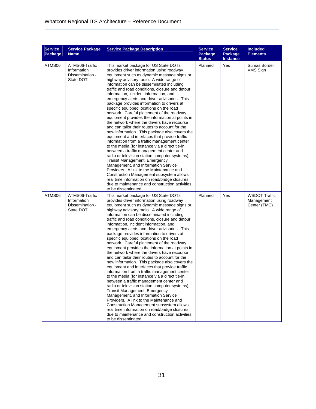| <b>Service</b><br>Package | <b>Service Package</b><br><b>Name</b>                         | <b>Service Package Description</b>                                                                                                                                                                                                                                                                                                                                                                                                                                                                                                                                                                                                                                                                                                                                                                                                                                                                                                                                                                                                                                                                                                                                                                                                                                | <b>Service</b><br>Package<br><b>Status</b> | <b>Service</b><br>Package<br><b>Instance</b> | <b>Included</b><br><b>Elements</b>                 |
|---------------------------|---------------------------------------------------------------|-------------------------------------------------------------------------------------------------------------------------------------------------------------------------------------------------------------------------------------------------------------------------------------------------------------------------------------------------------------------------------------------------------------------------------------------------------------------------------------------------------------------------------------------------------------------------------------------------------------------------------------------------------------------------------------------------------------------------------------------------------------------------------------------------------------------------------------------------------------------------------------------------------------------------------------------------------------------------------------------------------------------------------------------------------------------------------------------------------------------------------------------------------------------------------------------------------------------------------------------------------------------|--------------------------------------------|----------------------------------------------|----------------------------------------------------|
| ATMS06                    | ATMS06-Traffic<br>Information<br>Dissemination -<br>State DOT | This market package for US State DOTs<br>provides driver information using roadway<br>equipment such as dynamic message signs or<br>highway advisory radio. A wide range of<br>information can be disseminated including<br>traffic and road conditions, closure and detour<br>information, incident information, and<br>emergency alerts and driver advisories. This<br>package provides information to drivers at<br>specific equipped locations on the road<br>network. Careful placement of the roadway<br>equipment provides the information at points in<br>the network where the drivers have recourse<br>and can tailor their routes to account for the<br>new information. This package also covers the<br>equipment and interfaces that provide traffic<br>information from a traffic management center<br>to the media (for instance via a direct tie-in<br>between a traffic management center and<br>radio or television station computer systems),<br><b>Transit Management, Emergency</b><br>Management, and Information Service<br>Providers. A link to the Maintenance and<br>Construction Management subsystem allows<br>real time information on road/bridge closures<br>due to maintenance and construction activities<br>to be disseminated. | Planned                                    | Yes                                          | Sumas Border<br>VMS Sign                           |
| ATMS06                    | ATMS06-Traffic<br>Information<br>Dissemination -<br>State DOT | This market package for US State DOTs<br>provides driver information using roadway<br>equipment such as dynamic message signs or<br>highway advisory radio. A wide range of<br>information can be disseminated including<br>traffic and road conditions, closure and detour<br>information, incident information, and<br>emergency alerts and driver advisories. This<br>package provides information to drivers at<br>specific equipped locations on the road<br>network. Careful placement of the roadway<br>equipment provides the information at points in<br>the network where the drivers have recourse<br>and can tailor their routes to account for the<br>new information. This package also covers the<br>equipment and interfaces that provide traffic<br>information from a traffic management center<br>to the media (for instance via a direct tie-in<br>between a traffic management center and<br>radio or television station computer systems),<br><b>Transit Management, Emergency</b><br>Management, and Information Service<br>Providers. A link to the Maintenance and<br>Construction Management subsystem allows<br>real time information on road/bridge closures<br>due to maintenance and construction activities<br>to be disseminated. | Planned                                    | Yes                                          | <b>WSDOT Traffic</b><br>Management<br>Center (TMC) |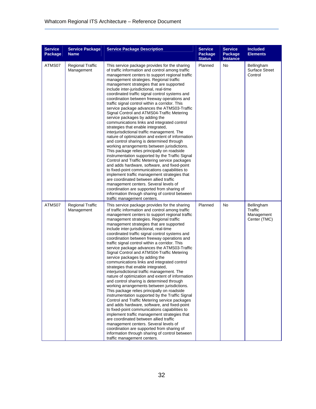| <b>Service</b><br>Package | <b>Service Package</b><br><b>Name</b> | <b>Service Package Description</b>                                                                                                                                                                                                                                                                                                                                                                                                                                                                                                                                                                                                                                                                                                                                                                                                                                                                                                                                                                                                                                                                                                                                                                                                                                                                                                                                                | <b>Service</b><br>Package<br><b>Status</b> | <b>Service</b><br>Package<br><b>Instance</b> | <b>Included</b><br><b>Elements</b>                  |
|---------------------------|---------------------------------------|-----------------------------------------------------------------------------------------------------------------------------------------------------------------------------------------------------------------------------------------------------------------------------------------------------------------------------------------------------------------------------------------------------------------------------------------------------------------------------------------------------------------------------------------------------------------------------------------------------------------------------------------------------------------------------------------------------------------------------------------------------------------------------------------------------------------------------------------------------------------------------------------------------------------------------------------------------------------------------------------------------------------------------------------------------------------------------------------------------------------------------------------------------------------------------------------------------------------------------------------------------------------------------------------------------------------------------------------------------------------------------------|--------------------------------------------|----------------------------------------------|-----------------------------------------------------|
| ATMS07                    | <b>Regional Traffic</b><br>Management | This service package provides for the sharing<br>of traffic information and control among traffic<br>management centers to support regional traffic<br>management strategies. Regional traffic<br>management strategies that are supported<br>include inter-jurisdictional, real-time<br>coordinated traffic signal control systems and<br>coordination between freeway operations and<br>traffic signal control within a corridor. This<br>service package advances the ATMS03-Traffic<br>Signal Control and ATMS04-Traffic Metering<br>service packages by adding the<br>communications links and integrated control<br>strategies that enable integrated,<br>interjurisdictional traffic management. The<br>nature of optimization and extent of information<br>and control sharing is determined through<br>working arrangements between jurisdictions.<br>This package relies principally on roadside<br>instrumentation supported by the Traffic Signal<br>Control and Traffic Metering service packages<br>and adds hardware, software, and fixed-point<br>to fixed-point communications capabilities to<br>implement traffic management strategies that<br>are coordinated between allied traffic<br>management centers. Several levels of<br>coordination are supported from sharing of<br>information through sharing of control between<br>traffic management centers. | Planned                                    | No                                           | Bellingham<br><b>Surface Street</b><br>Control      |
| ATMS07                    | <b>Regional Traffic</b><br>Management | This service package provides for the sharing<br>of traffic information and control among traffic<br>management centers to support regional traffic<br>management strategies. Regional traffic<br>management strategies that are supported<br>include inter-jurisdictional, real-time<br>coordinated traffic signal control systems and<br>coordination between freeway operations and<br>traffic signal control within a corridor. This<br>service package advances the ATMS03-Traffic<br>Signal Control and ATMS04-Traffic Metering<br>service packages by adding the<br>communications links and integrated control<br>strategies that enable integrated,<br>interjurisdictional traffic management. The<br>nature of optimization and extent of information<br>and control sharing is determined through<br>working arrangements between jurisdictions.<br>This package relies principally on roadside<br>instrumentation supported by the Traffic Signal<br>Control and Traffic Metering service packages<br>and adds hardware, software, and fixed-point<br>to fixed-point communications capabilities to<br>implement traffic management strategies that<br>are coordinated between allied traffic<br>management centers. Several levels of<br>coordination are supported from sharing of<br>information through sharing of control between<br>traffic management centers. | Planned                                    | No                                           | Bellingham<br>Traffic<br>Management<br>Center (TMC) |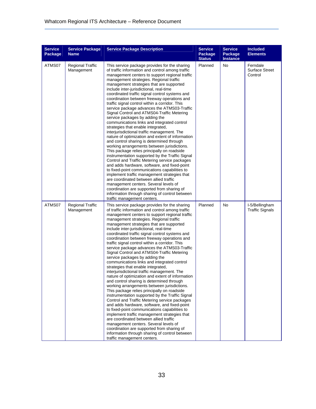| <b>Service</b><br>Package | <b>Service Package</b><br><b>Name</b> | <b>Service Package Description</b>                                                                                                                                                                                                                                                                                                                                                                                                                                                                                                                                                                                                                                                                                                                                                                                                                                                                                                                                                                                                                                                                                                                                                                                                                                                                                                                                                | <b>Service</b><br>Package<br><b>Status</b> | <b>Service</b><br>Package<br><b>Instance</b> | <b>Included</b><br><b>Elements</b>           |
|---------------------------|---------------------------------------|-----------------------------------------------------------------------------------------------------------------------------------------------------------------------------------------------------------------------------------------------------------------------------------------------------------------------------------------------------------------------------------------------------------------------------------------------------------------------------------------------------------------------------------------------------------------------------------------------------------------------------------------------------------------------------------------------------------------------------------------------------------------------------------------------------------------------------------------------------------------------------------------------------------------------------------------------------------------------------------------------------------------------------------------------------------------------------------------------------------------------------------------------------------------------------------------------------------------------------------------------------------------------------------------------------------------------------------------------------------------------------------|--------------------------------------------|----------------------------------------------|----------------------------------------------|
| ATMS07                    | <b>Regional Traffic</b><br>Management | This service package provides for the sharing<br>of traffic information and control among traffic<br>management centers to support regional traffic<br>management strategies. Regional traffic<br>management strategies that are supported<br>include inter-jurisdictional, real-time<br>coordinated traffic signal control systems and<br>coordination between freeway operations and<br>traffic signal control within a corridor. This<br>service package advances the ATMS03-Traffic<br>Signal Control and ATMS04-Traffic Metering<br>service packages by adding the<br>communications links and integrated control<br>strategies that enable integrated,<br>interjurisdictional traffic management. The<br>nature of optimization and extent of information<br>and control sharing is determined through<br>working arrangements between jurisdictions.<br>This package relies principally on roadside<br>instrumentation supported by the Traffic Signal<br>Control and Traffic Metering service packages<br>and adds hardware, software, and fixed-point<br>to fixed-point communications capabilities to<br>implement traffic management strategies that<br>are coordinated between allied traffic<br>management centers. Several levels of<br>coordination are supported from sharing of<br>information through sharing of control between<br>traffic management centers. | Planned                                    | No                                           | Ferndale<br><b>Surface Street</b><br>Control |
| ATMS07                    | <b>Regional Traffic</b><br>Management | This service package provides for the sharing<br>of traffic information and control among traffic<br>management centers to support regional traffic<br>management strategies. Regional traffic<br>management strategies that are supported<br>include inter-jurisdictional, real-time<br>coordinated traffic signal control systems and<br>coordination between freeway operations and<br>traffic signal control within a corridor. This<br>service package advances the ATMS03-Traffic<br>Signal Control and ATMS04-Traffic Metering<br>service packages by adding the<br>communications links and integrated control<br>strategies that enable integrated,<br>interjurisdictional traffic management. The<br>nature of optimization and extent of information<br>and control sharing is determined through<br>working arrangements between jurisdictions.<br>This package relies principally on roadside<br>instrumentation supported by the Traffic Signal<br>Control and Traffic Metering service packages<br>and adds hardware, software, and fixed-point<br>to fixed-point communications capabilities to<br>implement traffic management strategies that<br>are coordinated between allied traffic<br>management centers. Several levels of<br>coordination are supported from sharing of<br>information through sharing of control between<br>traffic management centers. | Planned                                    | No                                           | I-5/Bellingham<br><b>Traffic Signals</b>     |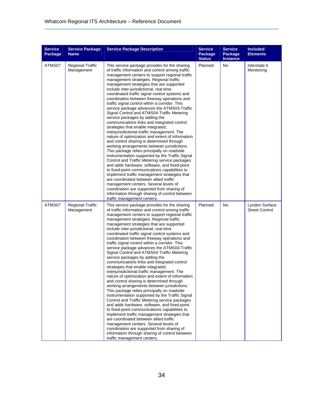| <b>Service</b><br>Package | <b>Service Package</b><br><b>Name</b> | <b>Service Package Description</b>                                                                                                                                                                                                                                                                                                                                                                                                                                                                                                                                                                                                                                                                                                                                                                                                                                                                                                                                                                                                                                                                                                                                                                                                                                                                                                                                                | <b>Service</b><br>Package<br><b>Status</b> | <b>Service</b><br>Package<br><b>Instance</b> | <b>Included</b><br><b>Elements</b>      |
|---------------------------|---------------------------------------|-----------------------------------------------------------------------------------------------------------------------------------------------------------------------------------------------------------------------------------------------------------------------------------------------------------------------------------------------------------------------------------------------------------------------------------------------------------------------------------------------------------------------------------------------------------------------------------------------------------------------------------------------------------------------------------------------------------------------------------------------------------------------------------------------------------------------------------------------------------------------------------------------------------------------------------------------------------------------------------------------------------------------------------------------------------------------------------------------------------------------------------------------------------------------------------------------------------------------------------------------------------------------------------------------------------------------------------------------------------------------------------|--------------------------------------------|----------------------------------------------|-----------------------------------------|
| ATMS07                    | <b>Regional Traffic</b><br>Management | This service package provides for the sharing<br>of traffic information and control among traffic<br>management centers to support regional traffic<br>management strategies. Regional traffic<br>management strategies that are supported<br>include inter-jurisdictional, real-time<br>coordinated traffic signal control systems and<br>coordination between freeway operations and<br>traffic signal control within a corridor. This<br>service package advances the ATMS03-Traffic<br>Signal Control and ATMS04-Traffic Metering<br>service packages by adding the<br>communications links and integrated control<br>strategies that enable integrated,<br>interjurisdictional traffic management. The<br>nature of optimization and extent of information<br>and control sharing is determined through<br>working arrangements between jurisdictions.<br>This package relies principally on roadside<br>instrumentation supported by the Traffic Signal<br>Control and Traffic Metering service packages<br>and adds hardware, software, and fixed-point<br>to fixed-point communications capabilities to<br>implement traffic management strategies that<br>are coordinated between allied traffic<br>management centers. Several levels of<br>coordination are supported from sharing of<br>information through sharing of control between<br>traffic management centers. | Planned                                    | No                                           | Interstate 5<br>Monitoring              |
| ATMS07                    | <b>Regional Traffic</b><br>Management | This service package provides for the sharing<br>of traffic information and control among traffic<br>management centers to support regional traffic<br>management strategies. Regional traffic<br>management strategies that are supported<br>include inter-jurisdictional, real-time<br>coordinated traffic signal control systems and<br>coordination between freeway operations and<br>traffic signal control within a corridor. This<br>service package advances the ATMS03-Traffic<br>Signal Control and ATMS04-Traffic Metering<br>service packages by adding the<br>communications links and integrated control<br>strategies that enable integrated,<br>interjurisdictional traffic management. The<br>nature of optimization and extent of information<br>and control sharing is determined through<br>working arrangements between jurisdictions.<br>This package relies principally on roadside<br>instrumentation supported by the Traffic Signal<br>Control and Traffic Metering service packages<br>and adds hardware, software, and fixed-point<br>to fixed-point communications capabilities to<br>implement traffic management strategies that<br>are coordinated between allied traffic<br>management centers. Several levels of<br>coordination are supported from sharing of<br>information through sharing of control between<br>traffic management centers. | Planned                                    | No                                           | Lynden Surface<br><b>Street Control</b> |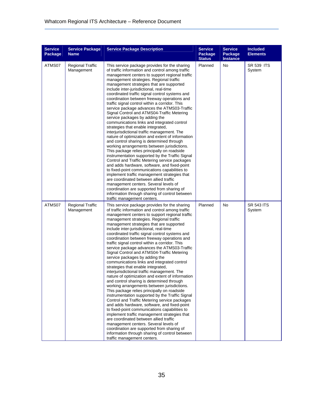| <b>Service</b><br>Package | <b>Service Package</b><br><b>Name</b> | <b>Service Package Description</b>                                                                                                                                                                                                                                                                                                                                                                                                                                                                                                                                                                                                                                                                                                                                                                                                                                                                                                                                                                                                                                                                                                                                                                                                                                                                                                                                                | <b>Service</b><br>Package<br><b>Status</b> | <b>Service</b><br>Package<br><b>Instance</b> | <b>Included</b><br><b>Elements</b> |
|---------------------------|---------------------------------------|-----------------------------------------------------------------------------------------------------------------------------------------------------------------------------------------------------------------------------------------------------------------------------------------------------------------------------------------------------------------------------------------------------------------------------------------------------------------------------------------------------------------------------------------------------------------------------------------------------------------------------------------------------------------------------------------------------------------------------------------------------------------------------------------------------------------------------------------------------------------------------------------------------------------------------------------------------------------------------------------------------------------------------------------------------------------------------------------------------------------------------------------------------------------------------------------------------------------------------------------------------------------------------------------------------------------------------------------------------------------------------------|--------------------------------------------|----------------------------------------------|------------------------------------|
| ATMS07                    | <b>Regional Traffic</b><br>Management | This service package provides for the sharing<br>of traffic information and control among traffic<br>management centers to support regional traffic<br>management strategies. Regional traffic<br>management strategies that are supported<br>include inter-jurisdictional, real-time<br>coordinated traffic signal control systems and<br>coordination between freeway operations and<br>traffic signal control within a corridor. This<br>service package advances the ATMS03-Traffic<br>Signal Control and ATMS04-Traffic Metering<br>service packages by adding the<br>communications links and integrated control<br>strategies that enable integrated,<br>interjurisdictional traffic management. The<br>nature of optimization and extent of information<br>and control sharing is determined through<br>working arrangements between jurisdictions.<br>This package relies principally on roadside<br>instrumentation supported by the Traffic Signal<br>Control and Traffic Metering service packages<br>and adds hardware, software, and fixed-point<br>to fixed-point communications capabilities to<br>implement traffic management strategies that<br>are coordinated between allied traffic<br>management centers. Several levels of<br>coordination are supported from sharing of<br>information through sharing of control between<br>traffic management centers. | Planned                                    | No                                           | <b>SR 539 ITS</b><br>System        |
| ATMS07                    | <b>Regional Traffic</b><br>Management | This service package provides for the sharing<br>of traffic information and control among traffic<br>management centers to support regional traffic<br>management strategies. Regional traffic<br>management strategies that are supported<br>include inter-jurisdictional, real-time<br>coordinated traffic signal control systems and<br>coordination between freeway operations and<br>traffic signal control within a corridor. This<br>service package advances the ATMS03-Traffic<br>Signal Control and ATMS04-Traffic Metering<br>service packages by adding the<br>communications links and integrated control<br>strategies that enable integrated,<br>interjurisdictional traffic management. The<br>nature of optimization and extent of information<br>and control sharing is determined through<br>working arrangements between jurisdictions.<br>This package relies principally on roadside<br>instrumentation supported by the Traffic Signal<br>Control and Traffic Metering service packages<br>and adds hardware, software, and fixed-point<br>to fixed-point communications capabilities to<br>implement traffic management strategies that<br>are coordinated between allied traffic<br>management centers. Several levels of<br>coordination are supported from sharing of<br>information through sharing of control between<br>traffic management centers. | Planned                                    | No                                           | <b>SR 543 ITS</b><br>System        |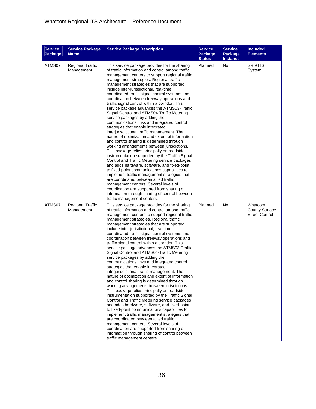| <b>Service</b><br>Package | <b>Service Package</b><br><b>Name</b> | <b>Service Package Description</b>                                                                                                                                                                                                                                                                                                                                                                                                                                                                                                                                                                                                                                                                                                                                                                                                                                                                                                                                                                                                                                                                                                                                                                                                                                                                                                                                                | <b>Service</b><br>Package<br><b>Status</b> | <b>Service</b><br>Package<br><b>Instance</b> | <b>Included</b><br><b>Elements</b>                        |
|---------------------------|---------------------------------------|-----------------------------------------------------------------------------------------------------------------------------------------------------------------------------------------------------------------------------------------------------------------------------------------------------------------------------------------------------------------------------------------------------------------------------------------------------------------------------------------------------------------------------------------------------------------------------------------------------------------------------------------------------------------------------------------------------------------------------------------------------------------------------------------------------------------------------------------------------------------------------------------------------------------------------------------------------------------------------------------------------------------------------------------------------------------------------------------------------------------------------------------------------------------------------------------------------------------------------------------------------------------------------------------------------------------------------------------------------------------------------------|--------------------------------------------|----------------------------------------------|-----------------------------------------------------------|
| ATMS07                    | <b>Regional Traffic</b><br>Management | This service package provides for the sharing<br>of traffic information and control among traffic<br>management centers to support regional traffic<br>management strategies. Regional traffic<br>management strategies that are supported<br>include inter-jurisdictional, real-time<br>coordinated traffic signal control systems and<br>coordination between freeway operations and<br>traffic signal control within a corridor. This<br>service package advances the ATMS03-Traffic<br>Signal Control and ATMS04-Traffic Metering<br>service packages by adding the<br>communications links and integrated control<br>strategies that enable integrated,<br>interjurisdictional traffic management. The<br>nature of optimization and extent of information<br>and control sharing is determined through<br>working arrangements between jurisdictions.<br>This package relies principally on roadside<br>instrumentation supported by the Traffic Signal<br>Control and Traffic Metering service packages<br>and adds hardware, software, and fixed-point<br>to fixed-point communications capabilities to<br>implement traffic management strategies that<br>are coordinated between allied traffic<br>management centers. Several levels of<br>coordination are supported from sharing of<br>information through sharing of control between<br>traffic management centers. | Planned                                    | No                                           | SR 9 ITS<br>System                                        |
| ATMS07                    | <b>Regional Traffic</b><br>Management | This service package provides for the sharing<br>of traffic information and control among traffic<br>management centers to support regional traffic<br>management strategies. Regional traffic<br>management strategies that are supported<br>include inter-jurisdictional, real-time<br>coordinated traffic signal control systems and<br>coordination between freeway operations and<br>traffic signal control within a corridor. This<br>service package advances the ATMS03-Traffic<br>Signal Control and ATMS04-Traffic Metering<br>service packages by adding the<br>communications links and integrated control<br>strategies that enable integrated,<br>interjurisdictional traffic management. The<br>nature of optimization and extent of information<br>and control sharing is determined through<br>working arrangements between jurisdictions.<br>This package relies principally on roadside<br>instrumentation supported by the Traffic Signal<br>Control and Traffic Metering service packages<br>and adds hardware, software, and fixed-point<br>to fixed-point communications capabilities to<br>implement traffic management strategies that<br>are coordinated between allied traffic<br>management centers. Several levels of<br>coordination are supported from sharing of<br>information through sharing of control between<br>traffic management centers. | Planned                                    | No                                           | Whatcom<br><b>County Surface</b><br><b>Street Control</b> |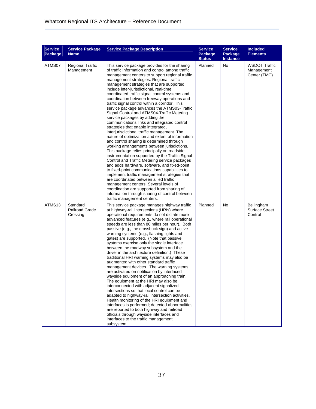| <b>Service</b><br>Package | <b>Service Package</b><br><b>Name</b>         | <b>Service Package Description</b>                                                                                                                                                                                                                                                                                                                                                                                                                                                                                                                                                                                                                                                                                                                                                                                                                                                                                                                                                                                                                                                                                                                                                                                                                                                                                                                                                | <b>Service</b><br>Package<br><b>Status</b> | <b>Service</b><br>Package<br><b>Instance</b> | <b>Included</b><br><b>Elements</b>                 |
|---------------------------|-----------------------------------------------|-----------------------------------------------------------------------------------------------------------------------------------------------------------------------------------------------------------------------------------------------------------------------------------------------------------------------------------------------------------------------------------------------------------------------------------------------------------------------------------------------------------------------------------------------------------------------------------------------------------------------------------------------------------------------------------------------------------------------------------------------------------------------------------------------------------------------------------------------------------------------------------------------------------------------------------------------------------------------------------------------------------------------------------------------------------------------------------------------------------------------------------------------------------------------------------------------------------------------------------------------------------------------------------------------------------------------------------------------------------------------------------|--------------------------------------------|----------------------------------------------|----------------------------------------------------|
| ATMS07                    | <b>Regional Traffic</b><br>Management         | This service package provides for the sharing<br>of traffic information and control among traffic<br>management centers to support regional traffic<br>management strategies. Regional traffic<br>management strategies that are supported<br>include inter-jurisdictional, real-time<br>coordinated traffic signal control systems and<br>coordination between freeway operations and<br>traffic signal control within a corridor. This<br>service package advances the ATMS03-Traffic<br>Signal Control and ATMS04-Traffic Metering<br>service packages by adding the<br>communications links and integrated control<br>strategies that enable integrated,<br>interjurisdictional traffic management. The<br>nature of optimization and extent of information<br>and control sharing is determined through<br>working arrangements between jurisdictions.<br>This package relies principally on roadside<br>instrumentation supported by the Traffic Signal<br>Control and Traffic Metering service packages<br>and adds hardware, software, and fixed-point<br>to fixed-point communications capabilities to<br>implement traffic management strategies that<br>are coordinated between allied traffic<br>management centers. Several levels of<br>coordination are supported from sharing of<br>information through sharing of control between<br>traffic management centers. | Planned                                    | No                                           | <b>WSDOT Traffic</b><br>Management<br>Center (TMC) |
| ATMS13                    | Standard<br><b>Railroad Grade</b><br>Crossing | This service package manages highway traffic<br>at highway-rail intersections (HRIs) where<br>operational requirements do not dictate more<br>advanced features (e.g., where rail operational<br>speeds are less than 80 miles per hour). Both<br>passive (e.g., the crossbuck sign) and active<br>warning systems (e.g., flashing lights and<br>gates) are supported. (Note that passive<br>systems exercise only the single interface<br>between the roadway subsystem and the<br>driver in the architecture definition.) These<br>traditional HRI warning systems may also be<br>augmented with other standard traffic<br>management devices. The warning systems<br>are activated on notification by interfaced<br>wayside equipment of an approaching train.<br>The equipment at the HRI may also be<br>interconnected with adjacent signalized<br>intersections so that local control can be<br>adapted to highway-rail intersection activities.<br>Health monitoring of the HRI equipment and<br>interfaces is performed; detected abnormalities<br>are reported to both highway and railroad<br>officials through wayside interfaces and<br>interfaces to the traffic management<br>subsystem.                                                                                                                                                                            | Planned                                    | No                                           | Bellingham<br><b>Surface Street</b><br>Control     |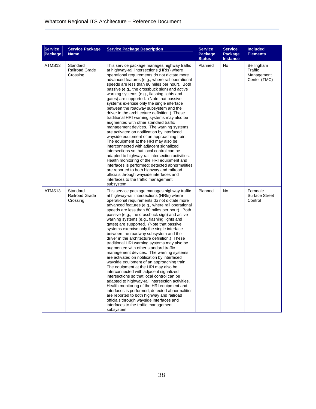| <b>Service</b><br>Package | <b>Service Package</b><br><b>Name</b>         | <b>Service Package Description</b>                                                                                                                                                                                                                                                                                                                                                                                                                                                                                                                                                                                                                                                                                                                                                                                                                                                                                                                                                                                                                                                                                                                                                                     | <b>Service</b><br>Package<br><b>Status</b> | <b>Service</b><br>Package<br><b>Instance</b> | <b>Included</b><br><b>Elements</b>                  |
|---------------------------|-----------------------------------------------|--------------------------------------------------------------------------------------------------------------------------------------------------------------------------------------------------------------------------------------------------------------------------------------------------------------------------------------------------------------------------------------------------------------------------------------------------------------------------------------------------------------------------------------------------------------------------------------------------------------------------------------------------------------------------------------------------------------------------------------------------------------------------------------------------------------------------------------------------------------------------------------------------------------------------------------------------------------------------------------------------------------------------------------------------------------------------------------------------------------------------------------------------------------------------------------------------------|--------------------------------------------|----------------------------------------------|-----------------------------------------------------|
| ATMS13                    | Standard<br><b>Railroad Grade</b><br>Crossing | This service package manages highway traffic<br>at highway-rail intersections (HRIs) where<br>operational requirements do not dictate more<br>advanced features (e.g., where rail operational<br>speeds are less than 80 miles per hour). Both<br>passive (e.g., the crossbuck sign) and active<br>warning systems (e.g., flashing lights and<br>gates) are supported. (Note that passive<br>systems exercise only the single interface<br>between the roadway subsystem and the<br>driver in the architecture definition.) These<br>traditional HRI warning systems may also be<br>augmented with other standard traffic<br>management devices. The warning systems<br>are activated on notification by interfaced<br>wayside equipment of an approaching train.<br>The equipment at the HRI may also be<br>interconnected with adjacent signalized<br>intersections so that local control can be<br>adapted to highway-rail intersection activities.<br>Health monitoring of the HRI equipment and<br>interfaces is performed; detected abnormalities<br>are reported to both highway and railroad<br>officials through wayside interfaces and<br>interfaces to the traffic management<br>subsystem. | Planned                                    | No                                           | Bellingham<br>Traffic<br>Management<br>Center (TMC) |
| ATMS13                    | Standard<br><b>Railroad Grade</b><br>Crossing | This service package manages highway traffic<br>at highway-rail intersections (HRIs) where<br>operational requirements do not dictate more<br>advanced features (e.g., where rail operational<br>speeds are less than 80 miles per hour). Both<br>passive (e.g., the crossbuck sign) and active<br>warning systems (e.g., flashing lights and<br>gates) are supported. (Note that passive<br>systems exercise only the single interface<br>between the roadway subsystem and the<br>driver in the architecture definition.) These<br>traditional HRI warning systems may also be<br>augmented with other standard traffic<br>management devices. The warning systems<br>are activated on notification by interfaced<br>wayside equipment of an approaching train.<br>The equipment at the HRI may also be<br>interconnected with adjacent signalized<br>intersections so that local control can be<br>adapted to highway-rail intersection activities.<br>Health monitoring of the HRI equipment and<br>interfaces is performed; detected abnormalities<br>are reported to both highway and railroad<br>officials through wayside interfaces and<br>interfaces to the traffic management<br>subsystem. | Planned                                    | No                                           | Ferndale<br><b>Surface Street</b><br>Control        |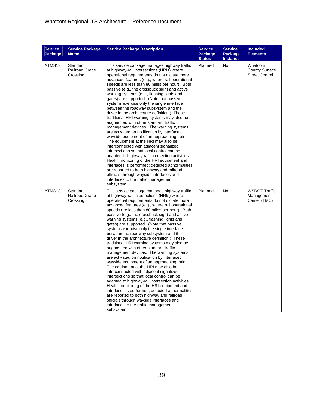| <b>Service</b><br>Package | <b>Service Package</b><br><b>Name</b>         | <b>Service Package Description</b>                                                                                                                                                                                                                                                                                                                                                                                                                                                                                                                                                                                                                                                                                                                                                                                                                                                                                                                                                                                                                                                                                                                                                                     | <b>Service</b><br>Package<br><b>Status</b> | <b>Service</b><br>Package<br><b>Instance</b> | <b>Included</b><br><b>Elements</b>                        |
|---------------------------|-----------------------------------------------|--------------------------------------------------------------------------------------------------------------------------------------------------------------------------------------------------------------------------------------------------------------------------------------------------------------------------------------------------------------------------------------------------------------------------------------------------------------------------------------------------------------------------------------------------------------------------------------------------------------------------------------------------------------------------------------------------------------------------------------------------------------------------------------------------------------------------------------------------------------------------------------------------------------------------------------------------------------------------------------------------------------------------------------------------------------------------------------------------------------------------------------------------------------------------------------------------------|--------------------------------------------|----------------------------------------------|-----------------------------------------------------------|
| ATMS13                    | Standard<br><b>Railroad Grade</b><br>Crossing | This service package manages highway traffic<br>at highway-rail intersections (HRIs) where<br>operational requirements do not dictate more<br>advanced features (e.g., where rail operational<br>speeds are less than 80 miles per hour). Both<br>passive (e.g., the crossbuck sign) and active<br>warning systems (e.g., flashing lights and<br>gates) are supported. (Note that passive<br>systems exercise only the single interface<br>between the roadway subsystem and the<br>driver in the architecture definition.) These<br>traditional HRI warning systems may also be<br>augmented with other standard traffic<br>management devices. The warning systems<br>are activated on notification by interfaced<br>wayside equipment of an approaching train.<br>The equipment at the HRI may also be<br>interconnected with adjacent signalized<br>intersections so that local control can be<br>adapted to highway-rail intersection activities.<br>Health monitoring of the HRI equipment and<br>interfaces is performed; detected abnormalities<br>are reported to both highway and railroad<br>officials through wayside interfaces and<br>interfaces to the traffic management<br>subsystem. | Planned                                    | <b>No</b>                                    | Whatcom<br><b>County Surface</b><br><b>Street Control</b> |
| ATMS13                    | Standard<br><b>Railroad Grade</b><br>Crossing | This service package manages highway traffic<br>at highway-rail intersections (HRIs) where<br>operational requirements do not dictate more<br>advanced features (e.g., where rail operational<br>speeds are less than 80 miles per hour). Both<br>passive (e.g., the crossbuck sign) and active<br>warning systems (e.g., flashing lights and<br>gates) are supported. (Note that passive<br>systems exercise only the single interface<br>between the roadway subsystem and the<br>driver in the architecture definition.) These<br>traditional HRI warning systems may also be<br>augmented with other standard traffic<br>management devices. The warning systems<br>are activated on notification by interfaced<br>wayside equipment of an approaching train.<br>The equipment at the HRI may also be<br>interconnected with adjacent signalized<br>intersections so that local control can be<br>adapted to highway-rail intersection activities.<br>Health monitoring of the HRI equipment and<br>interfaces is performed; detected abnormalities<br>are reported to both highway and railroad<br>officials through wayside interfaces and<br>interfaces to the traffic management<br>subsystem. | Planned                                    | No                                           | <b>WSDOT Traffic</b><br>Management<br>Center (TMC)        |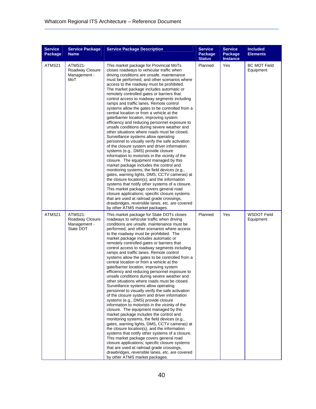| <b>Service</b><br>Package | <b>Service Package</b><br><b>Name</b>                   | <b>Service Package Description</b>                                                                                                                                                                                                                                                                                                                                                                                                                                                                                                                                                                                                                                                                                                                                                                                                                                                                                                                                                                                                                                                                                                                                                                                                                                                                                                                                                                                                                                            | <b>Service</b><br>Package<br><b>Status</b> | <b>Service</b><br>Package<br><b>Instance</b> | <b>Included</b><br><b>Elements</b> |
|---------------------------|---------------------------------------------------------|-------------------------------------------------------------------------------------------------------------------------------------------------------------------------------------------------------------------------------------------------------------------------------------------------------------------------------------------------------------------------------------------------------------------------------------------------------------------------------------------------------------------------------------------------------------------------------------------------------------------------------------------------------------------------------------------------------------------------------------------------------------------------------------------------------------------------------------------------------------------------------------------------------------------------------------------------------------------------------------------------------------------------------------------------------------------------------------------------------------------------------------------------------------------------------------------------------------------------------------------------------------------------------------------------------------------------------------------------------------------------------------------------------------------------------------------------------------------------------|--------------------------------------------|----------------------------------------------|------------------------------------|
| ATMS21                    | ATMS21-<br>Roadway Closure<br>Management -<br>MoT       | This market package for Provincial MoTs<br>closes roadways to vehicular traffic when<br>driving conditions are unsafe, maintenance<br>must be performed, and other scenarios where<br>access to the roadway must be prohibited.<br>The market package includes automatic or<br>remotely controlled gates or barriers that<br>control access to roadway segments including<br>ramps and traffic lanes. Remote control<br>systems allow the gates to be controlled from a<br>central location or from a vehicle at the<br>gate/barrier location, improving system<br>efficiency and reducing personnel exposure to<br>unsafe conditions during severe weather and<br>other situations where roads must be closed.<br>Surveillance systems allow operating<br>personnel to visually verify the safe activation<br>of the closure system and driver information<br>systems (e.g., DMS) provide closure<br>information to motorists in the vicinity of the<br>closure. The equipment managed by this<br>market package includes the control and<br>monitoring systems, the field devices (e.g.,<br>gates, warning lights, DMS, CCTV cameras) at<br>the closure location(s), and the information<br>systems that notify other systems of a closure.<br>This market package covers general road<br>closure applications; specific closure systems<br>that are used at railroad grade crossings,<br>drawbridges, reversible lanes, etc. are covered<br>by other ATMS market packages. | Planned                                    | Yes                                          | <b>BC MOT Field</b><br>Equipment   |
| ATMS21                    | ATMS21-<br>Roadway Closure<br>Management -<br>State DOT | This market package for State DOTs closes<br>roadways to vehicular traffic when driving<br>conditions are unsafe, maintenance must be<br>performed, and other scenarios where access<br>to the roadway must be prohibited. The<br>market package includes automatic or<br>remotely controlled gates or barriers that<br>control access to roadway segments including<br>ramps and traffic lanes. Remote control<br>systems allow the gates to be controlled from a<br>central location or from a vehicle at the<br>gate/barrier location, improving system<br>efficiency and reducing personnel exposure to<br>unsafe conditions during severe weather and<br>other situations where roads must be closed.<br>Surveillance systems allow operating<br>personnel to visually verify the safe activation<br>of the closure system and driver information<br>systems (e.g., DMS) provide closure<br>information to motorists in the vicinity of the<br>closure. The equipment managed by this<br>market package includes the control and<br>monitoring systems, the field devices (e.g.,<br>gates, warning lights, DMS, CCTV cameras) at<br>the closure location(s), and the information<br>systems that notify other systems of a closure.<br>This market package covers general road<br>closure applications; specific closure systems<br>that are used at railroad grade crossings,<br>drawbridges, reversible lanes, etc. are covered<br>by other ATMS market packages.      | Planned                                    | Yes                                          | <b>WSDOT Field</b><br>Equipment    |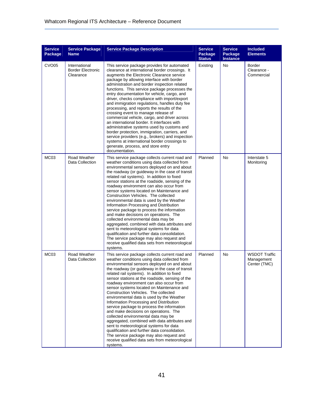| <b>Service</b><br>Package | <b>Service Package</b><br><b>Name</b>                  | <b>Service Package Description</b>                                                                                                                                                                                                                                                                                                                                                                                                                                                                                                                                                                                                                                                                                                                                                                                                                                                                               | <b>Service</b><br>Package<br><b>Status</b> | <b>Service</b><br>Package<br><b>Instance</b> | <b>Included</b><br><b>Elements</b>                 |
|---------------------------|--------------------------------------------------------|------------------------------------------------------------------------------------------------------------------------------------------------------------------------------------------------------------------------------------------------------------------------------------------------------------------------------------------------------------------------------------------------------------------------------------------------------------------------------------------------------------------------------------------------------------------------------------------------------------------------------------------------------------------------------------------------------------------------------------------------------------------------------------------------------------------------------------------------------------------------------------------------------------------|--------------------------------------------|----------------------------------------------|----------------------------------------------------|
| CVO <sub>05</sub>         | International<br><b>Border Electronic</b><br>Clearance | This service package provides for automated<br>clearance at international border crossings. It<br>augments the Electronic Clearance service<br>package by allowing interface with border<br>administration and border inspection related<br>functions. This service package processes the<br>entry documentation for vehicle, cargo, and<br>driver, checks compliance with import/export<br>and immigration regulations, handles duty fee<br>processing, and reports the results of the<br>crossing event to manage release of<br>commercial vehicle, cargo, and driver across<br>an international border. It interfaces with<br>administrative systems used by customs and<br>border protection, immigration, carriers, and<br>service providers (e.g., brokers) and inspection<br>systems at international border crossings to<br>generate, process, and store entry<br>documentation.                         | Existing                                   | <b>No</b>                                    | <b>Border</b><br>Clearance -<br>Commercial         |
| MC03                      | Road Weather<br>Data Collection                        | This service package collects current road and<br>weather conditions using data collected from<br>environmental sensors deployed on and about<br>the roadway (or guideway in the case of transit<br>related rail systems). In addition to fixed<br>sensor stations at the roadside, sensing of the<br>roadway environment can also occur from<br>sensor systems located on Maintenance and<br>Construction Vehicles. The collected<br>environmental data is used by the Weather<br>Information Processing and Distribution<br>service package to process the information<br>and make decisions on operations. The<br>collected environmental data may be<br>aggregated, combined with data attributes and<br>sent to meteorological systems for data<br>qualification and further data consolidation.<br>The service package may also request and<br>receive qualified data sets from meteorological<br>systems. | Planned                                    | No                                           | Interstate 5<br>Monitoring                         |
| MC <sub>03</sub>          | Road Weather<br>Data Collection                        | This service package collects current road and<br>weather conditions using data collected from<br>environmental sensors deployed on and about<br>the roadway (or guideway in the case of transit<br>related rail systems). In addition to fixed<br>sensor stations at the roadside, sensing of the<br>roadway environment can also occur from<br>sensor systems located on Maintenance and<br>Construction Vehicles. The collected<br>environmental data is used by the Weather<br>Information Processing and Distribution<br>service package to process the information<br>and make decisions on operations. The<br>collected environmental data may be<br>aggregated, combined with data attributes and<br>sent to meteorological systems for data<br>qualification and further data consolidation.<br>The service package may also request and<br>receive qualified data sets from meteorological<br>systems. | Planned                                    | No                                           | <b>WSDOT Traffic</b><br>Management<br>Center (TMC) |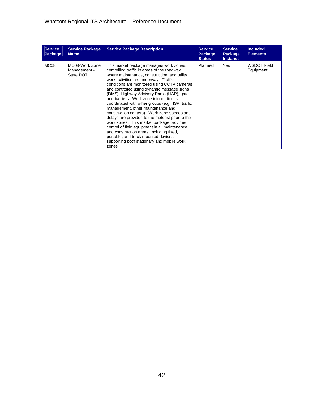| <b>Service</b><br>Package | <b>Service Package</b><br><b>Name</b>       | <b>Service Package Description</b>                                                                                                                                                                                                                                                                                                                                                                                                                                                                                                                                                                                                                                                                                                                                                                        | <b>Service</b><br>Package<br><b>Status</b> | <b>Service</b><br>Package<br><b>Instance</b> | <b>Included</b><br><b>Elements</b> |
|---------------------------|---------------------------------------------|-----------------------------------------------------------------------------------------------------------------------------------------------------------------------------------------------------------------------------------------------------------------------------------------------------------------------------------------------------------------------------------------------------------------------------------------------------------------------------------------------------------------------------------------------------------------------------------------------------------------------------------------------------------------------------------------------------------------------------------------------------------------------------------------------------------|--------------------------------------------|----------------------------------------------|------------------------------------|
| <b>MC08</b>               | MC08-Work Zone<br>Management -<br>State DOT | This market package manages work zones,<br>controlling traffic in areas of the roadway<br>where maintenance, construction, and utility<br>work activities are underway. Traffic<br>conditions are monitored using CCTV cameras<br>and controlled using dynamic message signs<br>(DMS), Highway Advisory Radio (HAR), gates<br>and barriers. Work zone information is<br>coordinated with other groups (e.g., ISP, traffic<br>management, other maintenance and<br>construction centers). Work zone speeds and<br>delays are provided to the motorist prior to the<br>work zones. This market package provides<br>control of field equipment in all maintenance<br>and construction areas, including fixed,<br>portable, and truck-mounted devices<br>supporting both stationary and mobile work<br>zones. | Planned                                    | Yes.                                         | WSDOT Field<br>Equipment           |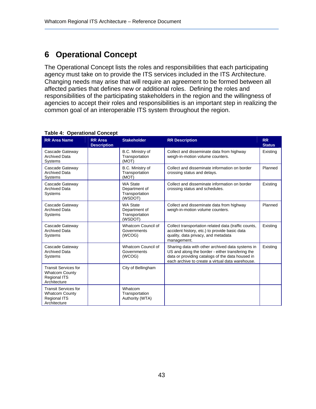## **6 Operational Concept**

The Operational Concept lists the roles and responsibilities that each participating agency must take on to provide the ITS services included in the ITS Architecture. Changing needs may arise that will require an agreement to be formed between all affected parties that defines new or additional roles. Defining the roles and responsibilities of the participating stakeholders in the region and the willingness of agencies to accept their roles and responsibilities is an important step in realizing the common goal of an interoperable ITS system throughout the region.

| <b>RR Area Name</b>                                                                         | <b>RR</b> Area<br><b>Description</b> | <b>Stakeholder</b>                                            | <b>RR Description</b>                                                                                                                                                                                        | <b>RR</b><br><b>Status</b> |
|---------------------------------------------------------------------------------------------|--------------------------------------|---------------------------------------------------------------|--------------------------------------------------------------------------------------------------------------------------------------------------------------------------------------------------------------|----------------------------|
| Cascade Gateway<br><b>Archived Data</b><br><b>Systems</b>                                   |                                      | B.C. Ministry of<br>Transportation<br>(MOT)                   | Collect and disseminate data from highway<br>weigh-in-motion volume counters.                                                                                                                                | Existing                   |
| Cascade Gateway<br><b>Archived Data</b><br>Systems                                          |                                      | B.C. Ministry of<br>Transportation<br>(MOT)                   | Collect and disseminate information on border<br>crossing status and delays.                                                                                                                                 | Planned                    |
| Cascade Gateway<br><b>Archived Data</b><br>Systems                                          |                                      | <b>WA State</b><br>Department of<br>Transportation<br>(WSDOT) | Collect and disseminate information on border<br>crossing status and schedules.                                                                                                                              | Existing                   |
| Cascade Gateway<br><b>Archived Data</b><br>Systems                                          |                                      | <b>WA State</b><br>Department of<br>Transportation<br>(WSDOT) | Collect and disseminate data from highway<br>weigh-in-motion volume counters.                                                                                                                                | Planned                    |
| Cascade Gateway<br><b>Archived Data</b><br>Systems                                          |                                      | Whatcom Council of<br>Governments<br>(WCOG)                   | Collect transportation related data (traffic counts,<br>accident history, etc.) to provide basic data<br>quality, data privacy, and metadata<br>management.                                                  | Existing                   |
| Cascade Gateway<br><b>Archived Data</b><br>Systems                                          |                                      | Whatcom Council of<br>Governments<br>(WCOG)                   | Sharing data with other archived data systems in<br>US and along the border - either transfering the<br>data or providing catalogs of the data housed in<br>each archive to create a virtual data warehouse. | Existing                   |
| <b>Transit Services for</b><br><b>Whatcom County</b><br><b>Regional ITS</b><br>Architecture |                                      | City of Bellingham                                            |                                                                                                                                                                                                              |                            |
| <b>Transit Services for</b><br><b>Whatcom County</b><br><b>Regional ITS</b><br>Architecture |                                      | Whatcom<br>Transportation<br>Authority (WTA)                  |                                                                                                                                                                                                              |                            |

#### **Table 4: Operational Concept**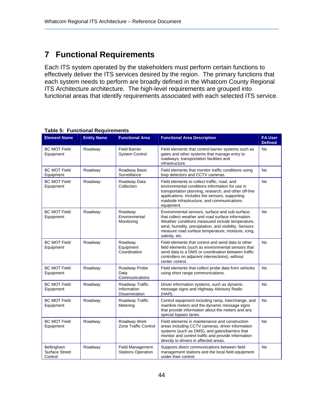### **7 Functional Requirements**

Each ITS system operated by the stakeholders must perform certain functions to effectively deliver the ITS services desired by the region. The primary functions that each system needs to perform are broadly defined in the Whatcom County Regional ITS Architecture architecture. The high-level requirements are grouped into functional areas that identify requirements associated with each selected ITS service.

| <b>Element Name</b>                            | <b>Entity Name</b> | <b>Functional Area</b>                                 | <b>Functional Area Description</b>                                                                                                                                                                                                                                                          | <b>FA User</b><br><b>Defined</b> |
|------------------------------------------------|--------------------|--------------------------------------------------------|---------------------------------------------------------------------------------------------------------------------------------------------------------------------------------------------------------------------------------------------------------------------------------------------|----------------------------------|
| <b>BC MOT Field</b><br>Equipment               | Roadway            | <b>Field Barrier</b><br><b>System Control</b>          | Field elements that control barrier systems such as<br>gates and other systems that manage entry to<br>roadways, transportation facilities and<br>infrastructure.                                                                                                                           | <b>No</b>                        |
| <b>BC MOT Field</b><br>Equipment               | Roadway            | Roadway Basic<br>Surveillance                          | Field elements that monitor traffic conditions using<br>loop detectors and CCTV cameras.                                                                                                                                                                                                    | <b>No</b>                        |
| <b>BC MOT Field</b><br>Equipment               | Roadway            | Roadway Data<br>Collection                             | Field elements to collect traffic, road, and<br>environmental conditions information for use in<br>transportation planning, research, and other off-line<br>applications. Includes the sensors, supporting<br>roadside infrastructure, and communications<br>equipment.                     | <b>No</b>                        |
| <b>BC MOT Field</b><br>Equipment               | Roadway            | Roadway<br>Environmental<br>Monitoring                 | Environmental sensors, surface and sub-surface,<br>that collect weather and road surface information.<br>Weather conditions measured include temperature,<br>wind, humidity, precipitation, and visibility. Sensors<br>measure road surface temperature, moisture, icing,<br>salinity, etc. | <b>No</b>                        |
| <b>BC MOT Field</b><br>Equipment               | Roadway            | Roadway<br>Equipment<br>Coordination                   | Field elements that control and send data to other<br>field elements (such as environmental sensors that<br>send data to a DMS or coordination between traffic<br>controllers on adjacent intersections), without<br>center control.                                                        | <b>No</b>                        |
| <b>BC MOT Field</b><br>Equipment               | Roadway            | Roadway Probe<br>Data<br>Communications                | Field elements that collect probe data from vehicles<br>using short range communications.                                                                                                                                                                                                   | <b>No</b>                        |
| <b>BC MOT Field</b><br>Equipment               | Roadway            | Roadway Traffic<br>Information<br><b>Dissemination</b> | Driver information systems, such as dynamic<br>message signs and Highway Advisory Radio<br>(HAR).                                                                                                                                                                                           | <b>No</b>                        |
| <b>BC MOT Field</b><br>Equipment               | Roadway            | Roadway Traffic<br>Metering                            | Control equipment including ramp, interchange, and<br>mainline meters and the dynamic message signs<br>that provide information about the meters and any<br>special bypass lanes.                                                                                                           | <b>No</b>                        |
| <b>BC MOT Field</b><br>Equipment               | Roadway            | Roadway Work<br>Zone Traffic Control                   | Field elements in maintenance and construction<br>areas including CCTV cameras, driver information<br>systems (such as DMS), and gates/barriers that<br>monitor and control traffic and provide information<br>directly to drivers in affected areas.                                       | <b>No</b>                        |
| Bellingham<br><b>Surface Street</b><br>Control | Roadway            | <b>Field Management</b><br><b>Stations Operation</b>   | Supports direct communications between field<br>management stations and the local field equipment<br>under their control.                                                                                                                                                                   | <b>No</b>                        |

#### **Table 5: Functional Requirements**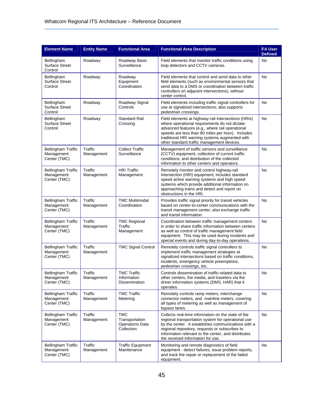| <b>Element Name</b>                                     | <b>Entity Name</b>    | <b>Functional Area</b>                                               | <b>Functional Area Description</b>                                                                                                                                                                                                                                                                            | <b>FA User</b><br><b>Defined</b> |
|---------------------------------------------------------|-----------------------|----------------------------------------------------------------------|---------------------------------------------------------------------------------------------------------------------------------------------------------------------------------------------------------------------------------------------------------------------------------------------------------------|----------------------------------|
| Bellingham<br><b>Surface Street</b><br>Control          | Roadway               | Roadway Basic<br>Surveillance                                        | Field elements that monitor traffic conditions using<br>loop detectors and CCTV cameras.                                                                                                                                                                                                                      | No                               |
| Bellingham<br><b>Surface Street</b><br>Control          | Roadway               | Roadway<br>Equipment<br>Coordination                                 | Field elements that control and send data to other<br>field elements (such as environmental sensors that<br>send data to a DMS or coordination between traffic<br>controllers on adjacent intersections), without<br>center control.                                                                          | <b>No</b>                        |
| Bellingham<br><b>Surface Street</b><br>Control          | Roadway               | Roadway Signal<br>Controls                                           | Field elements including traffic signal controllers for<br>use at signalized intersections; also supports<br>pedestrian crossings.                                                                                                                                                                            | No                               |
| Bellingham<br><b>Surface Street</b><br>Control          | Roadway               | <b>Standard Rail</b><br>Crossing                                     | Field elements at highway-rail intersections (HRIs)<br>where operational requirements do not dictate<br>advanced features (e.g., where rail operational<br>speeds are less than 80 miles per hour). Includes<br>traditional HRI warning systems augmented with<br>other standard traffic management devices.  | No                               |
| <b>Bellingham Traffic</b><br>Management<br>Center (TMC) | Traffic<br>Management | <b>Collect Traffic</b><br>Surveillance                               | Management of traffic sensors and surveillance<br>(CCTV) equipment, collection of current traffic<br>conditions, and distribution of the collected<br>information to other centers and operators.                                                                                                             | <b>No</b>                        |
| <b>Bellingham Traffic</b><br>Management<br>Center (TMC) | Traffic<br>Management | <b>HRI Traffic</b><br>Management                                     | Remotely monitor and control highway-rail<br>intersection (HRI) equipment, includes standard<br>speed active warning systems and high speed<br>systems which provide additional information on<br>approaching trains and detect and report on<br>obstructions in the HRI.                                     | No                               |
| <b>Bellingham Traffic</b><br>Management<br>Center (TMC) | Traffic<br>Management | <b>TMC Multimodal</b><br>Coordination                                | Provides traffic signal priority for transit vehicles<br>based on center-to-center communications with the<br>transit management center; also exchange traffic<br>and transit information.                                                                                                                    | <b>No</b>                        |
| <b>Bellingham Traffic</b><br>Management<br>Center (TMC) | Traffic<br>Management | <b>TMC Regional</b><br>Traffic<br>Management                         | Coordination between traffic management centers<br>in order to share traffic information between centers<br>as well as control of traffic management field<br>equipment. This may be used during incidents and<br>special events and during day-to-day operations.                                            | No                               |
| <b>Bellingham Traffic</b><br>Management<br>Center (TMC) | Traffic<br>Management | <b>TMC Signal Control</b>                                            | Remotely controls traffic signal controllers to<br>implement traffic management strategies at<br>signalized intersections based on traffic conditions,<br>incidents, emergency vehicle preemptions,<br>pedestrian crossings, etc.                                                                             | <b>No</b>                        |
| <b>Bellingham Traffic</b><br>Management<br>Center (TMC) | Traffic<br>Management | <b>TMC Traffic</b><br>Information<br>Dissemination                   | Controls dissemination of traffic-related data to<br>other centers, the media, and travelers via the<br>driver information systems (DMS, HAR) that it<br>operates.                                                                                                                                            | <b>No</b>                        |
| <b>Bellingham Traffic</b><br>Management<br>Center (TMC) | Traffic<br>Management | <b>TMC Traffic</b><br>Metering                                       | Remotely controls ramp meters, interchange<br>connector meters, and mainline meters, covering<br>all types of metering as well as management of<br>bypass lanes.                                                                                                                                              | No                               |
| <b>Bellingham Traffic</b><br>Management<br>Center (TMC) | Traffic<br>Management | <b>TMC</b><br>Transportation<br><b>Operations Data</b><br>Collection | Collects real-time information on the state of the<br>regional transportation system for operational use<br>by the center. It establishes communications with a<br>regional repository, requests or subscribes to<br>information relevant to the center, and distributes<br>the received information for use. | No                               |
| <b>Bellingham Traffic</b><br>Management<br>Center (TMC) | Traffic<br>Management | <b>Traffic Equipment</b><br>Maintenance                              | Monitoring and remote diagnostics of field<br>equipment - detect failures, issue problem reports,<br>and track the repair or replacement of the failed<br>equipment.                                                                                                                                          | No                               |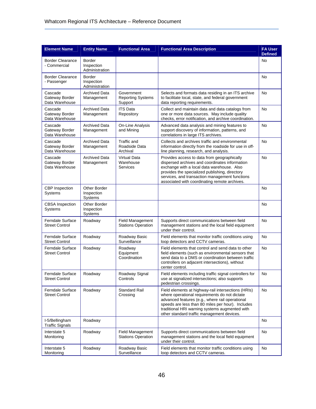| <b>Element Name</b>                              | <b>Entity Name</b>                     | <b>Functional Area</b>                               | <b>Functional Area Description</b>                                                                                                                                                                                                                                                                           | <b>FA User</b><br><b>Defined</b> |
|--------------------------------------------------|----------------------------------------|------------------------------------------------------|--------------------------------------------------------------------------------------------------------------------------------------------------------------------------------------------------------------------------------------------------------------------------------------------------------------|----------------------------------|
| <b>Border Clearance</b><br>- Commercial          | Border<br>Inspection<br>Administration |                                                      |                                                                                                                                                                                                                                                                                                              | No                               |
| <b>Border Clearance</b><br>- Passenger           | Border<br>Inspection<br>Administration |                                                      |                                                                                                                                                                                                                                                                                                              | <b>No</b>                        |
| Cascade<br>Gateway Border<br>Data Warehouse      | <b>Archived Data</b><br>Management     | Government<br><b>Reporting Systems</b><br>Support    | Selects and formats data residing in an ITS archive<br>to facilitate local, state, and federal government<br>data reporting requirements.                                                                                                                                                                    | No                               |
| Cascade<br>Gateway Border<br>Data Warehouse      | <b>Archived Data</b><br>Management     | <b>ITS Data</b><br>Repository                        | Collect and maintain data and data catalogs from<br>one or more data sources. May include quality<br>checks, error notification, and archive coordination.                                                                                                                                                   | <b>No</b>                        |
| Cascade<br>Gateway Border<br>Data Warehouse      | <b>Archived Data</b><br>Management     | On-Line Analysis<br>and Mining                       | Advanced data analysis and mining features to<br>support discovery of information, patterns, and<br>correlations in large ITS archives.                                                                                                                                                                      | No                               |
| Cascade<br>Gateway Border<br>Data Warehouse      | <b>Archived Data</b><br>Management     | Traffic and<br>Roadside Data<br>Archival             | Collects and archives traffic and environmental<br>information directly from the roadside for use in off-<br>line planning, research, and analysis.                                                                                                                                                          | No                               |
| Cascade<br>Gateway Border<br>Data Warehouse      | <b>Archived Data</b><br>Management     | <b>Virtual Data</b><br>Warehouse<br>Services         | Provides access to data from geographically<br>dispersed archives and coordinates information<br>exchange with a local data warehouse. Also<br>provides the specialized publishing, directory<br>services, and transaction management functions<br>associated with coordinating remote archives.             | <b>No</b>                        |
| <b>CBP</b> Inspection<br>Systems                 | Other Border<br>Inspection<br>Systems  |                                                      |                                                                                                                                                                                                                                                                                                              | No                               |
| <b>CBSA</b> Inspection<br>Systems                | Other Border<br>Inspection<br>Systems  |                                                      |                                                                                                                                                                                                                                                                                                              | No                               |
| Ferndale Surface<br><b>Street Control</b>        | Roadway                                | <b>Field Management</b><br><b>Stations Operation</b> | Supports direct communications between field<br>management stations and the local field equipment<br>under their control.                                                                                                                                                                                    | No                               |
| <b>Ferndale Surface</b><br><b>Street Control</b> | Roadway                                | Roadway Basic<br>Surveillance                        | Field elements that monitor traffic conditions using<br>loop detectors and CCTV cameras.                                                                                                                                                                                                                     | <b>No</b>                        |
| Ferndale Surface<br><b>Street Control</b>        | Roadway                                | Roadway<br>Equipment<br>Coordination                 | Field elements that control and send data to other<br>field elements (such as environmental sensors that<br>send data to a DMS or coordination between traffic<br>controllers on adjacent intersections), without<br>center control.                                                                         | <b>No</b>                        |
| <b>Ferndale Surface</b><br><b>Street Control</b> | Roadway                                | Roadway Signal<br>Controls                           | Field elements including traffic signal controllers for<br>use at signalized intersections; also supports<br>pedestrian crossings.                                                                                                                                                                           | No                               |
| Ferndale Surface<br><b>Street Control</b>        | Roadway                                | <b>Standard Rail</b><br>Crossing                     | Field elements at highway-rail intersections (HRIs)<br>where operational requirements do not dictate<br>advanced features (e.g., where rail operational<br>speeds are less than 80 miles per hour). Includes<br>traditional HRI warning systems augmented with<br>other standard traffic management devices. | <b>No</b>                        |
| I-5/Bellingham<br><b>Traffic Signals</b>         | Roadway                                |                                                      |                                                                                                                                                                                                                                                                                                              | No                               |
| Interstate 5<br>Monitoring                       | Roadway                                | Field Management<br><b>Stations Operation</b>        | Supports direct communications between field<br>management stations and the local field equipment<br>under their control.                                                                                                                                                                                    | No                               |
| Interstate 5<br>Monitoring                       | Roadway                                | Roadway Basic<br>Surveillance                        | Field elements that monitor traffic conditions using<br>loop detectors and CCTV cameras.                                                                                                                                                                                                                     | No                               |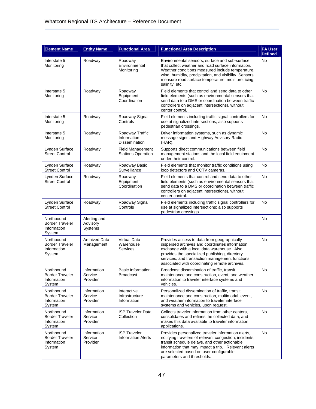| <b>Element Name</b>                                           | <b>Entity Name</b>                  | <b>Functional Area</b>                               | <b>Functional Area Description</b>                                                                                                                                                                                                                                                               | <b>FA User</b><br><b>Defined</b> |
|---------------------------------------------------------------|-------------------------------------|------------------------------------------------------|--------------------------------------------------------------------------------------------------------------------------------------------------------------------------------------------------------------------------------------------------------------------------------------------------|----------------------------------|
| Interstate 5<br>Monitoring                                    | Roadway                             | Roadway<br>Environmental<br>Monitoring               | Environmental sensors, surface and sub-surface,<br>that collect weather and road surface information.<br>Weather conditions measured include temperature,<br>wind, humidity, precipitation, and visibility. Sensors<br>measure road surface temperature, moisture, icing,<br>salinity, etc.      | No                               |
| Interstate 5<br>Monitoring                                    | Roadway                             | Roadway<br>Equipment<br>Coordination                 | Field elements that control and send data to other<br>field elements (such as environmental sensors that<br>send data to a DMS or coordination between traffic<br>controllers on adjacent intersections), without<br>center control.                                                             | No                               |
| Interstate 5<br>Monitoring                                    | Roadway                             | Roadway Signal<br>Controls                           | Field elements including traffic signal controllers for<br>use at signalized intersections; also supports<br>pedestrian crossings.                                                                                                                                                               | <b>No</b>                        |
| Interstate 5<br>Monitoring                                    | Roadway                             | Roadway Traffic<br>Information<br>Dissemination      | Driver information systems, such as dynamic<br>message signs and Highway Advisory Radio<br>$(HAR)$ .                                                                                                                                                                                             | <b>No</b>                        |
| Lynden Surface<br><b>Street Control</b>                       | Roadway                             | <b>Field Management</b><br><b>Stations Operation</b> | Supports direct communications between field<br>management stations and the local field equipment<br>under their control.                                                                                                                                                                        | No                               |
| Lynden Surface<br><b>Street Control</b>                       | Roadway                             | Roadway Basic<br>Surveillance                        | Field elements that monitor traffic conditions using<br>loop detectors and CCTV cameras.                                                                                                                                                                                                         | No                               |
| Lynden Surface<br><b>Street Control</b>                       | Roadway                             | Roadway<br>Equipment<br>Coordination                 | Field elements that control and send data to other<br>field elements (such as environmental sensors that<br>send data to a DMS or coordination between traffic<br>controllers on adjacent intersections), without<br>center control.                                                             | No                               |
| Lynden Surface<br><b>Street Control</b>                       | Roadway                             | Roadway Signal<br>Controls                           | Field elements including traffic signal controllers for<br>use at signalized intersections; also supports<br>pedestrian crossings.                                                                                                                                                               | No                               |
| Northbound<br><b>Border Traveler</b><br>Information<br>System | Alerting and<br>Advisory<br>Systems |                                                      |                                                                                                                                                                                                                                                                                                  | No                               |
| Northbound<br><b>Border Traveler</b><br>Information<br>System | <b>Archived Data</b><br>Management  | <b>Virtual Data</b><br>Warehouse<br>Services         | Provides access to data from geographically<br>dispersed archives and coordinates information<br>exchange with a local data warehouse. Also<br>provides the specialized publishing, directory<br>services, and transaction management functions<br>associated with coordinating remote archives. | No                               |
| Northbound<br><b>Border Traveler</b><br>Information<br>System | Information<br>Service<br>Provider  | <b>Basic Information</b><br>Broadcast                | Broadcast dissemination of traffic, transit,<br>maintenance and construction, event, and weather<br>information to traveler interface systems and<br>vehicles.                                                                                                                                   | No                               |
| Northbound<br><b>Border Traveler</b><br>Information<br>System | Information<br>Service<br>Provider  | Interactive<br>Infrastructure<br>Information         | Personalized dissemination of traffic, transit,<br>maintenance and construction, multimodal, event,<br>and weather information to traveler interface<br>systems and vehicles, upon request.                                                                                                      | <b>No</b>                        |
| Northbound<br><b>Border Traveler</b><br>Information<br>System | Information<br>Service<br>Provider  | <b>ISP Traveler Data</b><br>Collection               | Collects traveler information from other centers,<br>consolidates and refines the collected data, and<br>makes this data available to traveler information<br>applications.                                                                                                                      | <b>No</b>                        |
| Northbound<br><b>Border Traveler</b><br>Information<br>System | Information<br>Service<br>Provider  | <b>ISP Traveler</b><br><b>Information Alerts</b>     | Provides personalized traveler information alerts,<br>notifying travelers of relevant congestion, incidents,<br>transit schedule delays. and other actionable<br>information that may impact a trip. Relevant alerts<br>are selected based on user-configurable<br>parameters and thresholds.    | <b>No</b>                        |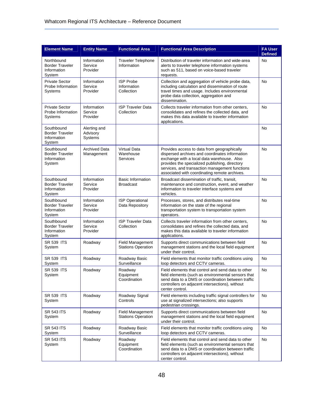| <b>Element Name</b>                                           | <b>Entity Name</b>                  | <b>Functional Area</b>                               | <b>Functional Area Description</b>                                                                                                                                                                                                                                                               | <b>FA User</b><br><b>Defined</b> |
|---------------------------------------------------------------|-------------------------------------|------------------------------------------------------|--------------------------------------------------------------------------------------------------------------------------------------------------------------------------------------------------------------------------------------------------------------------------------------------------|----------------------------------|
| Northbound<br><b>Border Traveler</b><br>Information<br>System | Information<br>Service<br>Provider  | <b>Traveler Telephone</b><br>Information             | Distribution of traveler information and wide-area<br>alerts to traveler telephone information systems<br>such as 511, based on voice-based traveler<br>requests.                                                                                                                                | No                               |
| <b>Private Sector</b><br>Probe Information<br>Systems         | Information<br>Service<br>Provider  | <b>ISP Probe</b><br>Information<br>Collection        | Collection and aggregation of vehicle probe data,<br>including calculation and dissemination of route<br>travel times and usage. Includes environmental<br>probe data collection, aggregation and<br>dissemination.                                                                              | No                               |
| <b>Private Sector</b><br>Probe Information<br>Systems         | Information<br>Service<br>Provider  | <b>ISP Traveler Data</b><br>Collection               | Collects traveler information from other centers,<br>consolidates and refines the collected data, and<br>makes this data available to traveler information<br>applications.                                                                                                                      | No                               |
| Southbound<br><b>Border Traveler</b><br>Information<br>System | Alerting and<br>Advisory<br>Systems |                                                      |                                                                                                                                                                                                                                                                                                  | No                               |
| Southbound<br><b>Border Traveler</b><br>Information<br>System | <b>Archived Data</b><br>Management  | <b>Virtual Data</b><br>Warehouse<br>Services         | Provides access to data from geographically<br>dispersed archives and coordinates information<br>exchange with a local data warehouse. Also<br>provides the specialized publishing, directory<br>services, and transaction management functions<br>associated with coordinating remote archives. | No                               |
| Southbound<br><b>Border Traveler</b><br>Information<br>System | Information<br>Service<br>Provider  | <b>Basic Information</b><br><b>Broadcast</b>         | Broadcast dissemination of traffic, transit,<br>maintenance and construction, event, and weather<br>information to traveler interface systems and<br>vehicles.                                                                                                                                   | No                               |
| Southbound<br><b>Border Traveler</b><br>Information<br>System | Information<br>Service<br>Provider  | <b>ISP Operational</b><br>Data Repository            | Processes, stores, and distributes real-time<br>information on the state of the regional<br>transportation system to transportation system<br>operators.                                                                                                                                         | No                               |
| Southbound<br><b>Border Traveler</b><br>Information<br>System | Information<br>Service<br>Provider  | <b>ISP Traveler Data</b><br>Collection               | Collects traveler information from other centers,<br>consolidates and refines the collected data, and<br>makes this data available to traveler information<br>applications.                                                                                                                      | No                               |
| <b>SR 539 ITS</b><br>System                                   | Roadway                             | <b>Field Management</b><br><b>Stations Operation</b> | Supports direct communications between field<br>management stations and the local field equipment<br>under their control.                                                                                                                                                                        | No                               |
| <b>SR 539 ITS</b><br>System                                   | Roadway                             | Roadway Basic<br>Surveillance                        | Field elements that monitor traffic conditions using<br>loop detectors and CCTV cameras.                                                                                                                                                                                                         | <b>No</b>                        |
| <b>SR 539 ITS</b><br>System                                   | Roadway                             | Roadway<br>Equipment<br>Coordination                 | Field elements that control and send data to other<br>field elements (such as environmental sensors that<br>send data to a DMS or coordination between traffic<br>controllers on adjacent intersections), without<br>center control.                                                             | No                               |
| <b>SR 539 ITS</b><br>System                                   | Roadway                             | Roadway Signal<br>Controls                           | Field elements including traffic signal controllers for<br>use at signalized intersections; also supports<br>pedestrian crossings.                                                                                                                                                               | <b>No</b>                        |
| <b>SR 543 ITS</b><br>System                                   | Roadway                             | <b>Field Management</b><br><b>Stations Operation</b> | Supports direct communications between field<br>management stations and the local field equipment<br>under their control.                                                                                                                                                                        | No                               |
| <b>SR 543 ITS</b><br>System                                   | Roadway                             | Roadway Basic<br>Surveillance                        | Field elements that monitor traffic conditions using<br>loop detectors and CCTV cameras.                                                                                                                                                                                                         | No                               |
| <b>SR 543 ITS</b><br>System                                   | Roadway                             | Roadway<br>Equipment<br>Coordination                 | Field elements that control and send data to other<br>field elements (such as environmental sensors that<br>send data to a DMS or coordination between traffic<br>controllers on adjacent intersections), without<br>center control.                                                             | No                               |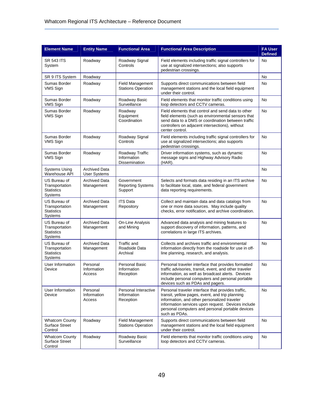| <b>Element Name</b>                                            | <b>Entity Name</b>                          | <b>Functional Area</b>                               | <b>Functional Area Description</b>                                                                                                                                                                                                                                               | <b>FA User</b><br><b>Defined</b> |
|----------------------------------------------------------------|---------------------------------------------|------------------------------------------------------|----------------------------------------------------------------------------------------------------------------------------------------------------------------------------------------------------------------------------------------------------------------------------------|----------------------------------|
| <b>SR 543 ITS</b><br>System                                    | Roadway                                     | Roadway Signal<br>Controls                           | Field elements including traffic signal controllers for<br>use at signalized intersections; also supports<br>pedestrian crossings.                                                                                                                                               | No                               |
| SR 9 ITS System                                                | Roadway                                     |                                                      |                                                                                                                                                                                                                                                                                  | No                               |
| Sumas Border<br>VMS Sign                                       | Roadway                                     | <b>Field Management</b><br><b>Stations Operation</b> | Supports direct communications between field<br>management stations and the local field equipment<br>under their control.                                                                                                                                                        | <b>No</b>                        |
| Sumas Border<br>VMS Sign                                       | Roadway                                     | Roadway Basic<br>Surveillance                        | Field elements that monitor traffic conditions using<br>loop detectors and CCTV cameras.                                                                                                                                                                                         | No                               |
| Sumas Border<br>VMS Sign                                       | Roadway                                     | Roadway<br>Equipment<br>Coordination                 | Field elements that control and send data to other<br>field elements (such as environmental sensors that<br>send data to a DMS or coordination between traffic<br>controllers on adjacent intersections), without<br>center control.                                             | No                               |
| Sumas Border<br>VMS Sign                                       | Roadway                                     | Roadway Signal<br>Controls                           | Field elements including traffic signal controllers for<br>use at signalized intersections; also supports<br>pedestrian crossings.                                                                                                                                               | No                               |
| Sumas Border<br>VMS Sign                                       | Roadway                                     | Roadway Traffic<br>Information<br>Dissemination      | Driver information systems, such as dynamic<br>message signs and Highway Advisory Radio<br>(HAR).                                                                                                                                                                                | <b>No</b>                        |
| <b>Systems Using</b><br>Warehouse API                          | <b>Archived Data</b><br><b>User Systems</b> |                                                      |                                                                                                                                                                                                                                                                                  | No                               |
| US Bureau of<br>Transportation<br><b>Statistics</b><br>Systems | <b>Archived Data</b><br>Management          | Government<br><b>Reporting Systems</b><br>Support    | Selects and formats data residing in an ITS archive<br>to facilitate local, state, and federal government<br>data reporting requirements.                                                                                                                                        | No                               |
| US Bureau of<br>Transportation<br><b>Statistics</b><br>Systems | <b>Archived Data</b><br>Management          | <b>ITS Data</b><br>Repository                        | Collect and maintain data and data catalogs from<br>one or more data sources. May include quality<br>checks, error notification, and archive coordination.                                                                                                                       | No                               |
| US Bureau of<br>Transportation<br><b>Statistics</b><br>Systems | <b>Archived Data</b><br>Management          | On-Line Analysis<br>and Mining                       | Advanced data analysis and mining features to<br>support discovery of information, patterns, and<br>correlations in large ITS archives.                                                                                                                                          | No                               |
| US Bureau of<br>Transportation<br><b>Statistics</b><br>Systems | <b>Archived Data</b><br>Management          | <b>Traffic and</b><br>Roadside Data<br>Archival      | Collects and archives traffic and environmental<br>information directly from the roadside for use in off-<br>line planning, research, and analysis.                                                                                                                              | No                               |
| User Information<br>Device                                     | Personal<br>Information<br>Access           | Personal Basic<br>Information<br>Reception           | Personal traveler interface that provides formatted<br>traffic advisories, transit, event, and other traveler<br>information, as well as broadcast alerts. Devices<br>include personal computers and personal portable<br>devices such as PDAs and pagers.                       | No                               |
| User Information<br>Device                                     | Personal<br>Information<br>Access           | Personal Interactive<br>Information<br>Reception     | Personal traveler interface that provides traffic.<br>transit, yellow pages, event, and trip planning<br>information, and other personalized traveler<br>information services upon request. Devices include<br>personal computers and personal portable devices<br>such as PDAs. | <b>No</b>                        |
| <b>Whatcom County</b><br><b>Surface Street</b><br>Control      | Roadway                                     | <b>Field Management</b><br><b>Stations Operation</b> | Supports direct communications between field<br>management stations and the local field equipment<br>under their control.                                                                                                                                                        | No                               |
| <b>Whatcom County</b><br><b>Surface Street</b><br>Control      | Roadway                                     | Roadway Basic<br>Surveillance                        | Field elements that monitor traffic conditions using<br>loop detectors and CCTV cameras.                                                                                                                                                                                         | No                               |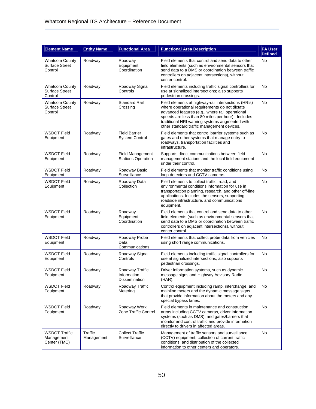| <b>Element Name</b>                                       | <b>Entity Name</b>    | <b>Functional Area</b>                               | <b>Functional Area Description</b>                                                                                                                                                                                                                                                                           | <b>FA User</b><br><b>Defined</b> |
|-----------------------------------------------------------|-----------------------|------------------------------------------------------|--------------------------------------------------------------------------------------------------------------------------------------------------------------------------------------------------------------------------------------------------------------------------------------------------------------|----------------------------------|
| <b>Whatcom County</b><br><b>Surface Street</b><br>Control | Roadway               | Roadway<br>Equipment<br>Coordination                 | Field elements that control and send data to other<br>field elements (such as environmental sensors that<br>send data to a DMS or coordination between traffic<br>controllers on adjacent intersections), without<br>center control.                                                                         | No                               |
| <b>Whatcom County</b><br><b>Surface Street</b><br>Control | Roadway               | Roadway Signal<br>Controls                           | Field elements including traffic signal controllers for<br>use at signalized intersections; also supports<br>pedestrian crossings.                                                                                                                                                                           | No                               |
| <b>Whatcom County</b><br><b>Surface Street</b><br>Control | Roadway               | <b>Standard Rail</b><br>Crossing                     | Field elements at highway-rail intersections (HRIs)<br>where operational requirements do not dictate<br>advanced features (e.g., where rail operational<br>speeds are less than 80 miles per hour). Includes<br>traditional HRI warning systems augmented with<br>other standard traffic management devices. | <b>No</b>                        |
| <b>WSDOT Field</b><br>Equipment                           | Roadway               | <b>Field Barrier</b><br><b>System Control</b>        | Field elements that control barrier systems such as<br>gates and other systems that manage entry to<br>roadways, transportation facilities and<br>infrastructure.                                                                                                                                            | No                               |
| <b>WSDOT Field</b><br>Equipment                           | Roadway               | <b>Field Management</b><br><b>Stations Operation</b> | Supports direct communications between field<br>management stations and the local field equipment<br>under their control.                                                                                                                                                                                    | No                               |
| <b>WSDOT Field</b><br>Equipment                           | Roadway               | Roadway Basic<br>Surveillance                        | Field elements that monitor traffic conditions using<br>loop detectors and CCTV cameras.                                                                                                                                                                                                                     | <b>No</b>                        |
| <b>WSDOT Field</b><br>Equipment                           | Roadway               | Roadway Data<br>Collection                           | Field elements to collect traffic, road, and<br>environmental conditions information for use in<br>transportation planning, research, and other off-line<br>applications. Includes the sensors, supporting<br>roadside infrastructure, and communications<br>equipment.                                      | No                               |
| <b>WSDOT Field</b><br>Equipment                           | Roadway               | Roadway<br>Equipment<br>Coordination                 | Field elements that control and send data to other<br>field elements (such as environmental sensors that<br>send data to a DMS or coordination between traffic<br>controllers on adjacent intersections), without<br>center control.                                                                         | No                               |
| <b>WSDOT Field</b><br>Equipment                           | Roadway               | Roadway Probe<br>Data<br>Communications              | Field elements that collect probe data from vehicles<br>using short range communications.                                                                                                                                                                                                                    | No                               |
| <b>WSDOT Field</b><br>Equipment                           | Roadway               | Roadway Signal<br>Controls                           | Field elements including traffic signal controllers for<br>use at signalized intersections; also supports<br>pedestrian crossings.                                                                                                                                                                           | No                               |
| WSDOT Field<br>Equipment                                  | Roadway               | Roadway Traffic<br>Information<br>Dissemination      | Driver information systems, such as dynamic<br>message signs and Highway Advisory Radio<br>(HAR).                                                                                                                                                                                                            | <b>No</b>                        |
| <b>WSDOT Field</b><br>Equipment                           | Roadway               | Roadway Traffic<br>Metering                          | Control equipment including ramp, interchange, and<br>mainline meters and the dynamic message signs<br>that provide information about the meters and any<br>special bypass lanes.                                                                                                                            | No                               |
| <b>WSDOT Field</b><br>Equipment                           | Roadway               | Roadway Work<br>Zone Traffic Control                 | Field elements in maintenance and construction<br>areas including CCTV cameras, driver information<br>systems (such as DMS), and gates/barriers that<br>monitor and control traffic and provide information<br>directly to drivers in affected areas.                                                        | <b>No</b>                        |
| <b>WSDOT Traffic</b><br>Management<br>Center (TMC)        | Traffic<br>Management | <b>Collect Traffic</b><br>Surveillance               | Management of traffic sensors and surveillance<br>(CCTV) equipment, collection of current traffic<br>conditions, and distribution of the collected<br>information to other centers and operators.                                                                                                            | <b>No</b>                        |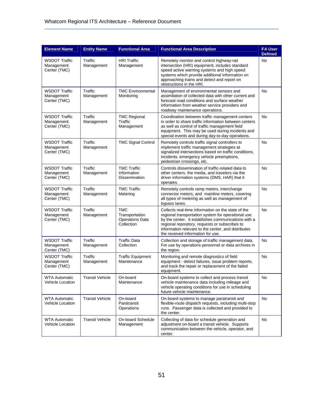| <b>Element Name</b>                                | <b>Entity Name</b>     | <b>Functional Area</b>                                               | <b>Functional Area Description</b>                                                                                                                                                                                                                                                                            | <b>FA User</b><br><b>Defined</b> |
|----------------------------------------------------|------------------------|----------------------------------------------------------------------|---------------------------------------------------------------------------------------------------------------------------------------------------------------------------------------------------------------------------------------------------------------------------------------------------------------|----------------------------------|
| <b>WSDOT Traffic</b><br>Management<br>Center (TMC) | Traffic<br>Management  | <b>HRI Traffic</b><br>Management                                     | Remotely monitor and control highway-rail<br>intersection (HRI) equipment, includes standard<br>speed active warning systems and high speed<br>systems which provide additional information on<br>approaching trains and detect and report on<br>obstructions in the HRI.                                     | <b>No</b>                        |
| <b>WSDOT Traffic</b><br>Management<br>Center (TMC) | Traffic<br>Management  | <b>TMC Environmental</b><br>Monitoring                               | Management of environmental sensors and<br>assimilation of collected data with other current and<br>forecast road conditions and surface weather<br>information from weather service providers and<br>roadway maintenance operations.                                                                         | No                               |
| <b>WSDOT Traffic</b><br>Management<br>Center (TMC) | Traffic<br>Management  | <b>TMC Regional</b><br>Traffic<br>Management                         | Coordination between traffic management centers<br>in order to share traffic information between centers<br>as well as control of traffic management field<br>equipment. This may be used during incidents and<br>special events and during day-to-day operations.                                            | No                               |
| <b>WSDOT Traffic</b><br>Management<br>Center (TMC) | Traffic<br>Management  | <b>TMC Signal Control</b>                                            | Remotely controls traffic signal controllers to<br>implement traffic management strategies at<br>signalized intersections based on traffic conditions,<br>incidents, emergency vehicle preemptions,<br>pedestrian crossings, etc.                                                                             | <b>No</b>                        |
| <b>WSDOT Traffic</b><br>Management<br>Center (TMC) | Traffic<br>Management  | <b>TMC Traffic</b><br>Information<br><b>Dissemination</b>            | Controls dissemination of traffic-related data to<br>other centers, the media, and travelers via the<br>driver information systems (DMS, HAR) that it<br>operates.                                                                                                                                            | No                               |
| <b>WSDOT Traffic</b><br>Management<br>Center (TMC) | Traffic<br>Management  | <b>TMC Traffic</b><br>Metering                                       | Remotely controls ramp meters, interchange<br>connector meters, and mainline meters, covering<br>all types of metering as well as management of<br>bypass lanes.                                                                                                                                              | <b>No</b>                        |
| <b>WSDOT Traffic</b><br>Management<br>Center (TMC) | Traffic<br>Management  | <b>TMC</b><br>Transportation<br><b>Operations Data</b><br>Collection | Collects real-time information on the state of the<br>regional transportation system for operational use<br>by the center. It establishes communications with a<br>regional repository, requests or subscribes to<br>information relevant to the center, and distributes<br>the received information for use. | <b>No</b>                        |
| <b>WSDOT Traffic</b><br>Management<br>Center (TMC) | Traffic<br>Management  | <b>Traffic Data</b><br>Collection                                    | Collection and storage of traffic management data.<br>For use by operations personnel or data archives in<br>the region.                                                                                                                                                                                      | <b>No</b>                        |
| <b>WSDOT Traffic</b><br>Management<br>Center (TMC) | Traffic<br>Management  | <b>Traffic Equipment</b><br>Maintenance                              | Monitoring and remote diagnostics of field<br>equipment - detect failures, issue problem reports,<br>and track the repair or replacement of the failed<br>equipment.                                                                                                                                          | <b>No</b>                        |
| <b>WTA Automatic</b><br><b>Vehicle Location</b>    | <b>Transit Vehicle</b> | On-board<br>Maintenance                                              | On-board systems to collect and process transit<br>vehicle maintenance data including mileage and<br>vehicle operating conditions for use in scheduling<br>future vehicle maintenance.                                                                                                                        | No                               |
| <b>WTA Automatic</b><br><b>Vehicle Location</b>    | <b>Transit Vehicle</b> | On-board<br>Paratransit<br>Operations                                | On-board systems to manage paratransit and<br>flexible-route dispatch requests, including multi-stop<br>runs. Passenger data is collected and provided to<br>the center.                                                                                                                                      | No                               |
| <b>WTA Automatic</b><br><b>Vehicle Location</b>    | <b>Transit Vehicle</b> | On-board Schedule<br>Management                                      | Collecting of data for schedule generation and<br>adjustment on-board a transit vehicle. Supports<br>communication between the vehicle, operator, and<br>center.                                                                                                                                              | <b>No</b>                        |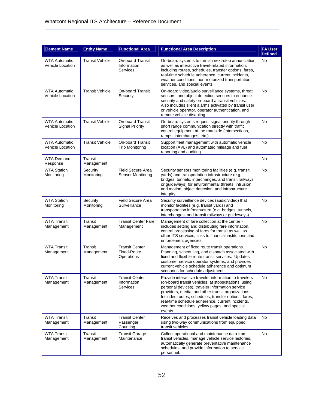| <b>Element Name</b>                             | <b>Entity Name</b>     | <b>Functional Area</b>                                    | <b>Functional Area Description</b>                                                                                                                                                                                                                                                                                                                                                             | <b>FA User</b><br><b>Defined</b> |
|-------------------------------------------------|------------------------|-----------------------------------------------------------|------------------------------------------------------------------------------------------------------------------------------------------------------------------------------------------------------------------------------------------------------------------------------------------------------------------------------------------------------------------------------------------------|----------------------------------|
| <b>WTA Automatic</b><br><b>Vehicle Location</b> | <b>Transit Vehicle</b> | <b>On-board Transit</b><br>Information<br>Services        | On-board systems to furnish next-stop annunciation<br>as well as interactive travel-related information,<br>including routes, schedules, transfer options, fares,<br>real-time schedule adherence, current incidents,<br>weather conditions, non-motorized transportation<br>services, and special events.                                                                                     | No                               |
| <b>WTA Automatic</b><br><b>Vehicle Location</b> | <b>Transit Vehicle</b> | On-board Transit<br>Security                              | On-board video/audio surveillance systems, threat<br>sensors, and object detection sensors to enhance<br>security and safety on-board a transit vehicles.<br>Also includes silent alarms activated by transit user<br>or vehicle operator, operator authentication, and<br>remote vehicle disabling.                                                                                           | No                               |
| <b>WTA Automatic</b><br><b>Vehicle Location</b> | <b>Transit Vehicle</b> | On-board Transit<br><b>Signal Priority</b>                | On-board systems request signal priority through<br>short range communication directly with traffic<br>control equipment at the roadside (intersections,<br>ramps, interchanges, etc.).                                                                                                                                                                                                        | No                               |
| <b>WTA Automatic</b><br><b>Vehicle Location</b> | <b>Transit Vehicle</b> | <b>On-board Transit</b><br><b>Trip Monitoring</b>         | Support fleet management with automatic vehicle<br>location (AVL) and automated mileage and fuel<br>reporting and auditing.                                                                                                                                                                                                                                                                    | <b>No</b>                        |
| <b>WTA Demand</b><br>Response                   | Transit<br>Management  |                                                           |                                                                                                                                                                                                                                                                                                                                                                                                | No                               |
| <b>WTA Station</b><br>Monitoring                | Security<br>Monitoring | Field Secure Area<br>Sensor Monitoring                    | Security sensors monitoring facilities (e.g. transit<br>yards) and transportation infrastructure (e.g.<br>bridges, tunnels, interchanges, and transit railways<br>or guideways) for environmental threats, intrusion<br>and motion, object detection, and infrastructure<br>integrity.                                                                                                         | <b>No</b>                        |
| <b>WTA Station</b><br>Monitoring                | Security<br>Monitoring | <b>Field Secure Area</b><br>Surveillance                  | Security surveillance devices (audio/video) that<br>monitor facilities (e.g. transit yards) and<br>transportation infrastructure (e.g. bridges, tunnels,<br>interchanges, and transit railways or guideways).                                                                                                                                                                                  | No                               |
| <b>WTA Transit</b><br>Management                | Transit<br>Management  | <b>Transit Center Fare</b><br>Management                  | Management of fare collection at the center -<br>includes setting and distributing fare information,<br>central processing of fares for transit as well as<br>other ITS services, links to financial institutions and<br>enforcement agencies.                                                                                                                                                 | <b>No</b>                        |
| <b>WTA Transit</b><br>Management                | Transit<br>Management  | <b>Transit Center</b><br><b>Fixed-Route</b><br>Operations | Management of fixed route transit operations.<br>Planning, scheduling, and dispatch associated with<br>fixed and flexible route transit services. Updates<br>customer service operator systems, and provides<br>current vehicle schedule adherence and optimum<br>scenarios for schedule adjustment.                                                                                           | <b>No</b>                        |
| <b>WTA Transit</b><br>Management                | Transit<br>Management  | <b>Transit Center</b><br>Information<br>Services          | Provide interactive traveler information to travelers<br>(on-board transit vehicles, at stops/stations, using<br>personal devices), traveler information service<br>providers, media, and other transit organizations.<br>Includes routes, schedules, transfer options, fares,<br>real-time schedule adherence, current incidents,<br>weather conditions, yellow pages, and special<br>events. | No                               |
| <b>WTA Transit</b><br>Management                | Transit<br>Management  | <b>Transit Center</b><br>Passenger<br>Counting            | Receives and processes transit vehicle loading data<br>using two-way communications from equipped<br>transit vehicles.                                                                                                                                                                                                                                                                         | No                               |
| <b>WTA Transit</b><br>Management                | Transit<br>Management  | <b>Transit Garage</b><br>Maintenance                      | Collect operational and maintenance data from<br>transit vehicles, manage vehicle service histories,<br>automatically generate preventative maintenance<br>schedules, and provide information to service<br>personnel.                                                                                                                                                                         | No                               |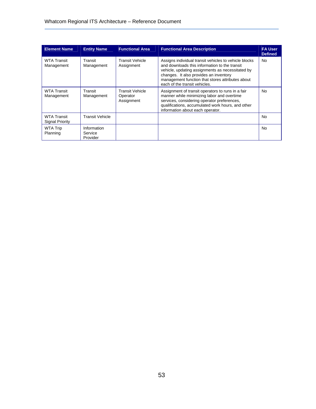| <b>Element Name</b>                          | <b>Entity Name</b>                 | <b>Functional Area</b>                           | <b>Functional Area Description</b>                                                                                                                                                                                                                                                        | <b>FA User</b><br><b>Defined</b> |
|----------------------------------------------|------------------------------------|--------------------------------------------------|-------------------------------------------------------------------------------------------------------------------------------------------------------------------------------------------------------------------------------------------------------------------------------------------|----------------------------------|
| <b>WTA Transit</b><br>Management             | Transit<br>Management              | <b>Transit Vehicle</b><br>Assignment             | Assigns individual transit vehicles to vehicle blocks<br>and downloads this information to the transit<br>vehicle, updating assignments as necessitated by<br>changes. It also provides an inventory<br>management function that stores attributes about<br>each of the transit vehicles. | <b>No</b>                        |
| <b>WTA Transit</b><br>Management             | Transit<br>Management              | <b>Transit Vehicle</b><br>Operator<br>Assignment | Assignment of transit operators to runs in a fair<br>manner while minimizing labor and overtime<br>services, considering operator preferences,<br>qualifications, accumulated work hours, and other<br>information about each operator.                                                   | No.                              |
| <b>WTA Transit</b><br><b>Signal Priority</b> | <b>Transit Vehicle</b>             |                                                  |                                                                                                                                                                                                                                                                                           | No.                              |
| <b>WTA Trip</b><br>Planning                  | Information<br>Service<br>Provider |                                                  |                                                                                                                                                                                                                                                                                           | <b>No</b>                        |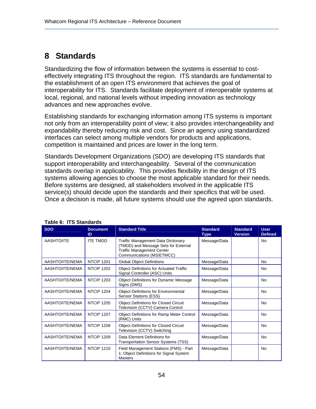## **8 Standards**

Standardizing the flow of information between the systems is essential to costeffectively integrating ITS throughout the region. ITS standards are fundamental to the establishment of an open ITS environment that achieves the goal of interoperability for ITS. Standards facilitate deployment of interoperable systems at local, regional, and national levels without impeding innovation as technology advances and new approaches evolve.

Establishing standards for exchanging information among ITS systems is important not only from an interoperability point of view; it also provides interchangeability and expandability thereby reducing risk and cost. Since an agency using standardized interfaces can select among multiple vendors for products and applications, competition is maintained and prices are lower in the long term.

Standards Development Organizations (SDO) are developing ITS standards that support interoperability and interchangeability. Several of the communication standards overlap in applicability. This provides flexibility in the design of ITS systems allowing agencies to choose the most applicable standard for their needs. Before systems are designed, all stakeholders involved in the applicable ITS service(s) should decide upon the standards and their specifics that will be used. Once a decision is made, all future systems should use the agreed upon standards.

| <b>SDO</b>      | <b>Document</b><br>ID | <b>Standard Title</b>                                                                                                                              | <b>Standard</b><br><b>Type</b> | <b>Standard</b><br><b>Version</b> | <b>User</b><br><b>Defined</b> |
|-----------------|-----------------------|----------------------------------------------------------------------------------------------------------------------------------------------------|--------------------------------|-----------------------------------|-------------------------------|
| AASHTO/ITE      | <b>ITF TMDD</b>       | <b>Traffic Management Data Dictionary</b><br>(TMDD) and Message Sets for External<br><b>Traffic Management Center</b><br>Communications (MS/ETMCC) | Message/Data                   |                                   | <b>No</b>                     |
| AASHTO/ITE/NEMA | NTCIP 1201            | <b>Global Object Definitions</b>                                                                                                                   | Message/Data                   |                                   | No.                           |
| AASHTO/ITE/NEMA | <b>NTCIP 1202</b>     | <b>Object Definitions for Actuated Traffic</b><br>Signal Controller (ASC) Units                                                                    | Message/Data                   |                                   | <b>No</b>                     |
| AASHTO/ITE/NEMA | <b>NTCIP 1203</b>     | <b>Object Definitions for Dynamic Message</b><br>Signs (DMS)                                                                                       | Message/Data                   |                                   | <b>No</b>                     |
| AASHTO/ITE/NEMA | <b>NTCIP 1204</b>     | <b>Object Definitions for Environmental</b><br>Sensor Stations (ESS)                                                                               | Message/Data                   |                                   | <b>No</b>                     |
| AASHTO/ITE/NEMA | <b>NTCIP 1205</b>     | <b>Object Definitions for Closed Circuit</b><br>Television (CCTV) Camera Control                                                                   | Message/Data                   |                                   | No                            |
| AASHTO/ITE/NEMA | <b>NTCIP 1207</b>     | <b>Object Definitions for Ramp Meter Control</b><br>(RMC) Units                                                                                    | Message/Data                   |                                   | <b>No</b>                     |
| AASHTO/ITE/NEMA | <b>NTCIP 1208</b>     | <b>Object Definitions for Closed Circuit</b><br>Television (CCTV) Switching                                                                        | Message/Data                   |                                   | <b>No</b>                     |
| AASHTO/ITE/NEMA | <b>NTCIP 1209</b>     | Data Element Definitions for<br>Transportation Sensor Systems (TSS)                                                                                | Message/Data                   |                                   | <b>No</b>                     |
| AASHTO/ITE/NEMA | <b>NTCIP 1210</b>     | Field Management Stations (FMS) - Part<br>1: Object Definitions for Signal System<br><b>Masters</b>                                                | Message/Data                   |                                   | No                            |

#### **Table 6: ITS Standards**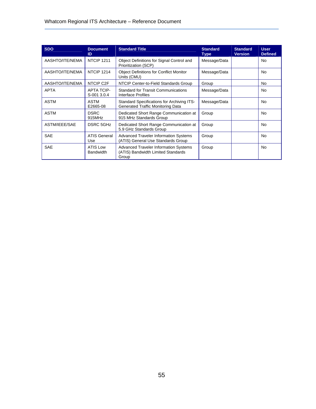| <b>SDO</b>      | <b>Document</b><br>ID               | <b>Standard Title</b>                                                                       | <b>Standard</b><br><b>Type</b> | <b>Standard</b><br><b>Version</b> | <b>User</b><br><b>Defined</b> |
|-----------------|-------------------------------------|---------------------------------------------------------------------------------------------|--------------------------------|-----------------------------------|-------------------------------|
| AASHTO/ITE/NEMA | NTCIP <sub>1211</sub>               | Object Definitions for Signal Control and<br>Prioritization (SCP)                           | Message/Data                   |                                   | No                            |
| AASHTO/ITE/NEMA | <b>NTCIP 1214</b>                   | <b>Object Definitions for Conflict Monitor</b><br>Units (CMU)                               | Message/Data                   |                                   | No                            |
| AASHTO/ITE/NEMA | NTCIP C2F                           | NTCIP Center-to-Field Standards Group                                                       | Group                          |                                   | No.                           |
| <b>APTA</b>     | <b>APTA TCIP-</b><br>S-001 3.0.4    | <b>Standard for Transit Communications</b><br>Interface Profiles                            | Message/Data                   |                                   | No                            |
| <b>ASTM</b>     | ASTM<br>E2665-08                    | Standard Specifications for Archiving ITS-<br><b>Generated Traffic Monitoring Data</b>      | Message/Data                   |                                   | No                            |
| <b>ASTM</b>     | <b>DSRC</b><br>915MHz               | Dedicated Short Range Communication at<br>915 MHz Standards Group                           | Group                          |                                   | No                            |
| ASTM/IEEE/SAE   | <b>DSRC 5GHz</b>                    | Dedicated Short Range Communication at<br>5.9 GHz Standards Group                           | Group                          |                                   | No                            |
| <b>SAE</b>      | <b>ATIS General</b><br>Use          | <b>Advanced Traveler Information Systems</b><br>(ATIS) General Use Standards Group          | Group                          |                                   | No                            |
| <b>SAE</b>      | <b>ATIS Low</b><br><b>Bandwidth</b> | <b>Advanced Traveler Information Systems</b><br>(ATIS) Bandwidth Limited Standards<br>Group | Group                          |                                   | No                            |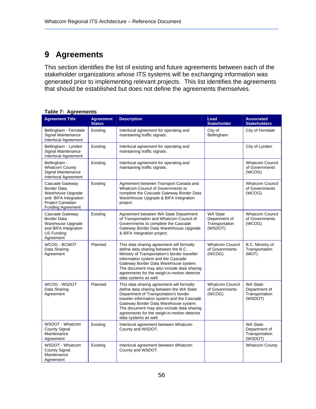# **9 Agreements**

This section identifies the list of existing and future agreements between each of the stakeholder organizations whose ITS systems will be exchanging information was generated prior to implementing relevant projects. This list identifies the agreements that should be established but does not define the agreements themselves.

| <b>Agreement Title</b>                                                                                                      | <b>Agreement</b><br><b>Status</b> | <b>Description</b>                                                                                                                                                                                                                                                                                                                           | Lead<br><b>Stakeholder</b>                                    | <b>Associated</b><br><b>Stakeholders</b>                      |
|-----------------------------------------------------------------------------------------------------------------------------|-----------------------------------|----------------------------------------------------------------------------------------------------------------------------------------------------------------------------------------------------------------------------------------------------------------------------------------------------------------------------------------------|---------------------------------------------------------------|---------------------------------------------------------------|
| Bellingham - Ferndale<br>Signal Maintenance<br><b>Interlocal Agreement</b>                                                  | Existing                          | Interlocal agreement for operating and<br>maintaining traffic signals.                                                                                                                                                                                                                                                                       | City of<br>Bellingham                                         | City of Ferndale                                              |
| Bellingham - Lynden<br>Signal Maintenance<br>Interlocal Agreement                                                           | Existing                          | Interlocal agreement for operating and<br>maintaining traffic signals.                                                                                                                                                                                                                                                                       |                                                               | City of Lynden                                                |
| Bellingham -<br><b>Whatcom County</b><br>Signal Maintenance<br>Interlocal Agreement                                         | Existing                          | Interlocal agreement for operating and<br>maintaining traffic signals.                                                                                                                                                                                                                                                                       |                                                               | <b>Whatcom Council</b><br>of Governments<br>(WCOG)            |
| Cascade Gateway<br>Border Data<br>Warehouse Upgrade<br>and BIFA Integration<br>Project Canadian<br><b>Funding Agreement</b> | Existing                          | Agreement between Transport Canada and<br>Whatcom Council of Governments to<br>complete the Cascade Gateway Border Data<br>Warehhouse Upgrade & BIFA Integration<br>project.                                                                                                                                                                 |                                                               | <b>Whatcom Council</b><br>of Governments<br>(WCOG)            |
| Cascade Gateway<br>Border Data<br>Warehouse Upgrade<br>and BIFA Integration<br>US Funding<br>Agreement                      | Existing                          | Agreement between WA State Department<br>of Transportation and Whatcom Council of<br>Governments to complete the Cascade<br>Gateway Border Data Warehhouse Upgrade<br>& BIFA Integration project.                                                                                                                                            | <b>WA State</b><br>Department of<br>Transportation<br>(WSDOT) | <b>Whatcom Council</b><br>of Governments<br>(WCOG)            |
| WCOG - BCMOT<br>Data Sharing<br>Agreement                                                                                   | Planned                           | This data sharing agreement will formally<br>define data sharing between the B.C.<br>Ministry of Transportation's border traveller<br>information system and the Cascade<br>Gateway Border Data Warehouse system.<br>The document may also include data sharing<br>agreements for the weigh-in-motion detector<br>data systems as well.      | <b>Whatcom Council</b><br>of Governments<br>(WCOG)            | B.C. Ministry of<br>Transportation<br>(MOT)                   |
| WCOG - WSDOT<br>Data Sharing<br>Agreement                                                                                   | Planned                           | This data sharing agreement will formally<br>define data sharing between the WA State<br>Department of Transportation's border<br>traveler information system and the Cascade<br>Gateway Border Data Warehouse system.<br>The document may also include data sharing<br>agreements for the weigh-in-motion detector<br>data systems as well. | <b>Whatcom Council</b><br>of Governments<br>(WCOG)            | <b>WA State</b><br>Department of<br>Transportation<br>(WSDOT) |
| WSDOT - Whatcom<br><b>County Signal</b><br>Maintenance<br>Agreement                                                         | Existing                          | Interlocal agreement between Whatcom<br>County and WSDOT.                                                                                                                                                                                                                                                                                    |                                                               | <b>WA State</b><br>Department of<br>Transportation<br>(WSDOT) |
| WSDOT - Whatcom<br><b>County Signal</b><br>Maintenance<br>Agreement                                                         | Existing                          | Interlocal agreement between Whatcom<br>County and WSDOT.                                                                                                                                                                                                                                                                                    |                                                               | <b>Whatcom County</b>                                         |

#### **Table 7: Agreements**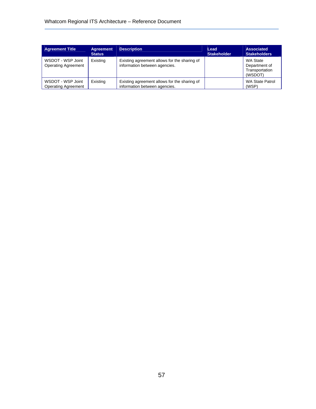| <b>Agreement Title</b>                          | <b>Agreement</b><br><b>Status</b> | <b>Description</b>                                                            | Lead<br><b>Stakeholder</b> | <b>Associated</b><br><b>Stakeholders</b>               |
|-------------------------------------------------|-----------------------------------|-------------------------------------------------------------------------------|----------------------------|--------------------------------------------------------|
| WSDOT - WSP Joint<br><b>Operating Agreement</b> | Existing                          | Existing agreement allows for the sharing of<br>information between agencies. |                            | WA State<br>Department of<br>Transportation<br>(WSDOT) |
| WSDOT - WSP Joint<br><b>Operating Agreement</b> | Existing                          | Existing agreement allows for the sharing of<br>information between agencies. |                            | WA State Patrol<br>(WSP)                               |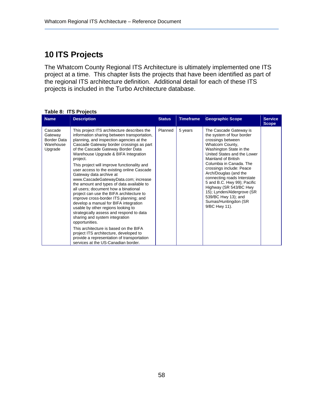# **10 ITS Projects**

The Whatcom County Regional ITS Architecture is ultimately implemented one ITS project at a time. This chapter lists the projects that have been identified as part of the regional ITS architecture definition. Additional detail for each of these ITS projects is included in the Turbo Architecture database.

| <b>Name</b>                                                      | <b>Description</b>                                                                                                                                                                                                                                                                                                                                                                                                                                                                                                                                                                                                                                                                                                                                                                                                                                                                                                                                                              | <b>Status</b> | <b>Timeframe</b> | <b>Geographic Scope</b>                                                                                                                                                                                                                                                                                                                                                                                                                            | <b>Service</b><br><b>Scope</b> |
|------------------------------------------------------------------|---------------------------------------------------------------------------------------------------------------------------------------------------------------------------------------------------------------------------------------------------------------------------------------------------------------------------------------------------------------------------------------------------------------------------------------------------------------------------------------------------------------------------------------------------------------------------------------------------------------------------------------------------------------------------------------------------------------------------------------------------------------------------------------------------------------------------------------------------------------------------------------------------------------------------------------------------------------------------------|---------------|------------------|----------------------------------------------------------------------------------------------------------------------------------------------------------------------------------------------------------------------------------------------------------------------------------------------------------------------------------------------------------------------------------------------------------------------------------------------------|--------------------------------|
| Cascade<br>Gateway<br><b>Border Data</b><br>Warehouse<br>Upgrade | This project ITS architecture describes the<br>information sharing between transportation,<br>planning, and inspection agencies at the<br>Cascade Gateway border crossings as part<br>of the Cascade Gateway Border Data<br>Warehouse Upgrade & BIFA Integration<br>project.<br>This project will improve functionality and<br>user access to the existing online Cascade<br>Gateway data archive at<br>www.CascadeGatewayData.com; increase<br>the amount and types of data available to<br>all users; document how a binational<br>project can use the BIFA architecture to<br>improve cross-border ITS planning; and<br>develop a manual for BIFA integration<br>usable by other regions looking to<br>strategically assess and respond to data<br>sharing and system integration<br>opportunities.<br>This architecture is based on the BIFA<br>project ITS architecture, developed to<br>provide a representation of transportation<br>services at the US-Canadian border. | Planned       | 5 years          | The Cascade Gateway is<br>the system of four border<br>crossings between<br>Whatcom County,<br>Washington State in the<br>United States and the Lower<br>Mainland of British<br>Columbia in Canada. The<br>crossings include: Peace<br>Arch/Douglas (and the<br>connecting roads Interstate<br>5 and B.C. Hwy 99); Pacific<br>Highway (SR 543/BC Hwy<br>15); Lynden/Aldergrove (SR<br>539/BC Hwy 13); and<br>Sumas/Huntingdon (SR<br>9/BC Hwy 11). |                                |

#### **Table 8: ITS Projects**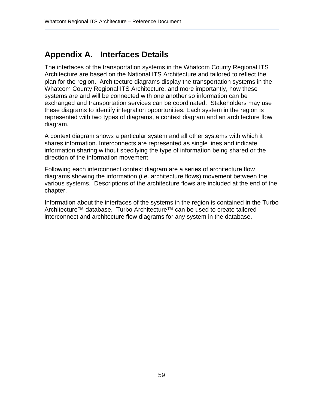## **Appendix A. Interfaces Details**

The interfaces of the transportation systems in the Whatcom County Regional ITS Architecture are based on the National ITS Architecture and tailored to reflect the plan for the region. Architecture diagrams display the transportation systems in the Whatcom County Regional ITS Architecture, and more importantly, how these systems are and will be connected with one another so information can be exchanged and transportation services can be coordinated. Stakeholders may use these diagrams to identify integration opportunities. Each system in the region is represented with two types of diagrams, a context diagram and an architecture flow diagram.

A context diagram shows a particular system and all other systems with which it shares information. Interconnects are represented as single lines and indicate information sharing without specifying the type of information being shared or the direction of the information movement.

Following each interconnect context diagram are a series of architecture flow diagrams showing the information (i.e. architecture flows) movement between the various systems. Descriptions of the architecture flows are included at the end of the chapter.

Information about the interfaces of the systems in the region is contained in the Turbo Architecture™ database. Turbo Architecture™ can be used to create tailored interconnect and architecture flow diagrams for any system in the database.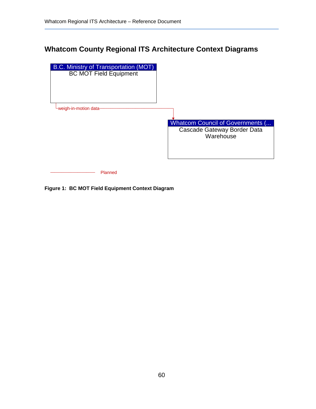### **Whatcom County Regional ITS Architecture Context Diagrams**



**Figure 1: BC MOT Field Equipment Context Diagram**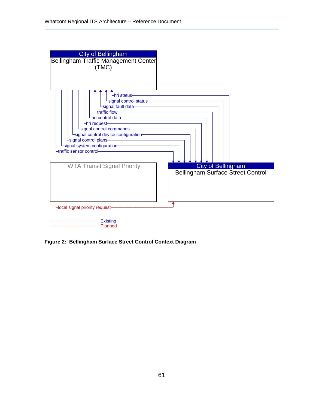

**Figure 2: Bellingham Surface Street Control Context Diagram**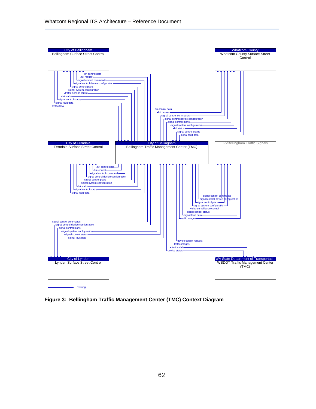

**Figure 3: Bellingham Traffic Management Center (TMC) Context Diagram**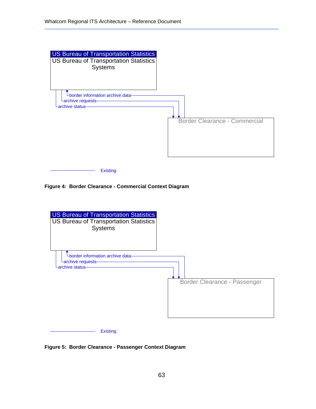

**Figure 4: Border Clearance - Commercial Context Diagram** 



**Figure 5: Border Clearance - Passenger Context Diagram**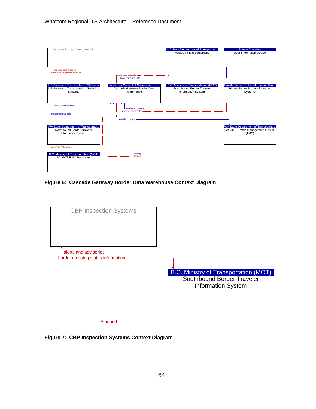

**Figure 6: Cascade Gateway Border Data Warehouse Context Diagram** 



**Figure 7: CBP Inspection Systems Context Diagram**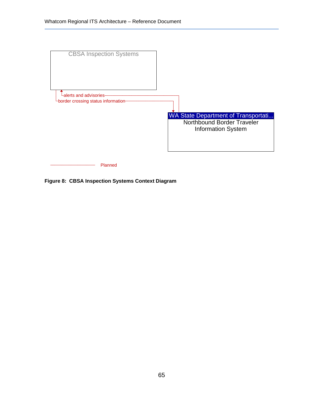

**Figure 8: CBSA Inspection Systems Context Diagram**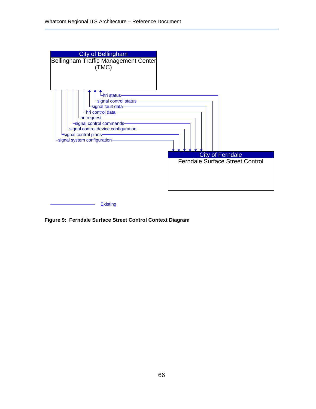

**Figure 9: Ferndale Surface Street Control Context Diagram**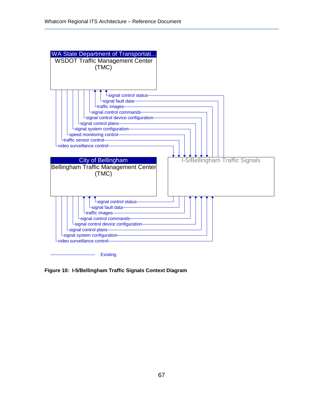

**Existing** 

**Figure 10: I-5/Bellingham Traffic Signals Context Diagram**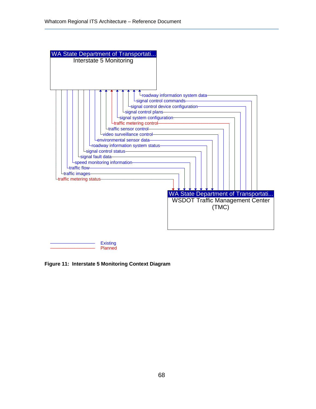

**Figure 11: Interstate 5 Monitoring Context Diagram**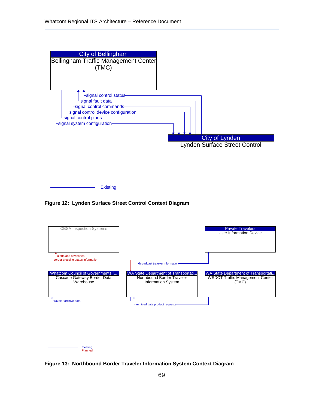

**Figure 12: Lynden Surface Street Control Context Diagram** 



**Figure 13: Northbound Border Traveler Information System Context Diagram**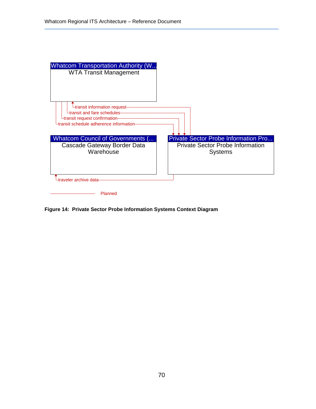| <b>Whatcom Transportation Authority (W</b><br><b>WTA Transit Management</b>                                                                |                                                           |
|--------------------------------------------------------------------------------------------------------------------------------------------|-----------------------------------------------------------|
| Ltransit information request-<br>transit and fare schedules-<br>∟transit request confirmation-<br>Ltransit schedule adherence information- |                                                           |
| <b>Whatcom Council of Governments (</b>                                                                                                    | <b>Private Sector Probe Information Pro</b>               |
| Cascade Gateway Border Data<br>Warehouse                                                                                                   | <b>Private Sector Probe Information</b><br><b>Systems</b> |
| traveler archive data-                                                                                                                     |                                                           |
|                                                                                                                                            |                                                           |
| Planned                                                                                                                                    |                                                           |

**Figure 14: Private Sector Probe Information Systems Context Diagram**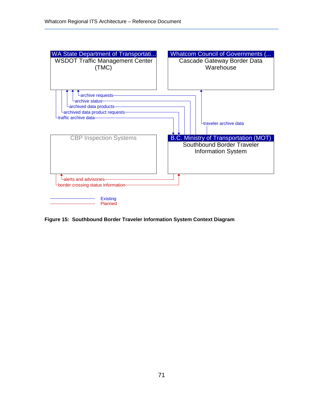

**Figure 15: Southbound Border Traveler Information System Context Diagram**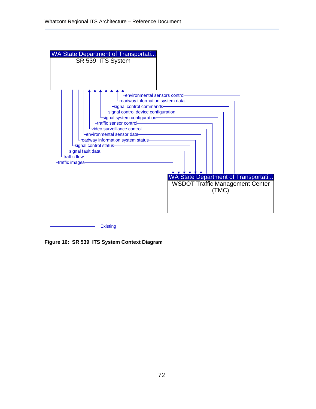

**Figure 16: SR 539 ITS System Context Diagram**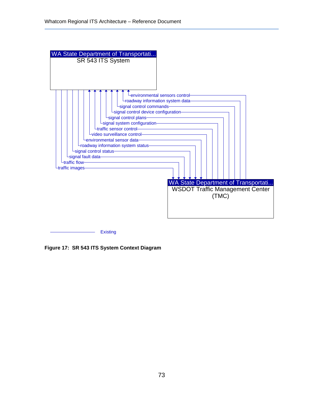

**Figure 17: SR 543 ITS System Context Diagram**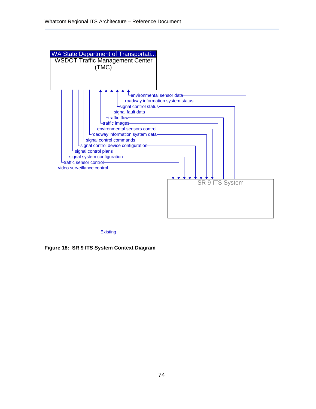

**Figure 18: SR 9 ITS System Context Diagram**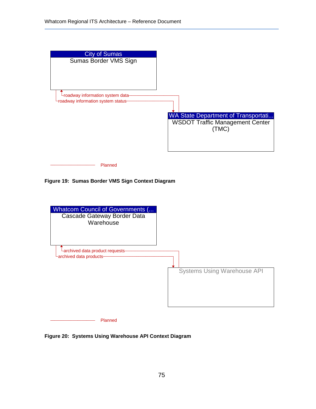

**Figure 19: Sumas Border VMS Sign Context Diagram** 



**Figure 20: Systems Using Warehouse API Context Diagram**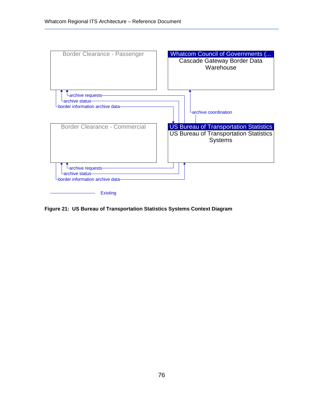

**Figure 21: US Bureau of Transportation Statistics Systems Context Diagram**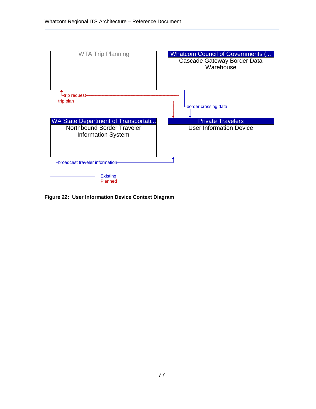

**Figure 22: User Information Device Context Diagram**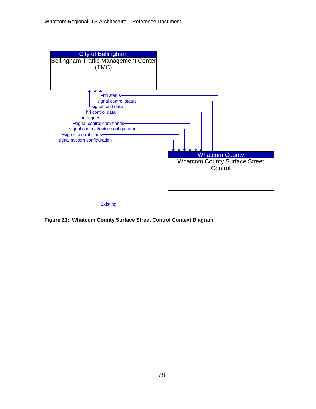

**Figure 23: Whatcom County Surface Street Control Context Diagram**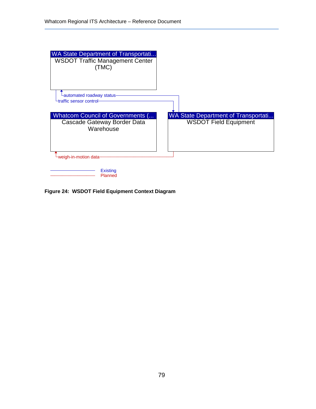

**Figure 24: WSDOT Field Equipment Context Diagram**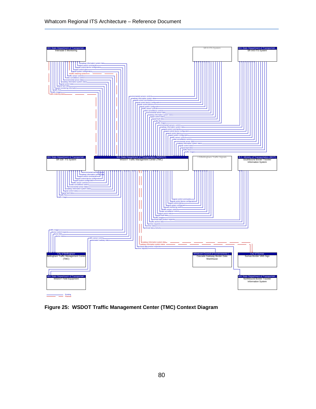

**Figure 25: WSDOT Traffic Management Center (TMC) Context Diagram**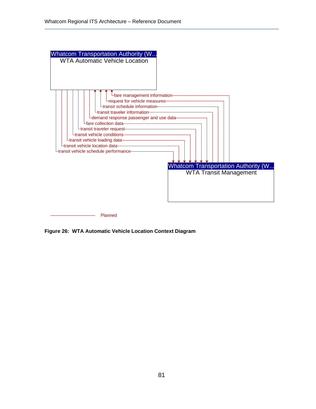

**Figure 26: WTA Automatic Vehicle Location Context Diagram**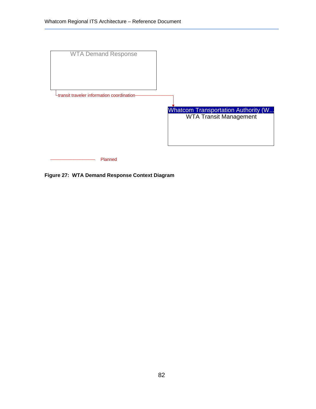

**Figure 27: WTA Demand Response Context Diagram**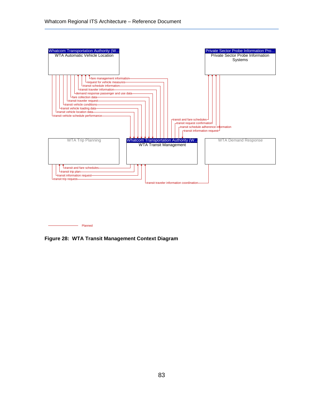

**Figure 28: WTA Transit Management Context Diagram**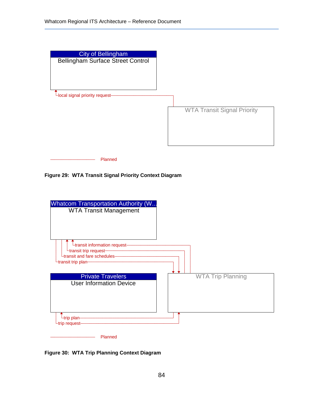

**Figure 29: WTA Transit Signal Priority Context Diagram** 



**Figure 30: WTA Trip Planning Context Diagram**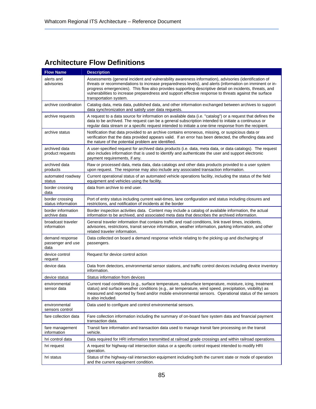## **Architecture Flow Definitions**

| <b>Flow Name</b>                             | <b>Description</b>                                                                                                                                                                                                                                                                                                                                                                                                                                              |
|----------------------------------------------|-----------------------------------------------------------------------------------------------------------------------------------------------------------------------------------------------------------------------------------------------------------------------------------------------------------------------------------------------------------------------------------------------------------------------------------------------------------------|
| alerts and<br>advisories                     | Assessments (general incident and vulnerability awareness information), advisories (identification of<br>threats or recommendations to increase preparedness levels), and alerts (information on imminent or in-<br>progress emergencies). This flow also provides supporting descriptive detail on incidents, threats, and<br>vulnerabilities to increase preparedness and support effective response to threats against the surface<br>transportation system. |
| archive coordination                         | Catalog data, meta data, published data, and other information exchanged between archives to support<br>data synchronization and satisfy user data requests.                                                                                                                                                                                                                                                                                                    |
| archive requests                             | A request to a data source for information on available data (i.e. "catalog") or a request that defines the<br>data to be archived. The request can be a general subscription intended to initiate a continuous or<br>regular data stream or a specific request intended to initiate a one-time response from the recipient.                                                                                                                                    |
| archive status                               | Notification that data provided to an archive contains erroneous, missing, or suspicious data or<br>verification that the data provided appears valid. If an error has been detected, the offending data and<br>the nature of the potential problem are identified.                                                                                                                                                                                             |
| archived data<br>product requests            | A user-specified request for archived data products (i.e. data, meta data, or data catalogs). The request<br>also includes information that is used to identify and authenticate the user and support electronic<br>payment requirements, if any.                                                                                                                                                                                                               |
| archived data<br>products                    | Raw or processed data, meta data, data catalogs and other data products provided to a user system<br>upon request. The response may also include any associated transaction information.                                                                                                                                                                                                                                                                        |
| automated roadway<br>status                  | Current operational status of an automated vehicle operations facility, including the status of the field<br>equipment and vehicles using the facility.                                                                                                                                                                                                                                                                                                         |
| border crossing<br>data                      | data from archive to end user.                                                                                                                                                                                                                                                                                                                                                                                                                                  |
| border crossing<br>status information        | Port of entry status including current wait-times, lane configuration and status including closures and<br>restrictions, and notification of incidents at the border                                                                                                                                                                                                                                                                                            |
| border information<br>archive data           | Border inspection activities data. Content may include a catalog of available information, the actual<br>information to be archived, and associated meta data that describes the archived information.                                                                                                                                                                                                                                                          |
| broadcast traveler<br>information            | General traveler information that contains traffic and road conditions, link travel times, incidents,<br>advisories, restrictions, transit service information, weather information, parking information, and other<br>related traveler information.                                                                                                                                                                                                            |
| demand response<br>passenger and use<br>data | Data collected on board a demand response vehicle relating to the picking up and discharging of<br>passengers.                                                                                                                                                                                                                                                                                                                                                  |
| device control<br>request                    | Request for device control action                                                                                                                                                                                                                                                                                                                                                                                                                               |
| device data                                  | Data from detectors, environmental sensor stations, and traffic control devices including device inventory<br>information.                                                                                                                                                                                                                                                                                                                                      |
| device status                                | Status information from devices                                                                                                                                                                                                                                                                                                                                                                                                                                 |
| environmental<br>sensor data                 | Current road conditions (e.g., surface temperature, subsurface temperature, moisture, icing, treatment<br>status) and surface weather conditions (e.g., air temperature, wind speed, precipitation, visibility) as<br>measured and reported by fixed and/or mobile environmental sensors. Operational status of the sensors<br>is also included.                                                                                                                |
| environmental<br>sensors control             | Data used to configure and control environmental sensors.                                                                                                                                                                                                                                                                                                                                                                                                       |
| fare collection data                         | Fare collection information including the summary of on-board fare system data and financial payment<br>transaction data.                                                                                                                                                                                                                                                                                                                                       |
| fare management<br>information               | Transit fare information and transaction data used to manage transit fare processing on the transit<br>vehicle.                                                                                                                                                                                                                                                                                                                                                 |
| hri control data                             | Data required for HRI information transmitted at railroad grade crossings and within railroad operations.                                                                                                                                                                                                                                                                                                                                                       |
| hri request                                  | A request for highway-rail intersection status or a specific control request intended to modify HRI<br>operation.                                                                                                                                                                                                                                                                                                                                               |
| hri status                                   | Status of the highway-rail intersection equipment including both the current state or mode of operation<br>and the current equipment condition.                                                                                                                                                                                                                                                                                                                 |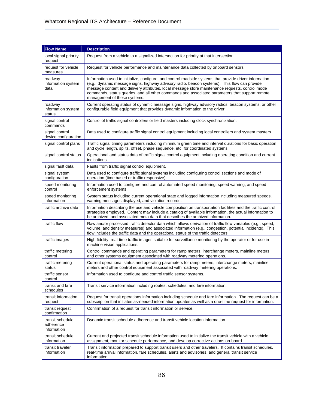| <b>Flow Name</b>                             | <b>Description</b>                                                                                                                                                                                                                                                                                                                                                                                                                           |
|----------------------------------------------|----------------------------------------------------------------------------------------------------------------------------------------------------------------------------------------------------------------------------------------------------------------------------------------------------------------------------------------------------------------------------------------------------------------------------------------------|
| local signal priority<br>request             | Request from a vehicle to a signalized intersection for priority at that intersection.                                                                                                                                                                                                                                                                                                                                                       |
| request for vehicle<br>measures              | Request for vehicle performance and maintenance data collected by onboard sensors.                                                                                                                                                                                                                                                                                                                                                           |
| roadway<br>information system<br>data        | Information used to initialize, configure, and control roadside systems that provide driver information<br>(e.g., dynamic message signs, highway advisory radio, beacon systems). This flow can provide<br>message content and delivery attributes, local message store maintenance requests, control mode<br>commands, status queries, and all other commands and associated parameters that support remote<br>management of these systems. |
| roadway<br>information system<br>status      | Current operating status of dynamic message signs, highway advisory radios, beacon systems, or other<br>configurable field equipment that provides dynamic information to the driver.                                                                                                                                                                                                                                                        |
| signal control<br>commands                   | Control of traffic signal controllers or field masters including clock synchronization.                                                                                                                                                                                                                                                                                                                                                      |
| signal control<br>device configuration       | Data used to configure traffic signal control equipment including local controllers and system masters.                                                                                                                                                                                                                                                                                                                                      |
| signal control plans                         | Traffic signal timing parameters including minimum green time and interval durations for basic operation<br>and cycle length, splits, offset, phase sequence, etc. for coordinated systems.                                                                                                                                                                                                                                                  |
| signal control status                        | Operational and status data of traffic signal control equipment including operating condition and current<br>indications.                                                                                                                                                                                                                                                                                                                    |
| signal fault data                            | Faults from traffic signal control equipment.                                                                                                                                                                                                                                                                                                                                                                                                |
| signal system<br>configuration               | Data used to configure traffic signal systems including configuring control sections and mode of<br>operation (time based or traffic responsive).                                                                                                                                                                                                                                                                                            |
| speed monitoring<br>control                  | Information used to configure and control automated speed monitoring, speed warning, and speed<br>enforcement systems.                                                                                                                                                                                                                                                                                                                       |
| speed monitoring<br>information              | System status including current operational state and logged information including measured speeds,<br>warning messages displayed, and violation records.                                                                                                                                                                                                                                                                                    |
| traffic archive data                         | Information describing the use and vehicle composition on transportation facilities and the traffic control<br>strategies employed. Content may include a catalog of available information, the actual information to<br>be archived, and associated meta data that describes the archived information.                                                                                                                                      |
| traffic flow                                 | Raw and/or processed traffic detector data which allows derivation of traffic flow variables (e.g., speed,<br>volume, and density measures) and associated information (e.g., congestion, potential incidents). This<br>flow includes the traffic data and the operational status of the traffic detectors.                                                                                                                                  |
| traffic images                               | High fidelity, real-time traffic images suitable for surveillance monitoring by the operator or for use in<br>machine vision applications.                                                                                                                                                                                                                                                                                                   |
| traffic metering<br>control                  | Control commands and operating parameters for ramp meters, interchange meters, mainline meters,<br>and other systems equipment associated with roadway metering operations.                                                                                                                                                                                                                                                                  |
| traffic metering<br>status                   | Current operational status and operating parameters for ramp meters, interchange meters, mainline<br>meters and other control equipment associated with roadway metering operations.                                                                                                                                                                                                                                                         |
| traffic sensor<br>control                    | Information used to configure and control traffic sensor systems.                                                                                                                                                                                                                                                                                                                                                                            |
| transit and fare<br>schedules                | Transit service information including routes, schedules, and fare information.                                                                                                                                                                                                                                                                                                                                                               |
| transit information<br>request               | Request for transit operations information including schedule and fare information. The request can be a<br>subscription that initiates as-needed information updates as well as a one-time request for information.                                                                                                                                                                                                                         |
| transit request<br>confirmation              | Confirmation of a request for transit information or service.                                                                                                                                                                                                                                                                                                                                                                                |
| transit schedule<br>adherence<br>information | Dynamic transit schedule adherence and transit vehicle location information.                                                                                                                                                                                                                                                                                                                                                                 |
| transit schedule<br>information              | Current and projected transit schedule information used to initialize the transit vehicle with a vehicle<br>assignment, monitor schedule performance, and develop corrective actions on-board.                                                                                                                                                                                                                                               |
| transit traveler<br>information              | Transit information prepared to support transit users and other travelers. It contains transit schedules,<br>real-time arrival information, fare schedules, alerts and advisories, and general transit service<br>information.                                                                                                                                                                                                               |